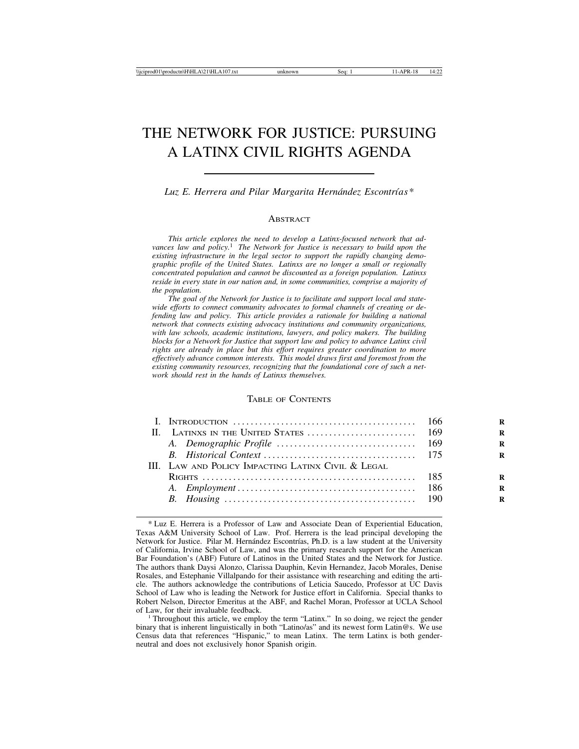# THE NETWORK FOR JUSTICE: PURSUING A LATINX CIVIL RIGHTS AGENDA

Luz E. Herrera and Pilar Margarita Hernández Escontrías<sup>\*</sup>

#### ABSTRACT

*This article explores the need to develop a Latinx-focused network that advances law and policy.*1 *The Network for Justice is necessary to build upon the existing infrastructure in the legal sector to support the rapidly changing demographic profile of the United States. Latinxs are no longer a small or regionally concentrated population and cannot be discounted as a foreign population. Latinxs reside in every state in our nation and, in some communities, comprise a majority of the population.*

*The goal of the Network for Justice is to facilitate and support local and statewide efforts to connect community advocates to formal channels of creating or defending law and policy. This article provides a rationale for building a national network that connects existing advocacy institutions and community organizations, with law schools, academic institutions, lawyers, and policy makers. The building blocks for a Network for Justice that support law and policy to advance Latinx civil rights are already in place but this effort requires greater coordination to more effectively advance common interests. This model draws first and foremost from the existing community resources, recognizing that the foundational core of such a network should rest in the hands of Latinxs themselves.*

### TABLE OF CONTENTS

| III. LAW AND POLICY IMPACTING LATINX CIVIL & LEGAL |  |
|----------------------------------------------------|--|
|                                                    |  |
|                                                    |  |
|                                                    |  |
|                                                    |  |

 $1$  Throughout this article, we employ the term "Latinx." In so doing, we reject the gender binary that is inherent linguistically in both "Latino/as" and its newest form Latin@s. We use Census data that references "Hispanic," to mean Latinx. The term Latinx is both genderneutral and does not exclusively honor Spanish origin.

<sup>\*</sup> Luz E. Herrera is a Professor of Law and Associate Dean of Experiential Education, Texas A&M University School of Law. Prof. Herrera is the lead principal developing the Network for Justice. Pilar M. Hernández Escontrías, Ph.D. is a law student at the University of California, Irvine School of Law, and was the primary research support for the American Bar Foundation's (ABF) Future of Latinos in the United States and the Network for Justice. The authors thank Daysi Alonzo, Clarissa Dauphin, Kevin Hernandez, Jacob Morales, Denise Rosales, and Estephanie Villalpando for their assistance with researching and editing the article. The authors acknowledge the contributions of Leticia Saucedo, Professor at UC Davis School of Law who is leading the Network for Justice effort in California. Special thanks to Robert Nelson, Director Emeritus at the ABF, and Rachel Moran, Professor at UCLA School of Law, for their invaluable feedback.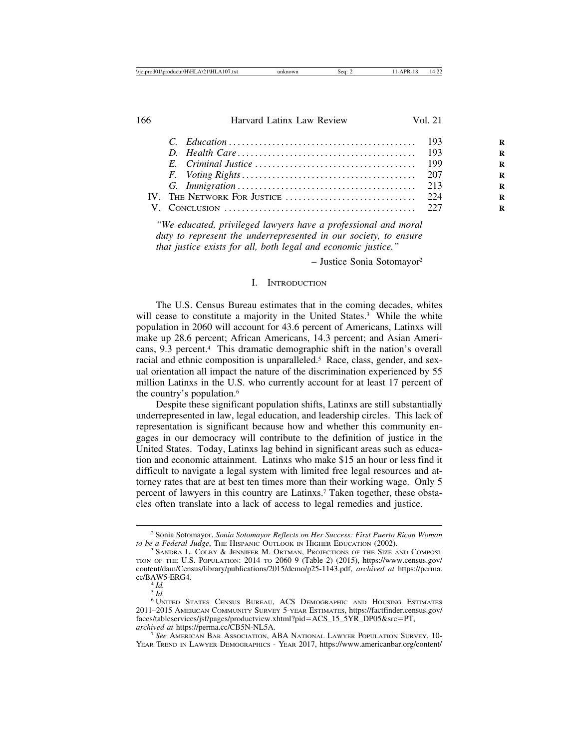*"We educated, privileged lawyers have a professional and moral duty to represent the underrepresented in our society, to ensure that justice exists for all, both legal and economic justice."*

– Justice Sonia Sotomayor2

## I. INTRODUCTION

The U.S. Census Bureau estimates that in the coming decades, whites will cease to constitute a majority in the United States.<sup>3</sup> While the white population in 2060 will account for 43.6 percent of Americans, Latinxs will make up 28.6 percent; African Americans, 14.3 percent; and Asian Americans, 9.3 percent.4 This dramatic demographic shift in the nation's overall racial and ethnic composition is unparalleled.<sup>5</sup> Race, class, gender, and sexual orientation all impact the nature of the discrimination experienced by 55 million Latinxs in the U.S. who currently account for at least 17 percent of the country's population.6

Despite these significant population shifts, Latinxs are still substantially underrepresented in law, legal education, and leadership circles. This lack of representation is significant because how and whether this community engages in our democracy will contribute to the definition of justice in the United States. Today, Latinxs lag behind in significant areas such as education and economic attainment. Latinxs who make \$15 an hour or less find it difficult to navigate a legal system with limited free legal resources and attorney rates that are at best ten times more than their working wage. Only 5 percent of lawyers in this country are Latinxs.<sup>7</sup> Taken together, these obstacles often translate into a lack of access to legal remedies and justice.

<sup>&</sup>lt;sup>2</sup> Sonia Sotomayor, *Sonia Sotomayor Reflects on Her Success: First Puerto Rican Woman* to be a Federal Judge, THE HISPANIC OUTLOOK IN HIGHER EDUCATION (2002).

<sup>&</sup>lt;sup>3</sup> SANDRA L. COLBY & JENNIFER M. ORTMAN, PROJECTIONS OF THE SIZE AND COMPOSI-TION OF THE U.S. POPULATION: 2014 TO 2060 9 (Table 2) (2015), https://www.census.gov/ content/dam/Census/library/publications/2015/demo/p25-1143.pdf, *archived at* https://perma. cc/BAW5-ERG4. <sup>4</sup> *Id.*

<sup>5</sup> *Id.*

<sup>6</sup> UNITED STATES CENSUS BUREAU, ACS DEMOGRAPHIC AND HOUSING ESTIMATES 2011–2015 AMERICAN COMMUNITY SURVEY 5-YEAR ESTIMATES, https://factfinder.census.gov/ faces/tableservices/jsf/pages/productview.xhtml?pid=ACS\_15\_5YR\_DP05&src=PT, archived at https://perma.cc/CB5N-NL5A.

<sup>&</sup>lt;sup>7</sup> See American Bar Association, ABA NATIONAL LAWYER POPULATION SURVEY, 10-YEAR TREND IN LAWYER DEMOGRAPHICS - YEAR 2017, https://www.americanbar.org/content/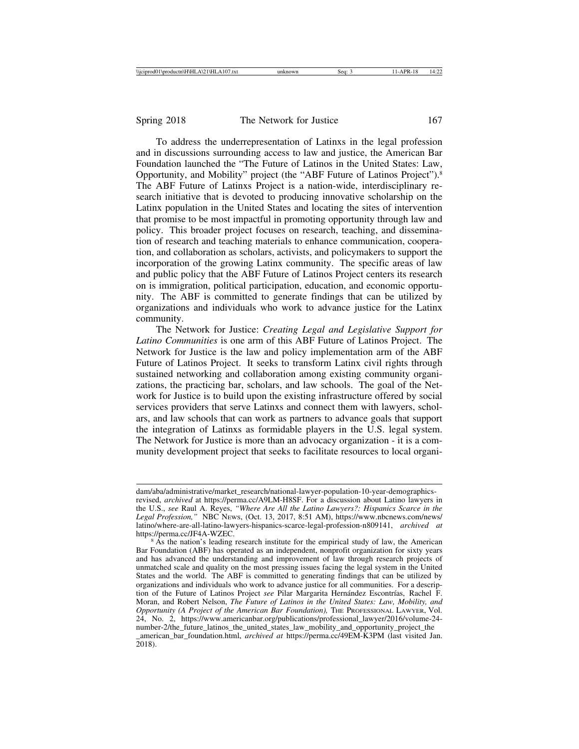To address the underrepresentation of Latinxs in the legal profession and in discussions surrounding access to law and justice, the American Bar Foundation launched the "The Future of Latinos in the United States: Law, Opportunity, and Mobility" project (the "ABF Future of Latinos Project").8 The ABF Future of Latinxs Project is a nation-wide, interdisciplinary research initiative that is devoted to producing innovative scholarship on the Latinx population in the United States and locating the sites of intervention that promise to be most impactful in promoting opportunity through law and policy. This broader project focuses on research, teaching, and dissemination of research and teaching materials to enhance communication, cooperation, and collaboration as scholars, activists, and policymakers to support the incorporation of the growing Latinx community. The specific areas of law and public policy that the ABF Future of Latinos Project centers its research on is immigration, political participation, education, and economic opportunity. The ABF is committed to generate findings that can be utilized by organizations and individuals who work to advance justice for the Latinx community.

The Network for Justice: *Creating Legal and Legislative Support for Latino Communities* is one arm of this ABF Future of Latinos Project. The Network for Justice is the law and policy implementation arm of the ABF Future of Latinos Project. It seeks to transform Latinx civil rights through sustained networking and collaboration among existing community organizations, the practicing bar, scholars, and law schools. The goal of the Network for Justice is to build upon the existing infrastructure offered by social services providers that serve Latinxs and connect them with lawyers, scholars, and law schools that can work as partners to advance goals that support the integration of Latinxs as formidable players in the U.S. legal system. The Network for Justice is more than an advocacy organization - it is a community development project that seeks to facilitate resources to local organi-

dam/aba/administrative/market\_research/national-lawyer-population-10-year-demographicsrevised, *archived* at https://perma.cc/A9LM-H8SF. For a discussion about Latino lawyers in the U.S., *see* Raul A. Reyes, *"Where Are All the Latino Lawyers?: Hispanics Scarce in the Legal Profession,"* NBC NEWS, (Oct. 13, 2017, 8:51 AM), https://www.nbcnews.com/news/ latino/where-are-all-latino-lawyers-hispanics-scarce-legal-profession-n809141, *archived at*

 $\delta$ As the nation's leading research institute for the empirical study of law, the American Bar Foundation (ABF) has operated as an independent, nonprofit organization for sixty years and has advanced the understanding and improvement of law through research projects of unmatched scale and quality on the most pressing issues facing the legal system in the United States and the world. The ABF is committed to generating findings that can be utilized by organizations and individuals who work to advance justice for all communities. For a description of the Future of Latinos Project *see* Pilar Margarita Hernández Escontrías, Rachel F. Moran, and Robert Nelson, *The Future of Latinos in the United States: Law, Mobility, and Opportunity (A Project of the American Bar Foundation),* THE PROFESSIONAL LAWYER, Vol. 24, No. 2, https://www.americanbar.org/publications/professional\_lawyer/2016/volume-24 number-2/the\_future\_latinos\_the\_united\_states\_law\_mobility\_and\_opportunity\_project\_the \_american\_bar\_foundation.html, *archived at* https://perma.cc/49EM-K3PM (last visited Jan.  $2018$ ).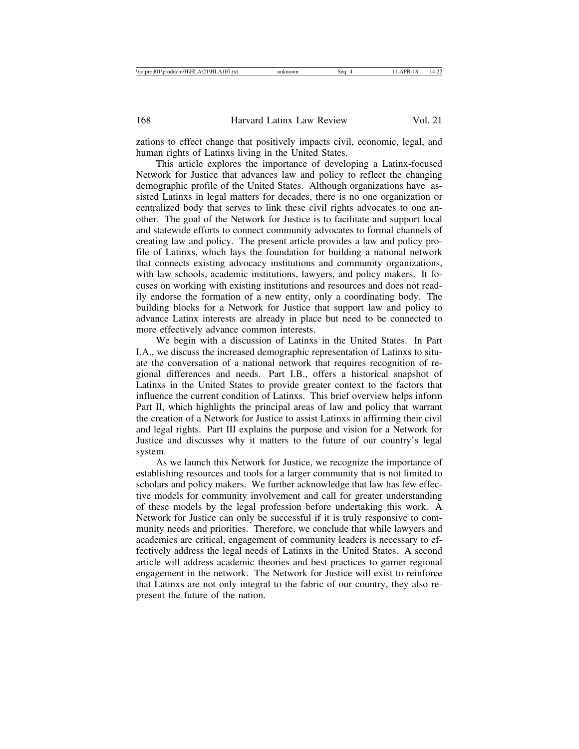zations to effect change that positively impacts civil, economic, legal, and human rights of Latinxs living in the United States.

This article explores the importance of developing a Latinx-focused Network for Justice that advances law and policy to reflect the changing demographic profile of the United States. Although organizations have assisted Latinxs in legal matters for decades, there is no one organization or centralized body that serves to link these civil rights advocates to one another. The goal of the Network for Justice is to facilitate and support local and statewide efforts to connect community advocates to formal channels of creating law and policy. The present article provides a law and policy profile of Latinxs, which lays the foundation for building a national network that connects existing advocacy institutions and community organizations, with law schools, academic institutions, lawyers, and policy makers. It focuses on working with existing institutions and resources and does not readily endorse the formation of a new entity, only a coordinating body. The building blocks for a Network for Justice that support law and policy to advance Latinx interests are already in place but need to be connected to more effectively advance common interests.

We begin with a discussion of Latinxs in the United States. In Part I.A., we discuss the increased demographic representation of Latinxs to situate the conversation of a national network that requires recognition of regional differences and needs. Part I.B., offers a historical snapshot of Latinxs in the United States to provide greater context to the factors that influence the current condition of Latinxs. This brief overview helps inform Part II, which highlights the principal areas of law and policy that warrant the creation of a Network for Justice to assist Latinxs in affirming their civil and legal rights. Part III explains the purpose and vision for a Network for Justice and discusses why it matters to the future of our country's legal system.

As we launch this Network for Justice, we recognize the importance of establishing resources and tools for a larger community that is not limited to scholars and policy makers. We further acknowledge that law has few effective models for community involvement and call for greater understanding of these models by the legal profession before undertaking this work. A Network for Justice can only be successful if it is truly responsive to community needs and priorities. Therefore, we conclude that while lawyers and academics are critical, engagement of community leaders is necessary to effectively address the legal needs of Latinxs in the United States. A second article will address academic theories and best practices to garner regional engagement in the network. The Network for Justice will exist to reinforce that Latinxs are not only integral to the fabric of our country, they also represent the future of the nation.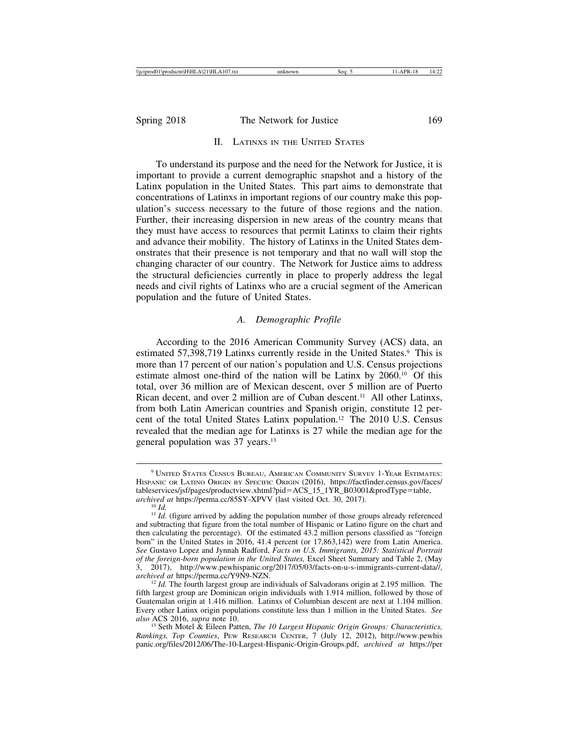#### II. LATINXS IN THE UNITED STATES

To understand its purpose and the need for the Network for Justice, it is important to provide a current demographic snapshot and a history of the Latinx population in the United States. This part aims to demonstrate that concentrations of Latinxs in important regions of our country make this population's success necessary to the future of those regions and the nation. Further, their increasing dispersion in new areas of the country means that they must have access to resources that permit Latinxs to claim their rights and advance their mobility. The history of Latinxs in the United States demonstrates that their presence is not temporary and that no wall will stop the changing character of our country. The Network for Justice aims to address the structural deficiencies currently in place to properly address the legal needs and civil rights of Latinxs who are a crucial segment of the American population and the future of United States.

#### *A. Demographic Profile*

According to the 2016 American Community Survey (ACS) data, an estimated 57,398,719 Latinxs currently reside in the United States.<sup>9</sup> This is more than 17 percent of our nation's population and U.S. Census projections estimate almost one-third of the nation will be Latinx by 2060.10 Of this total, over 36 million are of Mexican descent, over 5 million are of Puerto Rican decent, and over 2 million are of Cuban descent.<sup>11</sup> All other Latinxs, from both Latin American countries and Spanish origin, constitute 12 percent of the total United States Latinx population.12 The 2010 U.S. Census revealed that the median age for Latinxs is 27 while the median age for the general population was 37 years.13

<sup>9</sup> UNITED STATES CENSUS BUREAU, AMERICAN COMMUNITY SURVEY 1-YEAR ESTIMATES: HISPANIC OR LATINO ORIGIN BY SPECIFIC ORIGIN (2016), https://factfinder.census.gov/faces/ tableservices/jsf/pages/productview.xhtml?pid=ACS\_15\_1YR\_B03001&prodType=table, archived at https://perma.cc/85SY-XPVV (last visited Oct. 30, 2017).

<sup>&</sup>lt;sup>10</sup> *Id.* (figure arrived by adding the population number of those groups already referenced <sup>11</sup> *Id.* (figure arrived by adding the population number of those groups already referenced and subtracting that figure from the total number of Hispanic or Latino figure on the chart and then calculating the percentage). Of the estimated 43.2 million persons classified as "foreign born" in the United States in 2016, 41.4 percent (or 17,863,142) were from Latin America. *See* Gustavo Lopez and Jynnah Radford, *Facts on U.S. Immigrants, 2015: Statistical Portrait of the foreign-born population in the United States,* Excel Sheet Summary and Table 2, (May 3, 2017), http://www.pewhispanic.org/2017/05/03/facts-on-u-s-immigrants-current-data//,

<sup>&</sup>lt;sup>12</sup> *Id.* The fourth largest group are individuals of Salvadorans origin at 2.195 million. The fifth largest group are Dominican origin individuals with 1.914 million, followed by those of Guatemalan origin at 1.416 million. Latinxs of Columbian descent are next at 1.104 million. Every other Latinx origin populations constitute less than 1 million in the United States. *See*

<sup>&</sup>lt;sup>13</sup> Seth Motel & Eileen Patten, *The 10 Largest Hispanic Origin Groups: Characteristics*, *Rankings, Top Counties*, PEW RESEARCH CENTER, 7 (July 12, 2012), http://www.pewhis panic.org/files/2012/06/The-10-Largest-Hispanic-Origin-Groups.pdf, *archived at* https://per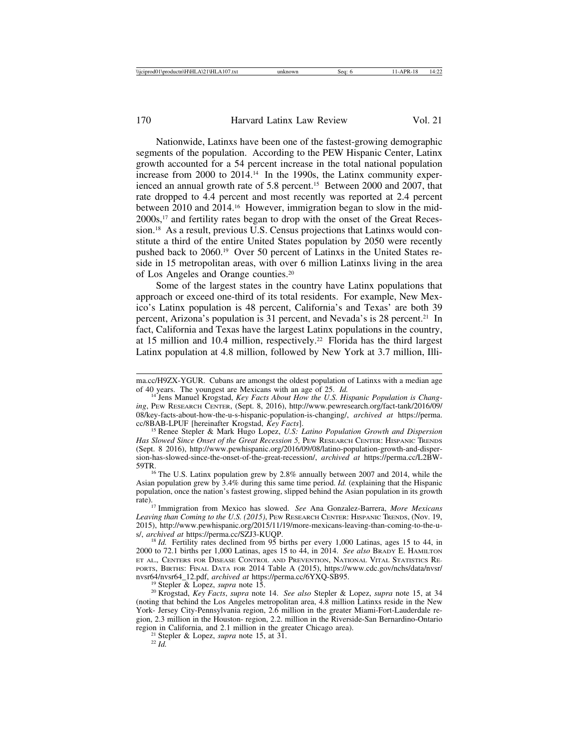Nationwide, Latinxs have been one of the fastest-growing demographic segments of the population. According to the PEW Hispanic Center, Latinx growth accounted for a 54 percent increase in the total national population increase from 2000 to 2014.14 In the 1990s, the Latinx community experienced an annual growth rate of 5.8 percent.15 Between 2000 and 2007, that rate dropped to 4.4 percent and most recently was reported at 2.4 percent between 2010 and 2014.16 However, immigration began to slow in the mid-2000s,17 and fertility rates began to drop with the onset of the Great Recession.18 As a result, previous U.S. Census projections that Latinxs would constitute a third of the entire United States population by 2050 were recently pushed back to 2060.19 Over 50 percent of Latinxs in the United States reside in 15 metropolitan areas, with over 6 million Latinxs living in the area of Los Angeles and Orange counties.20

Some of the largest states in the country have Latinx populations that approach or exceed one-third of its total residents. For example, New Mexico's Latinx population is 48 percent, California's and Texas' are both 39 percent, Arizona's population is 31 percent, and Nevada's is 28 percent.21 In fact, California and Texas have the largest Latinx populations in the country, at 15 million and 10.4 million, respectively.<sup>22</sup> Florida has the third largest Latinx population at 4.8 million, followed by New York at 3.7 million, Illi-

 $16$  The U.S. Latinx population grew by 2.8% annually between 2007 and 2014, while the Asian population grew by 3.4% during this same time period. *Id.* (explaining that the Hispanic population, once the nation's fastest growing, slipped behind the Asian population in its growth

rate).17 Immigration from Mexico has slowed. *See* Ana Gonzalez-Barrera, *More Mexicans Leaving than Coming to the U.S. (2015)*, PEW RESEARCH CENTER: HISPANIC TRENDS, (Nov. 19, 2015), http://www.pewhispanic.org/2015/11/19/more-mexicans-leaving-than-coming-to-the-u-<br>s/, archived at https://perma.cc/SZJ3-KUQP.

<sup>18</sup> *Id.* Fertility rates declined from 95 births per every 1,000 Latinas, ages 15 to 44, in 2000 to 72.1 births per 1,000 Latinas, ages 15 to 44, in 2014. *See also* BRADY E. HAMILTON ET AL.*,* CENTERS FOR DISEASE CONTROL AND PREVENTION, NATIONAL VITAL STATISTICS RE-PORTS, BIRTHS: FINAL DATA FOR 2014 Table A (2015), https://www.cdc.gov/nchs/data/nvsr/<br>nvsr64/nvsr64\_12.pdf, *archived at* https://perma.cc/6YXQ-SB95.

<sup>19</sup> Stepler & Lopez, *supra* note 15.<br><sup>20</sup> Krogstad, *Key Facts, supra* note 14. *See also* Stepler & Lopez, *supra* note 15, at 34 (noting that behind the Los Angeles metropolitan area, 4.8 million Latinxs reside in the New York- Jersey City-Pennsylvania region, 2.6 million in the greater Miami-Fort-Lauderdale region, 2.3 million in the Houston- region, 2.2. million in the Riverside-San Bernardino-Ontario region in California, and 2.1 million in the greater Chicago area). <sup>21</sup> Stepler & Lopez, *supra* note 15, at 31. <sup>22</sup> *Id.*

ma.cc/H9ZX-YGUR. Cubans are amongst the oldest population of Latinxs with a median age of 40 years. The youngest are Mexicans with an age of  $25$ . *Id.* 

<sup>&</sup>lt;sup>14</sup> Jens Manuel Krogstad, *Key Facts About How the U.S. Hispanic Population is Changing*, PEW RESEARCH CENTER, (Sept. 8, 2016), http://www.pewresearch.org/fact-tank/2016/09/ 08/key-facts-about-how-the-u-s-hispanic-population-is-changing/, *archived at* https://perma.

<sup>&</sup>lt;sup>15</sup> Renee Stepler & Mark Hugo Lopez, *U.S: Latino Population Growth and Dispersion* Has Slowed Since Onset of the Great Recession 5, PEW RESEARCH CENTER: HISPANIC TRENDS (Sept. 8 2016), http://www.pewhispanic.org/2016/09/08/latino-population-growth-and-dispersion-has-slowed-since-the-onset-of-the-great-recession/, *archived at* https://perma.cc/L2BW-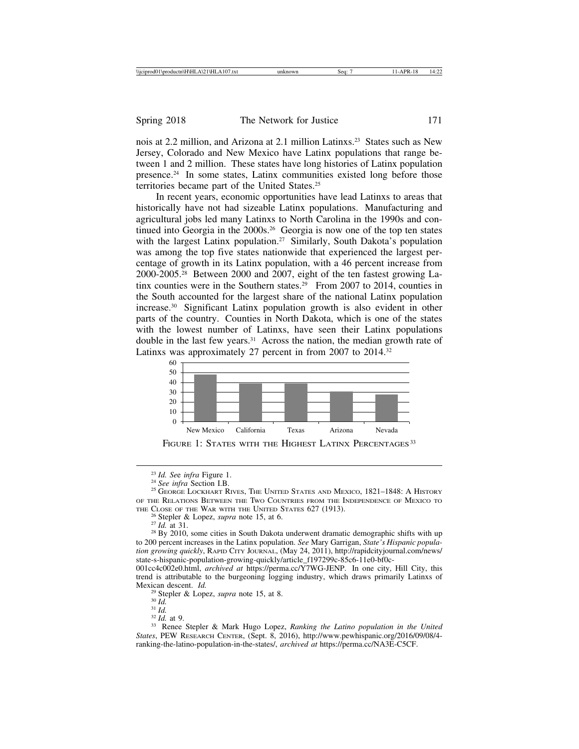nois at 2.2 million, and Arizona at 2.1 million Latinxs.23 States such as New Jersey, Colorado and New Mexico have Latinx populations that range between 1 and 2 million. These states have long histories of Latinx population presence.24 In some states, Latinx communities existed long before those territories became part of the United States.25

In recent years, economic opportunities have lead Latinxs to areas that historically have not had sizeable Latinx populations. Manufacturing and agricultural jobs led many Latinxs to North Carolina in the 1990s and continued into Georgia in the 2000s.26 Georgia is now one of the top ten states with the largest Latinx population.<sup>27</sup> Similarly, South Dakota's population was among the top five states nationwide that experienced the largest percentage of growth in its Latinx population, with a 46 percent increase from 2000-2005.28 Between 2000 and 2007, eight of the ten fastest growing Latinx counties were in the Southern states.<sup>29</sup> From 2007 to 2014, counties in the South accounted for the largest share of the national Latinx population increase.30 Significant Latinx population growth is also evident in other parts of the country. Counties in North Dakota, which is one of the states with the lowest number of Latinxs, have seen their Latinx populations double in the last few years.<sup>31</sup> Across the nation, the median growth rate of Latinxs was approximately 27 percent in from 2007 to 2014.32



FIGURE 1: STATES WITH THE HIGHEST LATINX PERCENTAGES<sup>33</sup>

<sup>&</sup>lt;sup>23</sup> *Id. See infra* Figure 1.<br><sup>24</sup> *See infra* Section I.B.<br><sup>25</sup> GEORGE LOCKHART RIVES, THE UNITED STATES AND MEXICO, 1821–1848: A HISTORY OF THE RELATIONS BETWEEN THE TWO COUNTRIES FROM THE INDEPENDENCE OF MEXICO TO

THE CLOSE OF THE WAR WITH THE UNITED STATES 627 (1913).<br><sup>26</sup> Stepler & Lopez, *supra* note 15, at 6.<br><sup>27</sup> *Id.* at 31.<br><sup>28</sup> By 2010, some cities in South Dakota underwent dramatic demographic shifts with up to 200 percent increases in the Latinx population. *See* Mary Garrigan, *State's Hispanic population growing quickly*, RAPID CITY JOURNAL, (May 24, 2011), http://rapidcityjournal.com/news/ state-s-hispanic-population-growing-quickly/article\_f197299c-85c6-11e0-bf0c-

<sup>001</sup>cc4c002e0.html, *archived at* https://perma.cc/Y7WG-JENP. In one city, Hill City, this trend is attributable to the burgeoning logging industry, which draws primarily Latinxs of Mexican descent. *Id.*<br><sup>29</sup> Stepler & Lopez, *supra* note 15, at 8.<br><sup>30</sup> *Id.* 31 *Id.* 32 *Id.* at 9.<br><sup>33</sup> Renee Stepler & Mark Hugo Lopez, *Ranking the Latino population in the United* 

*States*, PEW RESEARCH CENTER, (Sept. 8, 2016), http://www.pewhispanic.org/2016/09/08/4 ranking-the-latino-population-in-the-states/, *archived at* https://perma.cc/NA3E-C5CF.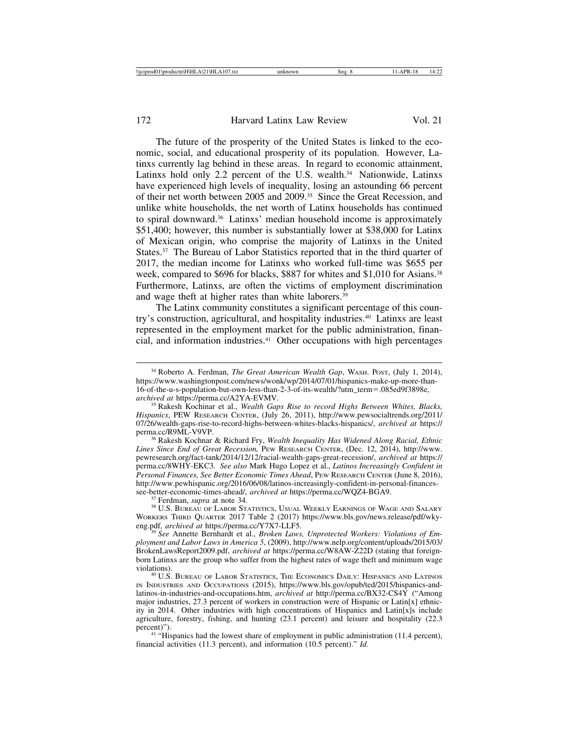The future of the prosperity of the United States is linked to the economic, social, and educational prosperity of its population. However, Latinxs currently lag behind in these areas. In regard to economic attainment, Latinxs hold only 2.2 percent of the U.S. wealth. $34$  Nationwide, Latinxs have experienced high levels of inequality, losing an astounding 66 percent of their net worth between 2005 and 2009.35 Since the Great Recession, and unlike white households, the net worth of Latinx households has continued to spiral downward.36 Latinxs' median household income is approximately \$51,400; however, this number is substantially lower at \$38,000 for Latinx of Mexican origin, who comprise the majority of Latinxs in the United States.<sup>37</sup> The Bureau of Labor Statistics reported that in the third quarter of 2017, the median income for Latinxs who worked full-time was \$655 per week, compared to \$696 for blacks, \$887 for whites and \$1,010 for Asians.<sup>38</sup> Furthermore, Latinxs, are often the victims of employment discrimination and wage theft at higher rates than white laborers.39

The Latinx community constitutes a significant percentage of this country's construction, agricultural, and hospitality industries.40 Latinxs are least represented in the employment market for the public administration, financial, and information industries.41 Other occupations with high percentages

<sup>36</sup> Rakesh Kochnar & Richard Fry, *Wealth Inequality Has Widened Along Racial, Ethnic Lines Since End of Great Recession,* PEW RESEARCH CENTER, (Dec. 12, 2014), http://www. pewresearch.org/fact-tank/2014/12/12/racial-wealth-gaps-great-recession/, *archived at* https:// perma.cc/8WHY-EKC3*. See also* Mark Hugo Lopez et al., *Latinos Increasingly Confident in Personal Finances, See Better Economic Times Ahead*, PEW RESEARCH CENTER (June 8, 2016), http://www.pewhispanic.org/2016/06/08/latinos-increasingly-confident-in-personal-finances-<br>see-better-economic-times-ahead/, *archived at https://perma.cc/WOZ4-BGA9.* 

<sup>37</sup> Ferdman, *supra* at note 34.<br><sup>38</sup> U.S. Bureau of Labor Statistics, Usual Weekly Earnings of Wage and Salary WORKERS THIRD QUARTER 2017 Table 2 (2017) https://www.bls.gov/news.release/pdf/wky-eng.pdf, archived at https://perma.cc/Y7X7-LLF5.

<sup>9</sup> See Annette Bernhardt et al., *Broken Laws, Unprotected Workers: Violations of Employment and Labor Laws in America 5*, (2009), http://www.nelp.org/content/uploads/2015/03/ BrokenLawsReport2009.pdf, *archived at* https://perma.cc/W8AW-Z22D (stating that foreignborn Latinxs are the group who suffer from the highest rates of wage theft and minimum wage

<sup>40</sup> U.S. BUREAU OF LABOR STATISTICS, THE ECONOMICS DAILY: HISPANICS AND LATINOS IN INDUSTRIES AND OCCUPATIONS (2015), https://www.bls.gov/opub/ted/2015/hispanics-andlatinos-in-industries-and-occupations.htm, *archived at* http://perma.cc/BX32-CS4Y ("Among major industries, 27.3 percent of workers in construction were of Hispanic or Latin[x] ethnicity in 2014. Other industries with high concentrations of Hispanics and Latin[x]s include agriculture, forestry, fishing, and hunting (23.1 percent) and leisure and hospitality (22.3 percent)").

<sup>41</sup> "Hispanics had the lowest share of employment in public administration (11.4 percent), financial activities (11.3 percent), and information (10.5 percent)." *Id.*

<sup>34</sup> Roberto A. Ferdman, *The Great American Wealth Gap*, WASH. POST, (July 1, 2014), https://www.washingtonpost.com/news/wonk/wp/2014/07/01/hispanics-make-up-more-than-16-of-the-u-s-population-but-own-less-than-2-3-of-its-wealth/?utm\_term=.085ed9f3898e, *archived at* https://perma.cc/A2YA-EVMV. <sup>35</sup> Rakesh Kochinar et al., *Wealth Gaps Rise to record Highs Between Whites, Blacks,*

*Hispanics*, PEW RESEARCH CENTER, (July 26, 2011), http://www.pewsocialtrends.org/2011/ 07/26/wealth-gaps-rise-to-record-highs-between-whites-blacks-hispanics/, *archived at* https://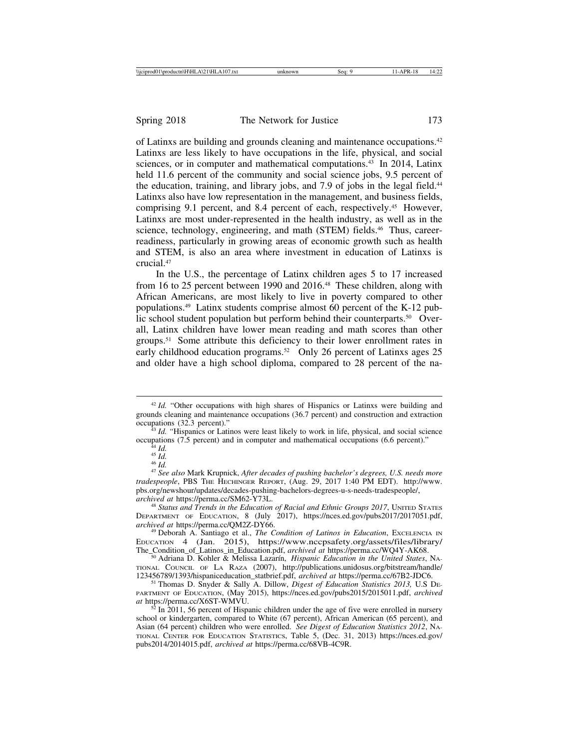of Latinxs are building and grounds cleaning and maintenance occupations.42 Latinxs are less likely to have occupations in the life, physical, and social sciences, or in computer and mathematical computations.<sup>43</sup> In 2014, Latinx held 11.6 percent of the community and social science jobs, 9.5 percent of the education, training, and library jobs, and 7.9 of jobs in the legal field.<sup>44</sup> Latinxs also have low representation in the management, and business fields, comprising 9.1 percent, and 8.4 percent of each, respectively.45 However, Latinxs are most under-represented in the health industry, as well as in the science, technology, engineering, and math (STEM) fields.<sup>46</sup> Thus, careerreadiness, particularly in growing areas of economic growth such as health and STEM, is also an area where investment in education of Latinxs is crucial.47

In the U.S., the percentage of Latinx children ages 5 to 17 increased from 16 to 25 percent between 1990 and 2016.48 These children, along with African Americans, are most likely to live in poverty compared to other populations.49 Latinx students comprise almost 60 percent of the K-12 public school student population but perform behind their counterparts.<sup>50</sup> Overall, Latinx children have lower mean reading and math scores than other groups.51 Some attribute this deficiency to their lower enrollment rates in early childhood education programs.<sup>52</sup> Only 26 percent of Latinxs ages 25 and older have a high school diploma, compared to 28 percent of the na-

*tradespeople*, PBS THE HECHINGER REPORT, (Aug. 29, 2017 1:40 PM EDT). http://www. pbs.org/newshour/updates/decades-pushing-bachelors-degrees-u-s-needs-tradespeople/, archived at https://perma.cc/SM62-Y73L.

<sup>48</sup> Status and Trends in the Education of Racial and Ethnic Groups 2017, UNITED STATES DEPARTMENT OF EDUCATION, 8 (July 2017), https://nces.ed.gov/pubs2017/2017051.pdf, archived at https://perma.cc/QM2Z-DY66.

<sup>49</sup> Deborah A. Santiago et al., *The Condition of Latinos in Education*, Excelencia IN EDUCATION 4 (Jan. 2015), https://www.nccpsafety.org/assets/files/library/<br>The\_Condition\_of\_Latinos\_in\_Education.pdf, *archived at https://perma.cc/WQ4Y-AK68.* 

<sup>50</sup> Adriana D. Kohler & Melissa Lazarín, *Hispanic Education in the United States*, NA-TIONAL COUNCIL OF LA RAZA (2007), http://publications.unidosus.org/bitstream/handle/<br>123456789/1393/hispaniceducation\_statbrief.pdf, *archived at* https://perma.cc/67B2-JDC6.

<sup>51</sup> Thomas D. Snyder & Sally A. Dillow, *Digest of Education Statistics 2013*, U.S DE-PARTMENT OF EDUCATION, (May 2015), https://nces.ed.gov/pubs2015/2015011.pdf, *archived*

 $a^{5}$  In 2011, 56 percent of Hispanic children under the age of five were enrolled in nursery school or kindergarten, compared to White (67 percent), African American (65 percent), and Asian (64 percent) children who were enrolled. *See Digest of Education Statistics 2012*, NA-TIONAL CENTER FOR EDUCATION STATISTICS, Table 5, (Dec. 31, 2013) https://nces.ed.gov/ pubs2014/2014015.pdf, *archived at* https://perma.cc/68VB-4C9R.

<sup>&</sup>lt;sup>42</sup> *Id.* "Other occupations with high shares of Hispanics or Latinxs were building and grounds cleaning and maintenance occupations (36.7 percent) and construction and extraction

<sup>&</sup>lt;sup>43</sup> *Id.* "Hispanics or Latinos were least likely to work in life, physical, and social science occupations (7.5 percent) and in computer and mathematical occupations (6.6 percent)."<br>
<sup>44</sup> *Id.*<br>
<sup>45</sup> *Id.*<br>
<sup>45</sup> *Id.*<br>
<sup>47</sup> See also Mark Krupnick, After decades of pushing bachelor's degrees, U.S. needs more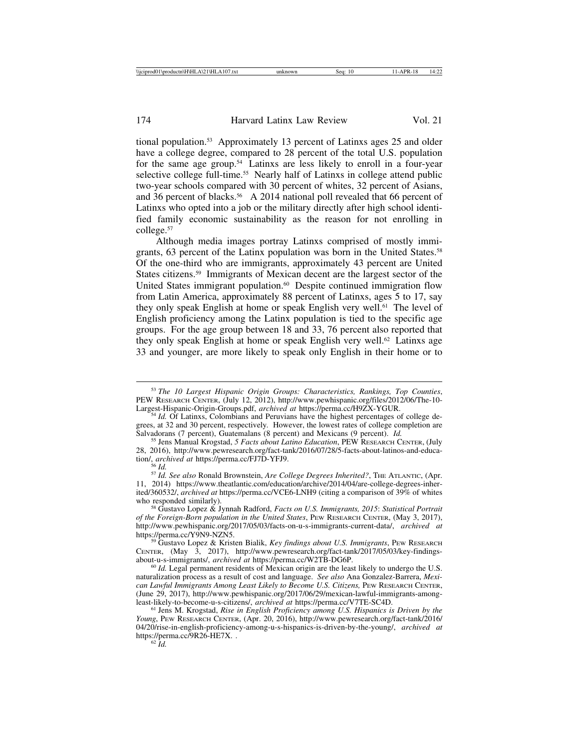tional population.53 Approximately 13 percent of Latinxs ages 25 and older have a college degree, compared to 28 percent of the total U.S. population for the same age group.<sup>54</sup> Latinxs are less likely to enroll in a four-year selective college full-time.<sup>55</sup> Nearly half of Latinxs in college attend public two-year schools compared with 30 percent of whites, 32 percent of Asians, and 36 percent of blacks.<sup>56</sup> A 2014 national poll revealed that 66 percent of Latinxs who opted into a job or the military directly after high school identified family economic sustainability as the reason for not enrolling in college.57

Although media images portray Latinxs comprised of mostly immigrants, 63 percent of the Latinx population was born in the United States.<sup>58</sup> Of the one-third who are immigrants, approximately 43 percent are United States citizens.59 Immigrants of Mexican decent are the largest sector of the United States immigrant population.<sup>60</sup> Despite continued immigration flow from Latin America, approximately 88 percent of Latinxs, ages 5 to 17, say they only speak English at home or speak English very well.<sup>61</sup> The level of English proficiency among the Latinx population is tied to the specific age groups. For the age group between 18 and 33, 76 percent also reported that they only speak English at home or speak English very well.<sup>62</sup> Latinxs age 33 and younger, are more likely to speak only English in their home or to

tion/, *archived at* https://perma.cc/FJ7D-YFJ9. <sup>56</sup> *Id.* <sup>57</sup> *Id. See also* Ronald Brownstein, *Are College Degrees Inherited?*, THE ATLANTIC, (Apr. 11, 2014) https://www.theatlantic.com/education/archive/2014/04/are-college-degrees-inherited/360532/, *archived at https://perma.cc/VCE6-LNH9* (citing a comparison of 39% of whites who responded similarly).

<sup>58</sup> Gustavo Lopez & Jynnah Radford, *Facts on U.S. Immigrants, 2015*: *Statistical Portrait of the Foreign-Born population in the United States*, PEW RESEARCH CENTER, (May 3, 2017), http://www.pewhispanic.org/2017/05/03/facts-on-u-s-immigrants-current-data/, *archived at*

<sup>59</sup> Gustavo Lopez & Kristen Bialik, *Key findings about U.S. Immigrants*, PEW RESEARCH CENTER, (May  $\bar{3}$ , 2017), http://www.pewresearch.org/fact-tank/2017/05/03/key-findings-about-u-s-immigrants/, *archived at* https://perma.cc/W2TB-DG6P.

<sup>60</sup> *Id.* Legal permanent residents of Mexican origin are the least likely to undergo the U.S. naturalization process as a result of cost and language. *See also* Ana Gonzalez-Barrera, *Mexican Lawful Immigrants Among Least Likely to Become U.S. Citizens, PEW RESEARCH CENTER,* (June 29, 2017), http://www.pewhispanic.org/2017/06/29/mexican-lawful-immigrants-among-least-likely-to-become-u-s-citizens/, archived at https://perma.cc/V7TE-SC4D.

<sup>61</sup> Jens M. Krogstad, *Rise in English Proficiency among U.S. Hispanics is Driven by the Young*, PEW RESEARCH CENTER, (Apr. 20, 2016), http://www.pewresearch.org/fact-tank/2016/ 04/20/rise-in-english-proficiency-among-u-s-hispanics-is-driven-by-the-young/, *archived at* https://perma.cc/9R26-HE7X. .<br><sup>62</sup> *Id.* 

<sup>53</sup> *The 10 Largest Hispanic Origin Groups: Characteristics, Rankings, Top Counties*, PEW RESEARCH CENTER, (July 12, 2012), http://www.pewhispanic.org/files/2012/06/The-10-<br>Largest-Hispanic-Origin-Groups.pdf, archived at https://perma.cc/H9ZX-YGUR.

<sup>&</sup>lt;sup>54</sup> *Id.* Of Latinxs, Colombians and Peruvians have the highest percentages of college degrees, at 32 and 30 percent, respectively. However, the lowest rates of college completion are Salvadorans (7 percent), Guatemalans (8 percent) and Mexicans (9 percent). *Id.* 

<sup>55</sup> Jens Manual Krogstad, 5 Facts about Latino Education, PEW RESEARCH CENTER, (July 28, 2016), http://www.pewresearch.org/fact-tank/2016/07/28/5-facts-about-latinos-and-educa-tion/, *archived at* https://perma.cc/FJ7D-YFJ9.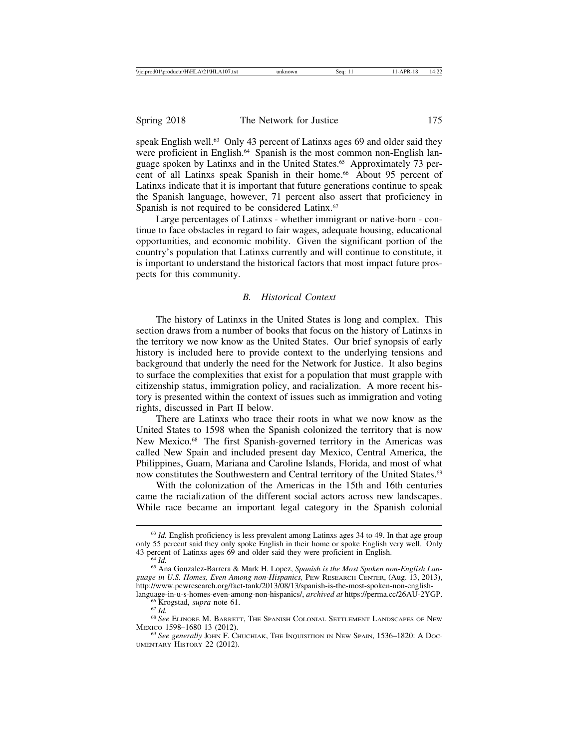speak English well.<sup>63</sup> Only 43 percent of Latinxs ages 69 and older said they were proficient in English.<sup>64</sup> Spanish is the most common non-English language spoken by Latinxs and in the United States.<sup>65</sup> Approximately 73 percent of all Latinxs speak Spanish in their home.<sup>66</sup> About 95 percent of Latinxs indicate that it is important that future generations continue to speak the Spanish language, however, 71 percent also assert that proficiency in Spanish is not required to be considered Latinx.<sup>67</sup>

Large percentages of Latinxs - whether immigrant or native-born - continue to face obstacles in regard to fair wages, adequate housing, educational opportunities, and economic mobility. Given the significant portion of the country's population that Latinxs currently and will continue to constitute, it is important to understand the historical factors that most impact future prospects for this community.

#### *B. Historical Context*

The history of Latinxs in the United States is long and complex. This section draws from a number of books that focus on the history of Latinxs in the territory we now know as the United States. Our brief synopsis of early history is included here to provide context to the underlying tensions and background that underly the need for the Network for Justice. It also begins to surface the complexities that exist for a population that must grapple with citizenship status, immigration policy, and racialization. A more recent history is presented within the context of issues such as immigration and voting rights, discussed in Part II below.

There are Latinxs who trace their roots in what we now know as the United States to 1598 when the Spanish colonized the territory that is now New Mexico.<sup>68</sup> The first Spanish-governed territory in the Americas was called New Spain and included present day Mexico, Central America, the Philippines, Guam, Mariana and Caroline Islands, Florida, and most of what now constitutes the Southwestern and Central territory of the United States.<sup>69</sup>

With the colonization of the Americas in the 15th and 16th centuries came the racialization of the different social actors across new landscapes. While race became an important legal category in the Spanish colonial

<sup>&</sup>lt;sup>63</sup> *Id.* English proficiency is less prevalent among Latinxs ages 34 to 49. In that age group only 55 percent said they only spoke English in their home or spoke English very well. Only

<sup>&</sup>lt;sup>64</sup> Id.<br><sup>65</sup> Ana Gonzalez-Barrera & Mark H. Lopez, *Spanish is the Most Spoken non-English Language in U.S. Homes, Even Among non-Hispanics,* PEW RESEARCH CENTER, (Aug. 13, 2013), http://www.pewresearch.org/fact-tank/2013/08/13/spanish-is-the-most-spoken-non-english-<br>language-in-u-s-homes-even-among-non-hispanics/, *archived at* https://perma.cc/26AU-2YGP.

<sup>&</sup>lt;sup>66</sup> Krogstad, *supra* note 61.<br>
<sup>67</sup> Id.<br>
<sup>68</sup> See Elinore M. Barrett, The Spanish Colonial Settlement Landscapes of New<br>
Mexico 1598–1680 13 (2012).

<sup>&</sup>lt;sup>69</sup> See generally JOHN F. CHUCHIAK, THE INQUISITION IN NEW SPAIN, 1536–1820: A DOC-UMENTARY HISTORY 22 (2012).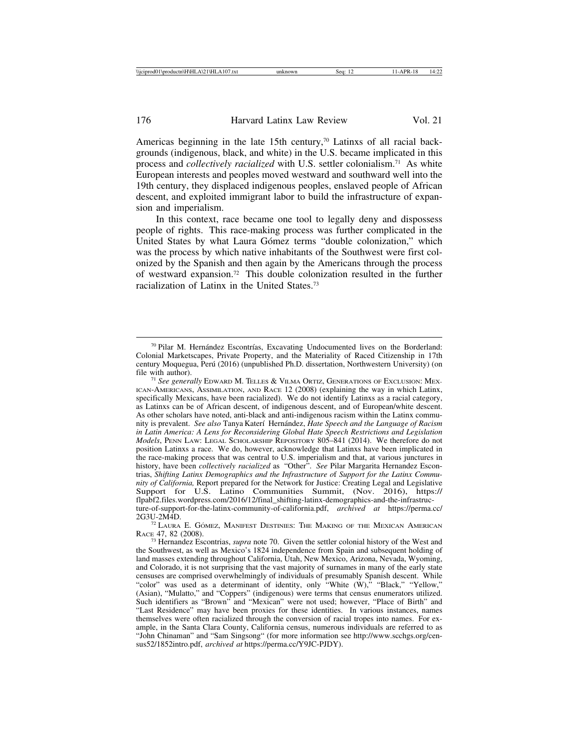Americas beginning in the late 15th century,<sup>70</sup> Latinxs of all racial backgrounds (indigenous, black, and white) in the U.S. became implicated in this process and *collectively racialized* with U.S. settler colonialism.71 As white European interests and peoples moved westward and southward well into the 19th century, they displaced indigenous peoples, enslaved people of African descent, and exploited immigrant labor to build the infrastructure of expansion and imperialism.

In this context, race became one tool to legally deny and dispossess people of rights. This race-making process was further complicated in the United States by what Laura Gómez terms "double colonization," which was the process by which native inhabitants of the Southwest were first colonized by the Spanish and then again by the Americans through the process of westward expansion.72 This double colonization resulted in the further racialization of Latinx in the United States.73

 $72$  Laura E. GÓmez, Manifest Destinies: The Making of the Mexican American RACE 47, 82 (2008).

<sup>70</sup> Pilar M. Hernández Escontrías, Excavating Undocumented lives on the Borderland: Colonial Marketscapes, Private Property, and the Materiality of Raced Citizenship in 17th century Moquegua, Perú (2016) (unpublished Ph.D. dissertation, Northwestern University) (on file with author). <sup>71</sup> *See generally* EDWARD M. TELLES & VILMA ORTIZ, GENERATIONS OF EXCLUSION: MEX-

ICAN-AMERICANS, ASSIMILATION, AND RACE 12 (2008) (explaining the way in which Latinx, specifically Mexicans, have been racialized). We do not identify Latinxs as a racial category, as Latinxs can be of African descent, of indigenous descent, and of European/white descent. As other scholars have noted, anti-black and anti-indigenous racism within the Latinx community is prevalent. *See also* Tanya Kater´ı Hern´andez, *Hate Speech and the Language of Racism in Latin America: A Lens for Reconsidering Global Hate Speech Restrictions and Legislation Models*, PENN LAW: LEGAL SCHOLARSHIP REPOSITORY 805–841 (2014). We therefore do not position Latinxs a race. We do, however, acknowledge that Latinxs have been implicated in the race-making process that was central to U.S. imperialism and that, at various junctures in history, have been *collectively racialized* as "Other". *See* Pilar Margarita Hernandez Escontrias, *Shifting Latinx Demographics and the Infrastructure o*f *Support for the Latinx Community of California,* Report prepared for the Network for Justice: Creating Legal and Legislative Support for U.S. Latino Communities Summit, (Nov. 2016), https:// flpabf2.files.wordpress.com/2016/12/final\_shifting-latinx-demographics-and-the-infrastructure-of-support-for-the-latinx-community-of-california.pdf, *archived at* https://perma.cc/

<sup>73</sup> Hernandez Escontrias, *supra* note 70. Given the settler colonial history of the West and the Southwest, as well as Mexico's 1824 independence from Spain and subsequent holding of land masses extending throughout California, Utah, New Mexico, Arizona, Nevada, Wyoming, and Colorado, it is not surprising that the vast majority of surnames in many of the early state censuses are comprised overwhelmingly of individuals of presumably Spanish descent. While "color" was used as a determinant of identity, only "White (W)," "Black," "Yellow," (Asian), "Mulatto," and "Coppers" (indigenous) were terms that census enumerators utilized. Such identifiers as "Brown" and "Mexican" were not used; however, "Place of Birth" and "Last Residence" may have been proxies for these identities. In various instances, names themselves were often racialized through the conversion of racial tropes into names. For example, in the Santa Clara County, California census, numerous individuals are referred to as "John Chinaman" and "Sam Singsong" (for more information see http://www.scchgs.org/census52/1852intro.pdf, *archived at* https://perma.cc/Y9JC-PJDY).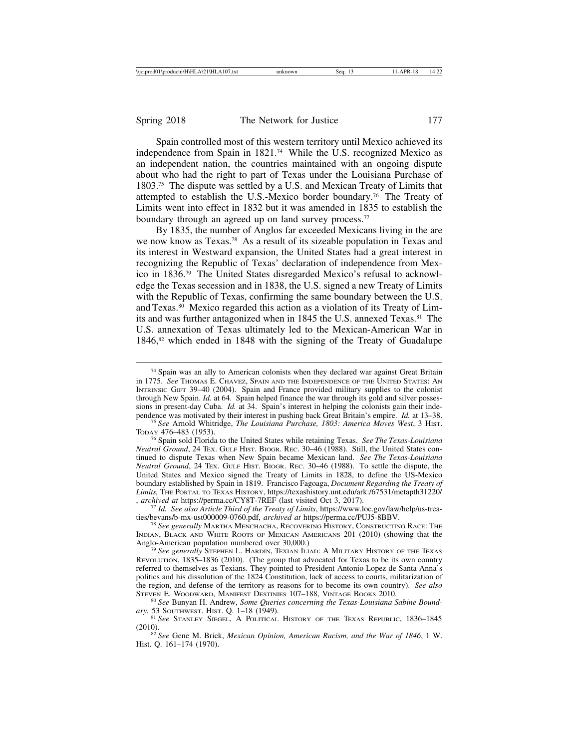Spain controlled most of this western territory until Mexico achieved its independence from Spain in 1821.74 While the U.S. recognized Mexico as an independent nation, the countries maintained with an ongoing dispute about who had the right to part of Texas under the Louisiana Purchase of 1803.75 The dispute was settled by a U.S. and Mexican Treaty of Limits that attempted to establish the U.S.-Mexico border boundary.76 The Treaty of Limits went into effect in 1832 but it was amended in 1835 to establish the boundary through an agreed up on land survey process.<sup>77</sup>

By 1835, the number of Anglos far exceeded Mexicans living in the are we now know as Texas.78 As a result of its sizeable population in Texas and its interest in Westward expansion, the United States had a great interest in recognizing the Republic of Texas' declaration of independence from Mexico in 1836.79 The United States disregarded Mexico's refusal to acknowledge the Texas secession and in 1838, the U.S. signed a new Treaty of Limits with the Republic of Texas, confirming the same boundary between the U.S. and Texas.<sup>80</sup> Mexico regarded this action as a violation of its Treaty of Limits and was further antagonized when in 1845 the U.S. annexed Texas.81 The U.S. annexation of Texas ultimately led to the Mexican-American War in 1846,<sup>82</sup> which ended in 1848 with the signing of the Treaty of Guadalupe

<sup>&</sup>lt;sup>74</sup> Spain was an ally to American colonists when they declared war against Great Britain in 1775. *See* THOMAS E. CHAVEZ, SPAIN AND THE INDEPENDENCE OF THE UNITED STATES: AN INTRINSIC GIFT 39–40 (2004). Spain and France provided military supplies to the colonist through New Spain. *Id.* at 64. Spain helped finance the war through its gold and silver possessions in present-day Cuba. *Id.* at 34. Spain's interest in helping the colonists gain their inde-<br>pendence was motivated by their interest in pushing back Great Britain's empire. *Id.* at 13–38.

<sup>&</sup>lt;sup>75</sup> See Arnold Whitridge, *The Louisiana Purchase, 1803: America Moves West*, 3 HIST. *TODAY 476–483* (1953).

<sup>&</sup>lt;sup>76</sup> Spain sold Florida to the United States while retaining Texas. *See The Texas-Louisiana Neutral Ground*, 24 TEX. GULF HIST. BIOGR. REC. 30–46 (1988). Still, the United States continued to dispute Texas when New Spain became Mexican land. *See The Texas-Louisiana Neutral Ground*, 24 TEX. GULF HIST. BIOGR. REC. 30–46 (1988). To settle the dispute, the United States and Mexico signed the Treaty of Limits in 1828, to define the US-Mexico boundary established by Spain in 1819. Francisco Fagoaga, *Document Regarding the Treaty of* Limits, THE PORTAL TO TEXAS HISTORY, https://texashistory.unt.edu/ark:/67531/metapth31220/<br>, archived at https://perma.cc/CY8T-7REF (last visited Oct 3, 2017).

<sup>&</sup>lt;sup>77</sup> Id. See also Article Third of the Treaty of Limits, https://www.loc.gov/law/help/us-trea-<br>ties/bevans/b-mx-ust000009-0760.pdf, archived at https://perma.cc/PUJ5-8BBV.

<sup>&</sup>lt;sup>78</sup> See generally Martha Menchacha, Recovering History, Constructing Race: The INDIAN, BLACK AND WHITE ROOTS OF MEXICAN AMERICANS 201 (2010) (showing that the Anglo-American population numbered over 30,000.)

<sup>&</sup>lt;sup>79</sup> See generally Stephen L. HARDIN, Texian Iliad: A MILITARY HISTORY OF THE Texas REVOLUTION, 1835–1836 (2010). (The group that advocated for Texas to be its own country referred to themselves as Texians. They pointed to President Antonio Lopez de Santa Anna's politics and his dissolution of the 1824 Constitution, lack of access to courts, militarization of the region, and defense of the territory as reasons for to become its own country). *See also*

<sup>&</sup>lt;sup>80</sup> See Bunyan H. Andrew, Some Queries concerning the Texas-Louisiana Sabine Bound-

*ary*, 53 SOUTHWEST. HIST. Q. 1–18 (1949). <sup>81</sup> *See* STANLEY SIEGEL, A POLITICAL HISTORY OF THE TEXAS REPUBLIC, 1836–1845 (2010).

<sup>&</sup>lt;sup>82</sup> See Gene M. Brick, *Mexican Opinion, American Racism, and the War of 1846*, 1 W. Hist. Q. 161–174 (1970).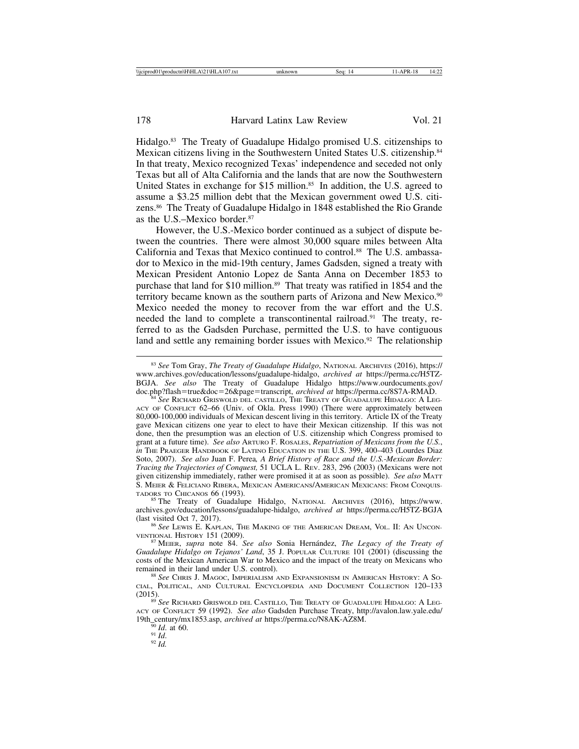Hidalgo.83 The Treaty of Guadalupe Hidalgo promised U.S. citizenships to Mexican citizens living in the Southwestern United States U.S. citizenship.84 In that treaty, Mexico recognized Texas' independence and seceded not only Texas but all of Alta California and the lands that are now the Southwestern United States in exchange for \$15 million.<sup>85</sup> In addition, the U.S. agreed to assume a \$3.25 million debt that the Mexican government owed U.S. citizens.86 The Treaty of Guadalupe Hidalgo in 1848 established the Rio Grande as the U.S.–Mexico border.87

However, the U.S.-Mexico border continued as a subject of dispute between the countries. There were almost 30,000 square miles between Alta California and Texas that Mexico continued to control.88 The U.S. ambassador to Mexico in the mid-19th century, James Gadsden, signed a treaty with Mexican President Antonio Lopez de Santa Anna on December 1853 to purchase that land for \$10 million.<sup>89</sup> That treaty was ratified in 1854 and the territory became known as the southern parts of Arizona and New Mexico.<sup>90</sup> Mexico needed the money to recover from the war effort and the U.S. needed the land to complete a transcontinental railroad.<sup>91</sup> The treaty, referred to as the Gadsden Purchase, permitted the U.S. to have contiguous land and settle any remaining border issues with Mexico.<sup>92</sup> The relationship

<sup>83</sup> *See* Tom Gray, *The Treaty of Guadalupe Hidalgo*, NATIONAL ARCHIVES (2016), https:// www.archives.gov/education/lessons/guadalupe-hidalgo, *archived at* https://perma.cc/H5TZ-BGJA. *See also* The Treaty of Guadalupe Hidalgo https://www.ourdocuments.gov/ doc.php?flash=true&doc=26&page=transcript, *archived at* https://perma.cc/8S7A-RMAD. <sup>84</sup> *See* RICHARD GRISWOLD DEL CASTILLO, THE TREATY OF GUADALUPE HIDALGO: A LEG-

ACY OF CONFLICT 62–66 (Univ. of Okla. Press 1990) (There were approximately between 80,000-100,000 individuals of Mexican descent living in this territory. Article IX of the Treaty gave Mexican citizens one year to elect to have their Mexican citizenship. If this was not done, then the presumption was an election of U.S. citizenship which Congress promised to grant at a future time). *See also* ARTURO F. ROSALES, *Repatriation of Mexicans from the U.S.*, *in* THE PRAEGER HANDBOOK OF LATINO EDUCATION IN THE U.S. 399, 400–403 (Lourdes Diaz Soto, 2007). *See also* Juan F. Perea*, A Brief History of Race and the U.S.-Mexican Border: Tracing the Trajectories of Conquest,* 51 UCLA L. REV. 283, 296 (2003) (Mexicans were not given citizenship immediately, rather were promised it at as soon as possible). *See also* MATT S. MEIER & FELICIANO RIBERA, MEXICAN AMERICANS/AMERICAN MEXICANS: FROM CONQUISTADORS TO CHICANOS 66 (1993).

<sup>85</sup> The Treaty of Guadalupe Hidalgo, NATIONAL ARCHIVES (2016), https://www. archives.gov/education/lessons/guadalupe-hidalgo, *archived at* https://perma.cc/H5TZ-BGJA

<sup>&</sup>lt;sup>86</sup> See LEWIS E. KAPLAN, THE MAKING OF THE AMERICAN DREAM, VOL. II: AN UNCONVENTIONAL HISTORY 151 (2009).

<sup>&</sup>lt;sup>87</sup> MEIER, *supra* note 84. *See also* Sonia Hernández, *The Legacy of the Treaty of Guadalupe Hidalgo on Tejanos' Land*, 35 J. POPULAR CULTURE 101 (2001) (discussing the costs of the Mexican American War to Mexico and the impact of the treaty on Mexicans who remained in their land under U.S. control). <sup>88</sup> See CHRIS J. MAGOC, IMPERIALISM AND EXPANSIONISM IN AMERICAN HISTORY: A SO-

CIAL, POLITICAL, AND CULTURAL ENCYCLOPEDIA AND DOCUMENT COLLECTION 120–133 (2015). <sup>89</sup> *See* RICHARD GRISWOLD DEL CASTILLO, THE TREATY OF GUADALUPE HIDALGO: A LEG-

ACY OF CONFLICT 59 (1992). *See also* Gadsden Purchase Treaty, http://avalon.law.yale.edu/ 19th\_century/mx1853.asp, *archived at* https://perma.cc/N8AK-AZ8M.<br><sup>90</sup> *Id.* at 60. <sup>91</sup> *Id.* 92 *Id.*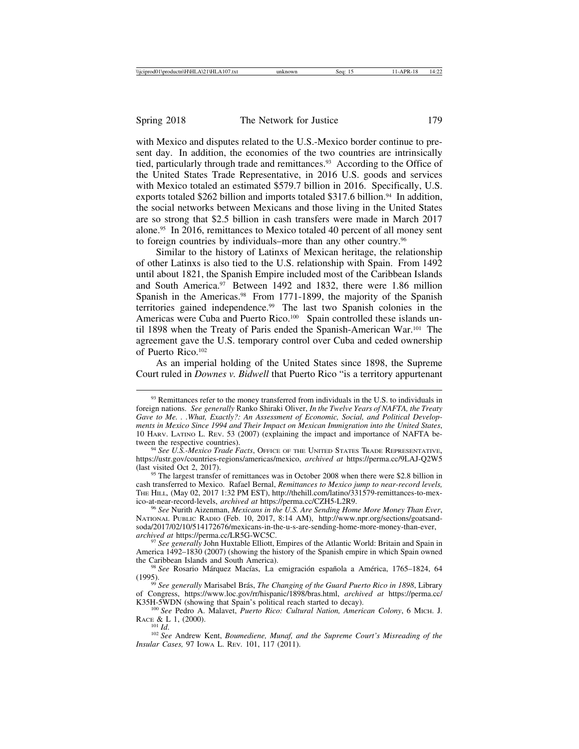with Mexico and disputes related to the U.S.-Mexico border continue to present day. In addition, the economies of the two countries are intrinsically tied, particularly through trade and remittances.<sup>93</sup> According to the Office of the United States Trade Representative, in 2016 U.S. goods and services with Mexico totaled an estimated \$579.7 billion in 2016. Specifically, U.S. exports totaled \$262 billion and imports totaled \$317.6 billion.<sup>94</sup> In addition, the social networks between Mexicans and those living in the United States are so strong that \$2.5 billion in cash transfers were made in March 2017 alone.95 In 2016, remittances to Mexico totaled 40 percent of all money sent to foreign countries by individuals–more than any other country.96

Similar to the history of Latinxs of Mexican heritage, the relationship of other Latinxs is also tied to the U.S. relationship with Spain. From 1492 until about 1821, the Spanish Empire included most of the Caribbean Islands and South America.97 Between 1492 and 1832, there were 1.86 million Spanish in the Americas.<sup>98</sup> From 1771-1899, the majority of the Spanish territories gained independence.99 The last two Spanish colonies in the Americas were Cuba and Puerto Rico.<sup>100</sup> Spain controlled these islands until 1898 when the Treaty of Paris ended the Spanish-American War.101 The agreement gave the U.S. temporary control over Cuba and ceded ownership of Puerto Rico.102

As an imperial holding of the United States since 1898, the Supreme Court ruled in *Downes v. Bidwell* that Puerto Rico "is a territory appurtenant

<sup>95</sup> The largest transfer of remittances was in October 2008 when there were \$2.8 billion in cash transferred to Mexico. Rafael Bernal, *Remittances to Mexico jump to near-record levels,* THE HILL, (May 02, 2017 1:32 PM EST), http://thehill.com/latino/331579-remittances-to-mex-<br>ico-at-near-record-levels, *archived at* https://perma.cc/CZH5-L2R9.

<sup>96</sup> See Nurith Aizenman, *Mexicans in the U.S. Are Sending Home More Money Than Ever*, NATIONAL PUBLIC RADIO (Feb. 10, 2017, 8:14 AM), http://www.npr.org/sections/goatsandsoda/2017/02/10/514172676/mexicans-in-the-u-s-are-sending-home-more-money-than-ever, archived at https://perma.cc/LR5G-WC5C.

<sup>97</sup> See generally John Huxtable Elliott, Empires of the Atlantic World: Britain and Spain in America 1492–1830 (2007) (showing the history of the Spanish empire in which Spain owned the Caribbean Islands and South America).<br><sup>98</sup> *See* Rosario Márquez Macías, La emigración española a América, 1765–1824, 64

(1995). <sup>99</sup> *See generally* Marisabel Br´as, *The Changing of the Guard Puerto Rico in 1898*, Library

of Congress, https://www.loc.gov/rr/hispanic/1898/bras.html, *archived at* https://perma.cc/

K35H-5WDN (showing that Spain's political reach started to decay).<br><sup>100</sup> *See* Pedro A. Malavet, *Puerto Rico: Cultural Nation, American Colony*, 6 MICH. J.<br>RACE & L 1, (2000).

RACE *RACE & LACE BOTHIA.*<br><sup>102</sup> See Andrew Kent, *Boumediene, Munaf, and the Supreme Court's Misreading of the Insular Cases,* 97 IOWA L. REV*.* 101, 117 (2011).

<sup>&</sup>lt;sup>93</sup> Remittances refer to the money transferred from individuals in the U.S. to individuals in foreign nations. *See generally* Ranko Shiraki Oliver, *In the Twelve Years of NAFTA, the Treaty Gave to Me. . .What, Exactly?: An Assessment of Economic, Social, and Political Developments in Mexico Since 1994 and Their Impact on Mexican Immigration into the United States*, 10 HARV. LATINO L. REV. 53 (2007) (explaining the impact and importance of NAFTA be-

<sup>&</sup>lt;sup>94</sup> See U.S.-Mexico Trade Facts, OFFICE OF THE UNITED STATES TRADE REPRESENTATIVE, https://ustr.gov/countries-regions/americas/mexico, *archived at* https://perma.cc/9LAJ-Q2W5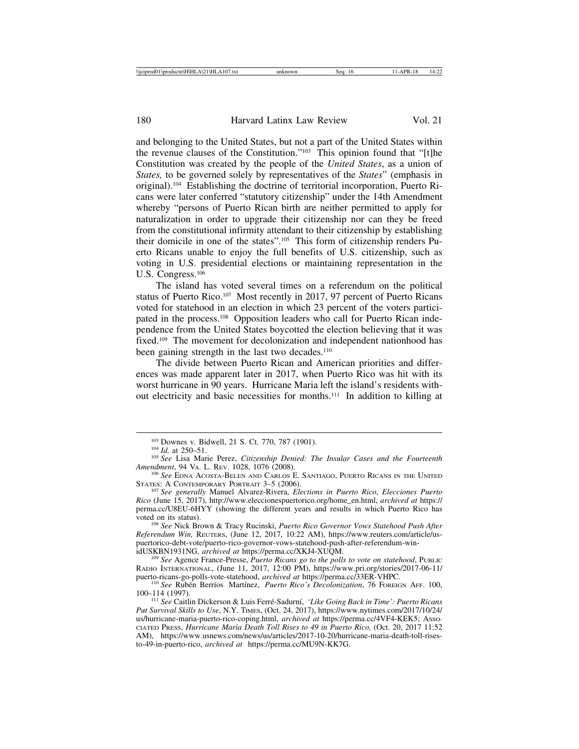and belonging to the United States, but not a part of the United States within the revenue clauses of the Constitution."103 This opinion found that "[t]he Constitution was created by the people of the *United States*, as a union of *States,* to be governed solely by representatives of the *States*" (emphasis in original).104 Establishing the doctrine of territorial incorporation, Puerto Ricans were later conferred "statutory citizenship" under the 14th Amendment whereby "persons of Puerto Rican birth are neither permitted to apply for naturalization in order to upgrade their citizenship nor can they be freed from the constitutional infirmity attendant to their citizenship by establishing their domicile in one of the states".105 This form of citizenship renders Puerto Ricans unable to enjoy the full benefits of U.S. citizenship, such as voting in U.S. presidential elections or maintaining representation in the U.S. Congress.<sup>106</sup>

The island has voted several times on a referendum on the political status of Puerto Rico.<sup>107</sup> Most recently in 2017, 97 percent of Puerto Ricans voted for statehood in an election in which 23 percent of the voters participated in the process.108 Opposition leaders who call for Puerto Rican independence from the United States boycotted the election believing that it was fixed.<sup>109</sup> The movement for decolonization and independent nationhood has been gaining strength in the last two decades.<sup>110</sup>

The divide between Puerto Rican and American priorities and differences was made apparent later in 2017, when Puerto Rico was hit with its worst hurricane in 90 years. Hurricane Maria left the island's residents without electricity and basic necessities for months.111 In addition to killing at

*Referendum Win,* REUTERS, (June 12, 2017, 10:22 AM), https://www.reuters.com/article/uspuertorico-debt-vote/puerto-rico-governor-vows-statehood-push-after-referendum-win-<br>idUSKBN1931NG, archived at https://perma.cc/XKJ4-XUQM.

<sup>109</sup> See Agence France-Presse, *Puerto Ricans go to the polls to vote on statehood*, PUBLIC RADIO INTERNATIONAL, (June 11, 2017, 12:00 PM), https://www.pri.org/stories/2017-06-11/ puerto-ricans-go-polls-vote-statehood, *archived at* https://perma.cc/33ER-VHPC.<br><sup>110</sup> *See* Rubén Berríos Martínez, *Puerto Rico's Decolonization*, 76 FOREIGN AFF. 100,

100–114 (1997).

<sup>111</sup> See Caitlin Dickerson & Luis Ferré-Sadurní, 'Like Going Back in Time': Puerto Ricans *Put Survival Skills to Use*, N.Y. TIMES, (Oct. 24, 2017), https://www.nytimes.com/2017/10/24/ us/hurricane-maria-puerto-rico-coping.html, *archived at* https://perma.cc/4VF4-KEK5; ASSO-CIATED PRESS, *Hurricane Maria Death Toll Rises to 49 in Puerto Rico,* (Oct. 20, 2017 11:52 AM), https://www.usnews.com/news/us/articles/2017-10-20/hurricane-maria-death-toll-risesto-49-in-puerto-rico, *archived at* https://perma.cc/MU9N-KK7G.

<sup>&</sup>lt;sup>103</sup> Downes v. Bidwell, 21 S. Ct. 770, 787 (1901).<br><sup>104</sup> *Id.* at 250–51.<br><sup>105</sup> *See* Lisa Marie Perez, *Citizenship Denied: The Insular Cases and the Fourteenth*<br>*Amendment*, 94 VA. L. Rev. 1028, 1076 (2008).

<sup>&</sup>lt;sup>106</sup> See EDNA ACOSTA-BELEN AND CARLOS E. SANTIAGO, PUERTO RICANS IN THE UNITED STATES: A CONTEMPORARY PORTRAIT 3–5 (2006).

<sup>&</sup>lt;sup>107</sup> See generally Manuel Alvarez-Rivera, *Elections in Puerto Rico*, *Elecciones Puerto Rico* (June 15, 2017), http://www.eleccionespuertorico.org/home\_en.html, *archived at* https:// perma.cc/U8EU-6HYY (showing the different years and results in which Puerto Rico has voted on its status). <sup>108</sup> *See* Nick Brown & Tracy Rucinski, *Puerto Rico Governor Vows Statehood Push After*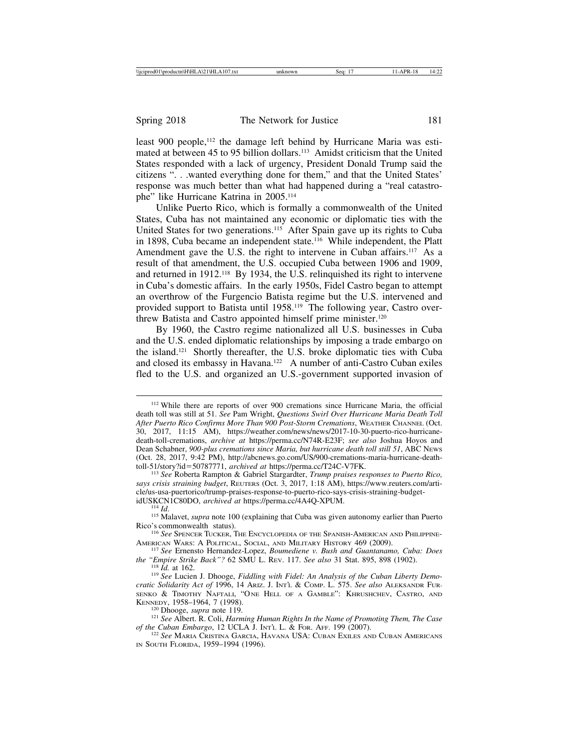least 900 people,<sup>112</sup> the damage left behind by Hurricane Maria was estimated at between 45 to 95 billion dollars.113 Amidst criticism that the United States responded with a lack of urgency, President Donald Trump said the citizens ". . .wanted everything done for them," and that the United States' response was much better than what had happened during a "real catastrophe" like Hurricane Katrina in 2005.114

Unlike Puerto Rico, which is formally a commonwealth of the United States, Cuba has not maintained any economic or diplomatic ties with the United States for two generations.<sup>115</sup> After Spain gave up its rights to Cuba in 1898, Cuba became an independent state.<sup>116</sup> While independent, the Platt Amendment gave the U.S. the right to intervene in Cuban affairs.<sup>117</sup> As a result of that amendment, the U.S. occupied Cuba between 1906 and 1909, and returned in 1912.118 By 1934, the U.S. relinquished its right to intervene in Cuba's domestic affairs. In the early 1950s, Fidel Castro began to attempt an overthrow of the Furgencio Batista regime but the U.S. intervened and provided support to Batista until 1958.119 The following year, Castro overthrew Batista and Castro appointed himself prime minister.120

By 1960, the Castro regime nationalized all U.S. businesses in Cuba and the U.S. ended diplomatic relationships by imposing a trade embargo on the island.121 Shortly thereafter, the U.S. broke diplomatic ties with Cuba and closed its embassy in Havana.<sup>122</sup> A number of anti-Castro Cuban exiles fled to the U.S. and organized an U.S.-government supported invasion of

<sup>113</sup> See Roberta Rampton & Gabriel Stargardter, *Trump praises responses to Puerto Rico*, *says crisis straining budget*, REUTERS (Oct. 3, 2017, 1:18 AM), https://www.reuters.com/article/us-usa-puertorico/trump-praises-response-to-puerto-rico-says-crisis-straining-budget-idUSKCN1C80DO, archived at https://perma.cc/4A4Q-XPUM.

<sup>112</sup> While there are reports of over 900 cremations since Hurricane Maria, the official death toll was still at 51. *See* Pam Wright, *Questions Swirl Over Hurricane Maria Death Toll After Puerto Rico Confirms More Than 900 Post-Storm Cremations*, WEATHER CHANNEL (Oct. 30, 2017, 11:15 AM), https://weather.com/news/news/2017-10-30-puerto-rico-hurricanedeath-toll-cremations, *archive at* https://perma.cc/N74R-E23F; *see also* Joshua Hoyos and Dean Schabner, *900-plus cremations since Maria, but hurricane death toll still 51*, ABC NEWS (Oct. 28, 2017, 9:42 PM), http://abcnews.go.com/US/900-cremations-maria-hurricane-death-toll-51/story?id=50787771, archived at https://perma.cc/T24C-V7FK.

<sup>&</sup>lt;sup>114</sup> *Id. a IISM alavet, <i>supra* note 100 (explaining that Cuba was given autonomy earlier than Puerto

Rico's commonwealth status).<br><sup>116</sup> *See* Spencer Tucker, The Encyclopedia of the Spanish-American and Philippine-<br>American Wars: A Political, Social, and Military History 469 (2009).

<sup>&</sup>lt;sup>117</sup> See Ernensto Hernandez-Lopez, *Boumediene v. Bush and Guantanamo, Cuba: Does the "Empire Strike Back"? 62 SMU L. REV. 117. See also 31 Stat. 895, 898 (1902).* 

<sup>&</sup>lt;sup>118</sup> Id. at 162.<br><sup>119</sup> See Lucien J. Dhooge, *Fiddling with Fidel: An Analysis of the Cuban Liberty Democratic Solidarity Act of* 1996, 14 ARIZ. J. INT'L & COMP. L. 575. *See also* ALEKSANDR FUR-SENKO & TIMOTHY NAFTALI, "ONE HELL OF A GAMBLE": KHRUSHCHEV, CASTRO, AND KENNEDY, 1958–1964, 7 (1998).

<sup>&</sup>lt;sup>120</sup> Dhooge, *supra* note 119.<br><sup>121</sup> *See* Albert. R. Coli, *Harming Human Rights In the Name of Promoting Them, The Case*<br>*of the Cuban Embargo*, 12 UCLA J. In $\tau$ *i*. L. & For. AFF. 199 (2007).

<sup>&</sup>lt;sup>122</sup> See MARIA CRISTINA GARCIA, HAVANA USA: CUBAN EXILES AND CUBAN AMERICANS IN SOUTH FLORIDA, 1959–1994 (1996).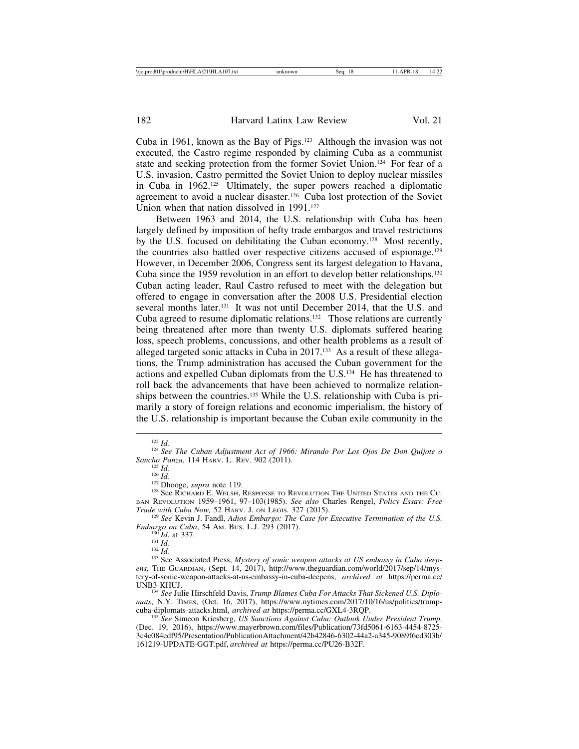Cuba in 1961, known as the Bay of Pigs.123 Although the invasion was not executed, the Castro regime responded by claiming Cuba as a communist state and seeking protection from the former Soviet Union.<sup>124</sup> For fear of a U.S. invasion, Castro permitted the Soviet Union to deploy nuclear missiles in Cuba in 1962.125 Ultimately, the super powers reached a diplomatic agreement to avoid a nuclear disaster.126 Cuba lost protection of the Soviet Union when that nation dissolved in 1991.<sup>127</sup>

Between 1963 and 2014, the U.S. relationship with Cuba has been largely defined by imposition of hefty trade embargos and travel restrictions by the U.S. focused on debilitating the Cuban economy.128 Most recently, the countries also battled over respective citizens accused of espionage.129 However, in December 2006, Congress sent its largest delegation to Havana, Cuba since the 1959 revolution in an effort to develop better relationships.<sup>130</sup> Cuban acting leader, Raul Castro refused to meet with the delegation but offered to engage in conversation after the 2008 U.S. Presidential election several months later.<sup>131</sup> It was not until December 2014, that the U.S. and Cuba agreed to resume diplomatic relations.132 Those relations are currently being threatened after more than twenty U.S. diplomats suffered hearing loss, speech problems, concussions, and other health problems as a result of alleged targeted sonic attacks in Cuba in 2017.133 As a result of these allegations, the Trump administration has accused the Cuban government for the actions and expelled Cuban diplomats from the U.S.134 He has threatened to roll back the advancements that have been achieved to normalize relationships between the countries.135 While the U.S. relationship with Cuba is primarily a story of foreign relations and economic imperialism, the history of the U.S. relationship is important because the Cuban exile community in the

<sup>125</sup> *Id.* 126 *Id.* 126 *Id.* 126 *Id.* 126 *Id.* 126 *Id.* 126 *Id.* 127 Dhooge, *supra* note 119. 128 See RICHARD E. WELSH, RESPONSE TO REVOLUTION THE UNITED STATES AND THE CU-BAN REVOLUTION 1959–1961, 97–103(1985). *See also* Charles Rengel, *Policy Essay: Free*

<sup>129</sup> See Kevin J. Fandl, *Adios Embargo: The Case for Executive Termination of the U.S. Embargo on Cuba*, 54 AM. Bus. L.J. 293 (2017).

mats, N.Y. TIMES, (Oct. 16, 2017), https://www.nytimes.com/2017/10/16/us/politics/trump-cuba-diplomats-attacks.html, *archived at https://perma.cc/GXL4-3ROP*.

<sup>135</sup> See Simeon Kriesberg, *US Sanctions Against Cuba: Outlook Under President Trump*, (Dec. 19, 2016), https://www.mayerbrown.com/files/Publication/73fd5061-6163-4454-8725- 3c4c084edf95/Presentation/PublicationAttachment/42b42846-6302-44a2-a345-9089f6cd303b/ 161219-UPDATE-GGT.pdf, *archived at* https://perma.cc/PU26-B32F.

<sup>123</sup> *Id.* <sup>124</sup> *See The Cuban Adjustment Act of 1966: Mirando Por Los Ojos De Don Quijote o*

<sup>&</sup>lt;sup>130</sup>Id. at 337.<br><sup>131</sup>Id.<br><sup>132</sup>Id. <sup>132</sup>Id. **Associated Press,** *Mystery of sonic weapon attacks at US embassy in Cuba deepens*, THE GUARDIAN, (Sept. 14, 2017), http://www.theguardian.com/world/2017/sep/14/mystery-of-sonic-weapon-attacks-at-us-embassy-in-cuba-deepens, *archived at* https://perma.cc/ UNB3-KHUJ.<br><sup>134</sup> See Julie Hirschfeld Davis, *Trump Blames Cuba For Attacks That Sickened U.S. Diplo-*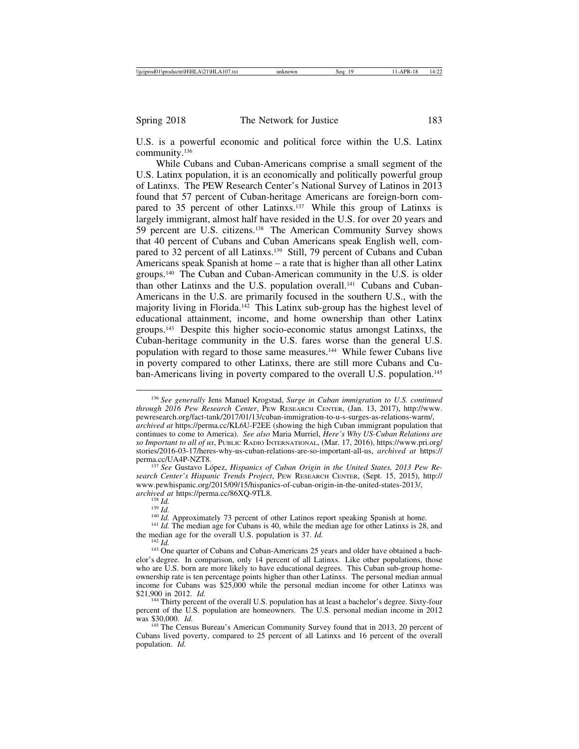U.S. is a powerful economic and political force within the U.S. Latinx community.136

While Cubans and Cuban-Americans comprise a small segment of the U.S. Latinx population, it is an economically and politically powerful group of Latinxs. The PEW Research Center's National Survey of Latinos in 2013 found that 57 percent of Cuban-heritage Americans are foreign-born compared to 35 percent of other Latinxs.<sup>137</sup> While this group of Latinxs is largely immigrant, almost half have resided in the U.S. for over 20 years and 59 percent are U.S. citizens.138 The American Community Survey shows that 40 percent of Cubans and Cuban Americans speak English well, compared to 32 percent of all Latinxs.<sup>139</sup> Still, 79 percent of Cubans and Cuban Americans speak Spanish at home – a rate that is higher than all other Latinx groups.140 The Cuban and Cuban-American community in the U.S. is older than other Latinxs and the U.S. population overall.141 Cubans and Cuban-Americans in the U.S. are primarily focused in the southern U.S., with the majority living in Florida.142 This Latinx sub-group has the highest level of educational attainment, income, and home ownership than other Latinx groups.143 Despite this higher socio-economic status amongst Latinxs, the Cuban-heritage community in the U.S. fares worse than the general U.S. population with regard to those same measures.144 While fewer Cubans live in poverty compared to other Latinxs, there are still more Cubans and Cuban-Americans living in poverty compared to the overall U.S. population.<sup>145</sup>

<sup>137</sup> See Gustavo López, *Hispanics of Cuban Origin in the United States, 2013 Pew Research Center's Hispanic Trends Project*, PEW RESEARCH CENTER, (Sept. 15, 2015), http:// www.pewhispanic.org/2015/09/15/hispanics-of-cuban-origin-in-the-united-states-2013/, archived at https://perma.cc/86XQ-9TL8.

<sup>136</sup> *See generally* Jens Manuel Krogstad, *Surge in Cuban immigration to U.S. continued through 2016 Pew Research Center*, PEW RESEARCH CENTER, (Jan. 13, 2017), http://www. pewresearch.org/fact-tank/2017/01/13/cuban-immigration-to-u-s-surges-as-relations-warm/, *archived at* https://perma.cc/KL6U-F2EE (showing the high Cuban immigrant population that continues to come to America). *See also* Maria Murriel, *Here's Why US-Cuban Relations are so Important to all of us*, PUBLIC RADIO INTERNATIONAL, (Mar. 17, 2016), https://www.pri.org/ stories/2016-03-17/heres-why-us-cuban-relations-are-so-important-all-us, *archived at* https://

<sup>&</sup>lt;sup>138</sup> *Id.*<br><sup>140</sup> *Id.* Approximately 73 percent of other Latinos report speaking Spanish at home.<br><sup>141</sup> *Id.* The median age for Cubans is 40, while the median age for other Latinxs is 28, and the median age for the over

<sup>&</sup>lt;sup>142</sup> *Id.* **I.** *Id.* D. *Id.* D. *Id.* D. *Id. Id. Id. Id. Id. Id. Id. Id. Id. Id. Id. Id. Id. Id. Id. Id. Id. Id. Id. Id. Id. Id. Id. Id. Id. Id. Id. Id. Id. Id.* elor's degree. In comparison, only 14 percent of all Latinxs. Like other populations, those who are U.S. born are more likely to have educational degrees. This Cuban sub-group homeownership rate is ten percentage points higher than other Latinxs. The personal median annual income for Cubans was \$25,000 while the personal median income for other Latinxs was \$21,900 in 2012. *Id.* 

<sup>&</sup>lt;sup>144</sup> Thirty percent of the overall U.S. population has at least a bachelor's degree. Sixty-four percent of the U.S. population are homeowners. The U.S. personal median income in 2012 was \$30,000. *Id.* 

<sup>&</sup>lt;sup>145</sup> The Census Bureau's American Community Survey found that in 2013, 20 percent of Cubans lived poverty, compared to 25 percent of all Latinxs and 16 percent of the overall population. *Id.*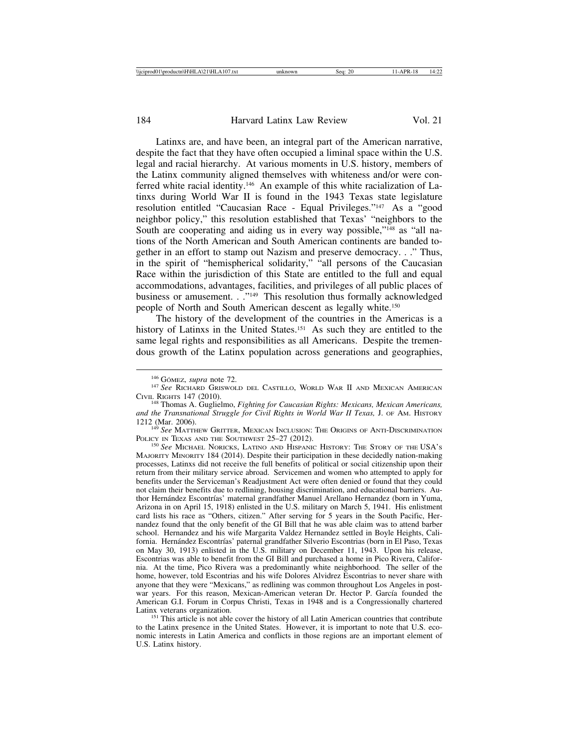Latinxs are, and have been, an integral part of the American narrative, despite the fact that they have often occupied a liminal space within the U.S. legal and racial hierarchy. At various moments in U.S. history, members of the Latinx community aligned themselves with whiteness and/or were conferred white racial identity.146 An example of this white racialization of Latinxs during World War II is found in the 1943 Texas state legislature resolution entitled "Caucasian Race - Equal Privileges."147 As a "good neighbor policy," this resolution established that Texas' "neighbors to the South are cooperating and aiding us in every way possible,"<sup>148</sup> as "all nations of the North American and South American continents are banded together in an effort to stamp out Nazism and preserve democracy. . ." Thus, in the spirit of "hemispherical solidarity," "all persons of the Caucasian Race within the jurisdiction of this State are entitled to the full and equal accommodations, advantages, facilities, and privileges of all public places of business or amusement. . ."<sup>149</sup> This resolution thus formally acknowledged people of North and South American descent as legally white.150

The history of the development of the countries in the Americas is a history of Latinxs in the United States.<sup>151</sup> As such they are entitled to the same legal rights and responsibilities as all Americans. Despite the tremendous growth of the Latinx population across generations and geographies,

<sup>149</sup> See MATTHEW GRITTER, MEXICAN INCLUSION: THE ORIGINS OF ANTI-DISCRIMINATION POLICY IN TEXAS AND THE SOUTHWEST 25–27 (2012).

<sup>150</sup> See MICHAEL NORICKS, LATINO AND HISPANIC HISTORY: THE STORY OF THE USA's MAJORITY MINORITY 184 (2014). Despite their participation in these decidedly nation-making processes, Latinxs did not receive the full benefits of political or social citizenship upon their return from their military service abroad. Servicemen and women who attempted to apply for benefits under the Serviceman's Readjustment Act were often denied or found that they could not claim their benefits due to redlining, housing discrimination, and educational barriers. Author Hernández Escontrías' maternal grandfather Manuel Arellano Hernandez (born in Yuma, Arizona in on April 15, 1918) enlisted in the U.S. military on March 5, 1941. His enlistment card lists his race as "Others, citizen." After serving for 5 years in the South Pacific, Hernandez found that the only benefit of the GI Bill that he was able claim was to attend barber school. Hernandez and his wife Margarita Valdez Hernandez settled in Boyle Heights, California. Hernández Escontrías' paternal grandfather Silverio Escontrias (born in El Paso, Texas on May 30, 1913) enlisted in the U.S. military on December 11, 1943. Upon his release, Escontrias was able to benefit from the GI Bill and purchased a home in Pico Rivera, California. At the time, Pico Rivera was a predominantly white neighborhood. The seller of the home, however, told Escontrias and his wife Dolores Alvidrez Escontrias to never share with anyone that they were "Mexicans," as redlining was common throughout Los Angeles in postwar years. For this reason, Mexican-American veteran Dr. Hector P. García founded the American G.I. Forum in Corpus Christi, Texas in 1948 and is a Congressionally chartered

<sup>151</sup> This article is not able cover the history of all Latin American countries that contribute to the Latinx presence in the United States. However, it is important to note that U.S. economic interests in Latin America and conflicts in those regions are an important element of U.S. Latinx history.

<sup>&</sup>lt;sup>146</sup> GÓMEZ, *supra* note 72.<br><sup>147</sup> *See* Richard Griswold del Castillo, World War II and Mexican American Civil Rights 147 (2010).

<sup>&</sup>lt;sup>148</sup> Thomas A. Guglielmo, *Fighting for Caucasian Rights: Mexicans, Mexican Americans, and the Transnational Struggle for Civil Rights in World War II Texas, J. OF AM. HISTORY* 1212 (Mar. 2006).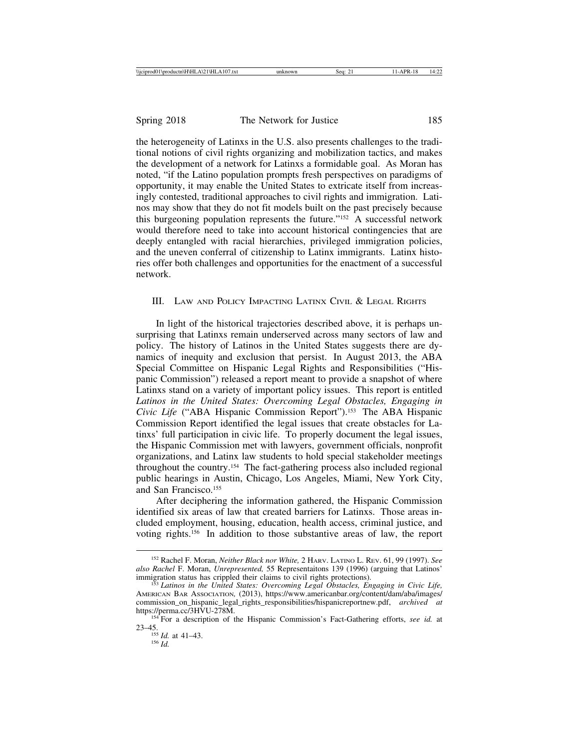the heterogeneity of Latinxs in the U.S. also presents challenges to the traditional notions of civil rights organizing and mobilization tactics, and makes the development of a network for Latinxs a formidable goal. As Moran has noted, "if the Latino population prompts fresh perspectives on paradigms of opportunity, it may enable the United States to extricate itself from increasingly contested, traditional approaches to civil rights and immigration. Latinos may show that they do not fit models built on the past precisely because this burgeoning population represents the future."152 A successful network would therefore need to take into account historical contingencies that are deeply entangled with racial hierarchies, privileged immigration policies, and the uneven conferral of citizenship to Latinx immigrants. Latinx histories offer both challenges and opportunities for the enactment of a successful network.

## III. LAW AND POLICY IMPACTING LATINX CIVIL & LEGAL RIGHTS

In light of the historical trajectories described above, it is perhaps unsurprising that Latinxs remain underserved across many sectors of law and policy. The history of Latinos in the United States suggests there are dynamics of inequity and exclusion that persist. In August 2013, the ABA Special Committee on Hispanic Legal Rights and Responsibilities ("Hispanic Commission") released a report meant to provide a snapshot of where Latinxs stand on a variety of important policy issues. This report is entitled *Latinos in the United States: Overcoming Legal Obstacles, Engaging in Civic Life* ("ABA Hispanic Commission Report").153 The ABA Hispanic Commission Report identified the legal issues that create obstacles for Latinxs' full participation in civic life. To properly document the legal issues, the Hispanic Commission met with lawyers, government officials, nonprofit organizations, and Latinx law students to hold special stakeholder meetings throughout the country.154 The fact-gathering process also included regional public hearings in Austin, Chicago, Los Angeles, Miami, New York City, and San Francisco.155

After deciphering the information gathered, the Hispanic Commission identified six areas of law that created barriers for Latinxs. Those areas included employment, housing, education, health access, criminal justice, and voting rights.156 In addition to those substantive areas of law, the report

23–45. <sup>155</sup> *Id.* at 41–43. <sup>156</sup> *Id.*

<sup>152</sup> Rachel F. Moran, *Neither Black nor White,* 2 HARV. LATINO L. REV. 61, 99 (1997). *See also Rachel* F. Moran, *Unrepresented,* 55 Representaitons 139 (1996) (arguing that Latinos'

<sup>&</sup>lt;sup>3</sup> Latinos in the United States: Overcoming Legal Obstacles, Engaging in Civic Life, AMERICAN BAR ASSOCIATION*,* (2013), https://www.americanbar.org/content/dam/aba/images/ commission\_on\_hispanic\_legal\_rights\_responsibilities/hispanicreportnew.pdf, *archived at*

<sup>&</sup>lt;sup>154</sup> For a description of the Hispanic Commission's Fact-Gathering efforts, *see id.* at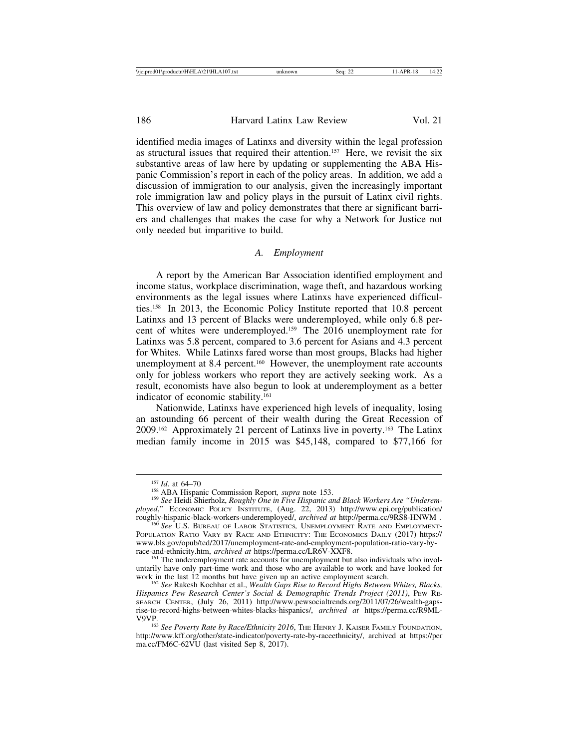identified media images of Latinxs and diversity within the legal profession as structural issues that required their attention.157 Here, we revisit the six substantive areas of law here by updating or supplementing the ABA Hispanic Commission's report in each of the policy areas. In addition, we add a discussion of immigration to our analysis, given the increasingly important role immigration law and policy plays in the pursuit of Latinx civil rights. This overview of law and policy demonstrates that there ar significant barriers and challenges that makes the case for why a Network for Justice not only needed but imparitive to build.

#### *A. Employment*

A report by the American Bar Association identified employment and income status, workplace discrimination, wage theft, and hazardous working environments as the legal issues where Latinxs have experienced difficulties.158 In 2013, the Economic Policy Institute reported that 10.8 percent Latinxs and 13 percent of Blacks were underemployed, while only 6.8 percent of whites were underemployed.159 The 2016 unemployment rate for Latinxs was 5.8 percent, compared to 3.6 percent for Asians and 4.3 percent for Whites. While Latinxs fared worse than most groups, Blacks had higher unemployment at 8.4 percent.<sup>160</sup> However, the unemployment rate accounts only for jobless workers who report they are actively seeking work. As a result, economists have also begun to look at underemployment as a better indicator of economic stability.161

Nationwide, Latinxs have experienced high levels of inequality, losing an astounding 66 percent of their wealth during the Great Recession of 2009.162 Approximately 21 percent of Latinxs live in poverty.163 The Latinx median family income in 2015 was \$45,148, compared to \$77,166 for

<sup>&</sup>lt;sup>157</sup> *Id.* at 64–70<br><sup>158</sup> ABA Hispanic Commission Report, *supra* note 153.<br><sup>159</sup> *See* Heidi Shierholz, *Roughly One in Five Hispanic and Black Workers Are "Underemployed*," ECONOMIC POLICY INSTITUTE, (Aug. 22, 2013) http://www.epi.org/publication/

roughly-hispanic-black-workers-underemployed/, *archived at* http://perma.cc/9RS8-HNWM . <sup>160</sup> *See* U.S. BUREAU OF LABOR STATISTICS*,* UNEMPLOYMENT RATE AND EMPLOYMENT-POPULATION RATIO VARY BY RACE AND ETHNICITY: THE ECONOMICS DAILY (2017) https:// www.bls.gov/opub/ted/2017/unemployment-rate-and-employment-population-ratio-vary-by-race-and-ethnicity.htm, archived at https://perma.cc/LR6V-XXF8.

<sup>&</sup>lt;sup>161</sup> The underemployment rate accounts for unemployment but also individuals who involuntarily have only part-time work and those who are available to work and have looked for

<sup>&</sup>lt;sup>162</sup> See Rakesh Kochhar et al., *Wealth Gaps Rise to Record Highs Between Whites, Blacks, Hispanics Pew Research Center's Social & Demographic Trends Project (2011)*, PEW RE-SEARCH CENTER, (July 26, 2011) http://www.pewsocialtrends.org/2011/07/26/wealth-gapsrise-to-record-highs-between-whites-blacks-hispanics/, *archived at* https://perma.cc/R9ML-

<sup>&</sup>lt;sup>163</sup> See Poverty Rate by Race/Ethnicity 2016, THE HENRY J. KAISER FAMILY FOUNDATION, http://www.kff.org/other/state-indicator/poverty-rate-by-raceethnicity/, archived at https://per ma.cc/FM6C-62VU (last visited Sep 8, 2017).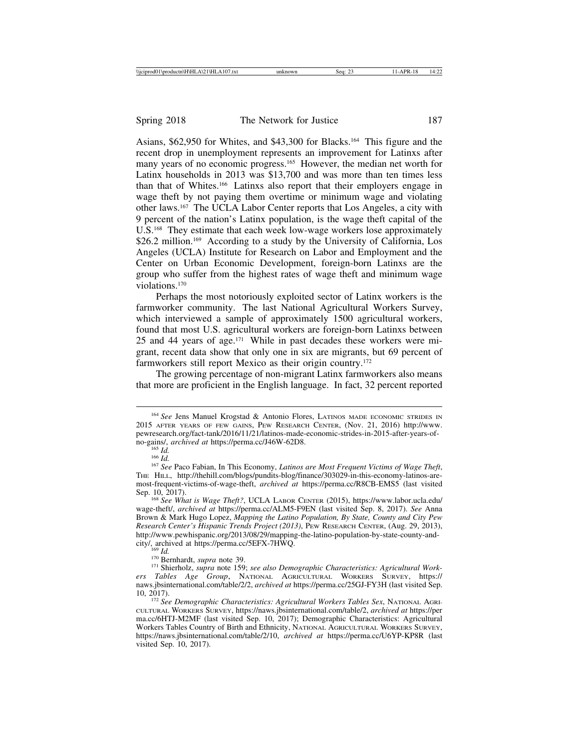Asians, \$62,950 for Whites, and \$43,300 for Blacks.164 This figure and the recent drop in unemployment represents an improvement for Latinxs after many years of no economic progress.165 However, the median net worth for Latinx households in 2013 was \$13,700 and was more than ten times less than that of Whites.166 Latinxs also report that their employers engage in wage theft by not paying them overtime or minimum wage and violating other laws.167 The UCLA Labor Center reports that Los Angeles, a city with 9 percent of the nation's Latinx population, is the wage theft capital of the U.S.168 They estimate that each week low-wage workers lose approximately \$26.2 million.<sup>169</sup> According to a study by the University of California, Los Angeles (UCLA) Institute for Research on Labor and Employment and the Center on Urban Economic Development, foreign-born Latinxs are the group who suffer from the highest rates of wage theft and minimum wage violations.<sup>170</sup>

Perhaps the most notoriously exploited sector of Latinx workers is the farmworker community. The last National Agricultural Workers Survey, which interviewed a sample of approximately 1500 agricultural workers, found that most U.S. agricultural workers are foreign-born Latinxs between 25 and 44 years of age.171 While in past decades these workers were migrant, recent data show that only one in six are migrants, but 69 percent of farmworkers still report Mexico as their origin country.<sup>172</sup>

The growing percentage of non-migrant Latinx farmworkers also means that more are proficient in the English language. In fact, 32 percent reported

<sup>&</sup>lt;sup>164</sup> See Jens Manuel Krogstad & Antonio Flores, LATINOS MADE ECONOMIC STRIDES IN 2015 AFTER YEARS OF FEW GAINS, PEW RESEARCH CENTER, (Nov. 21, 2016) http://www. pewresearch.org/fact-tank/2016/11/21/latinos-made-economic-strides-in-2015-after-years-of-no-gains/, archived at https://perma.cc/J46W-62D8.

no-gains-*i*<br><sup>166</sup> *Id.* 166 *Id.* 166 *Id.* 166 *Id.* 168 *Paco Fabian, In This Economy, <i>Latinos are Most Frequent Victims of Wage Theft***,** THE HILL, http://thehill.com/blogs/pundits-blog/finance/303029-in-this-economy-latinos-aremost-frequent-victims-of-wage-theft, *archived at* https://perma.cc/R8CB-EMS5 (last visited Sep. 10, 2017).<br><sup>168</sup> *See What is Wage Theft?*, UCLA LABOR CENTER (2015), https://www.labor.ucla.edu/

wage-theft/, *archived at* https://perma.cc/ALM5-F9EN (last visited Sep. 8, 2017). *See* Anna Brown & Mark Hugo Lopez, *Mapping the Latino Population, By State, County and City Pew Research Center's Hispanic Trends Project (2013)*, PEW RESEARCH CENTER, (Aug. 29, 2013), http://www.pewhispanic.org/2013/08/29/mapping-the-latino-population-by-state-county-and-city/, archived at https://perma.cc/5EFX-7HWQ.

<sup>&</sup>lt;sup>170</sup> Bernhardt, *supra* note 39.<br><sup>171</sup> Shierholz, *supra* note 159; *see also Demographic Characteristics: Agricultural Workers Tables Age Group*, NATIONAL AGRICULTURAL WORKERS SURVEY, https:// naws.jbsinternational.com/table/2/2, *archived at* https://perma.cc/25GJ-FY3H (last visited Sep.

<sup>&</sup>lt;sup>172</sup> See Demographic Characteristics: Agricultural Workers Tables Sex, NATIONAL AGRI-CULTURAL WORKERS SURVEY, https://naws.jbsinternational.com/table/2, *archived at* https://per ma.cc/6HTJ-M2MF (last visited Sep. 10, 2017); Demographic Characteristics: Agricultural Workers Tables Country of Birth and Ethnicity, NATIONAL AGRICULTURAL WORKERS SURVEY, https://naws.jbsinternational.com/table/2/10, *archived at* https://perma.cc/U6YP-KP8R (last visited Sep. 10, 2017).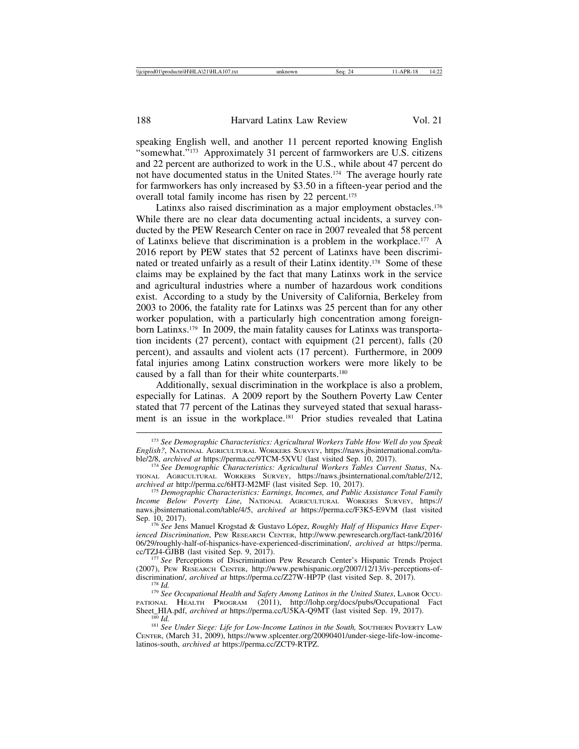speaking English well, and another 11 percent reported knowing English "somewhat."173 Approximately 31 percent of farmworkers are U.S. citizens and 22 percent are authorized to work in the U.S., while about 47 percent do not have documented status in the United States.174 The average hourly rate for farmworkers has only increased by \$3.50 in a fifteen-year period and the overall total family income has risen by 22 percent.<sup>175</sup>

Latinxs also raised discrimination as a major employment obstacles.<sup>176</sup> While there are no clear data documenting actual incidents, a survey conducted by the PEW Research Center on race in 2007 revealed that 58 percent of Latinxs believe that discrimination is a problem in the workplace.177 A 2016 report by PEW states that 52 percent of Latinxs have been discriminated or treated unfairly as a result of their Latinx identity.178 Some of these claims may be explained by the fact that many Latinxs work in the service and agricultural industries where a number of hazardous work conditions exist. According to a study by the University of California, Berkeley from 2003 to 2006, the fatality rate for Latinxs was 25 percent than for any other worker population, with a particularly high concentration among foreignborn Latinxs.179 In 2009, the main fatality causes for Latinxs was transportation incidents (27 percent), contact with equipment (21 percent), falls (20 percent), and assaults and violent acts (17 percent). Furthermore, in 2009 fatal injuries among Latinx construction workers were more likely to be caused by a fall than for their white counterparts.180

Additionally, sexual discrimination in the workplace is also a problem, especially for Latinas. A 2009 report by the Southern Poverty Law Center stated that 77 percent of the Latinas they surveyed stated that sexual harassment is an issue in the workplace.181 Prior studies revealed that Latina

<sup>173</sup> *See Demographic Characteristics: Agricultural Workers Table How Well do you Speak English?*, NATIONAL AGRICULTURAL WORKERS SURVEY, https://naws.jbsinternational.com/ta-

<sup>&</sup>lt;sup>174</sup> See Demographic Characteristics: Agricultural Workers Tables Current Status, NA-TIONAL AGRICULTURAL WORKERS SURVEY, https://naws.jbsinternational.com/table/2/12, archived at http://perma.cc/6HTJ-M2MF (last visited Sep. 10, 2017).

<sup>&</sup>lt;sup>175</sup> Demographic Characteristics: Earnings, Incomes, and Public Assistance Total Family *Income Below Poverty Line*, NATIONAL AGRICULTURAL WORKERS SURVEY, https:// naws.jbsinternational.com/table/4/5, *archived at* https://perma.cc/F3K5-E9VM (last visited

Sep. 10, 2017). <sup>176</sup> *See* Jens Manuel Krogstad & Gustavo L´opez, *Roughly Half of Hispanics Have Experienced Discrimination*, PEW RESEARCH CENTER, http://www.pewresearch.org/fact-tank/2016/ 06/29/roughly-half-of-hispanics-have-experienced-discrimination/, *archived at* https://perma.

<sup>&</sup>lt;sup>177</sup> See Perceptions of Discrimination Pew Research Center's Hispanic Trends Project (2007), PEW RESEARCH CENTER, http://www.pewhispanic.org/2007/12/13/iv-perceptions-of-discrimination/, archived at https://perma.cc/Z27W-HP7P (last visited Sep. 8, 2017).

<sup>&</sup>lt;sup>178</sup> Id.<br><sup>179</sup> See Occupational Health and Safety Among Latinos in the United States, LABOR Occu-PATIONAL HEALTH PROGRAM (2011), http://lohp.org/docs/pubs/Occupational Fact Sheet\_HIA.pdf, archived at https://perma.cc/U5KA-Q9MT (last visited Sep. 19, 2017).

<sup>&</sup>lt;sup>180</sup> Id.<br><sup>181</sup> See Under Siege: Life for Low-Income Latinos in the South, SOUTHERN POVERTY LAW CENTER, (March 31, 2009), https://www.splcenter.org/20090401/under-siege-life-low-incomelatinos-south, *archived at* https://perma.cc/ZCT9-RTPZ.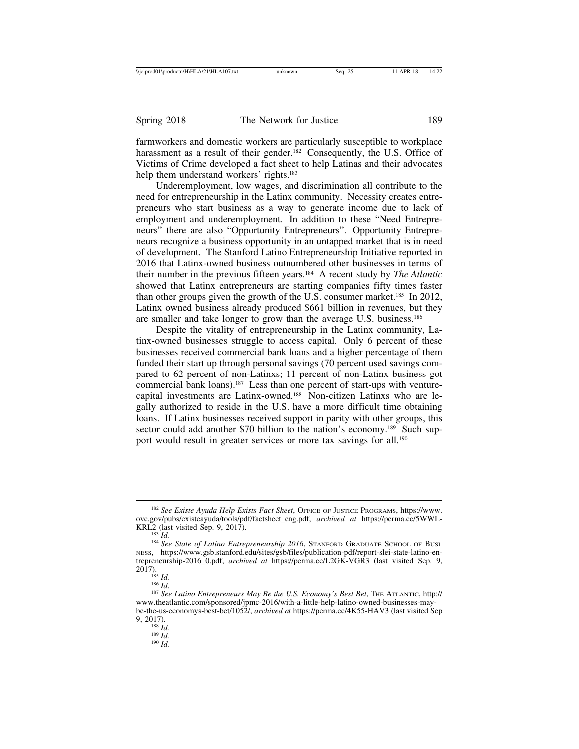farmworkers and domestic workers are particularly susceptible to workplace harassment as a result of their gender.<sup>182</sup> Consequently, the U.S. Office of Victims of Crime developed a fact sheet to help Latinas and their advocates help them understand workers' rights.<sup>183</sup>

Underemployment, low wages, and discrimination all contribute to the need for entrepreneurship in the Latinx community. Necessity creates entrepreneurs who start business as a way to generate income due to lack of employment and underemployment. In addition to these "Need Entrepreneurs" there are also "Opportunity Entrepreneurs". Opportunity Entrepreneurs recognize a business opportunity in an untapped market that is in need of development. The Stanford Latino Entrepreneurship Initiative reported in 2016 that Latinx-owned business outnumbered other businesses in terms of their number in the previous fifteen years.184 A recent study by *The Atlantic* showed that Latinx entrepreneurs are starting companies fifty times faster than other groups given the growth of the U.S. consumer market.<sup>185</sup> In 2012, Latinx owned business already produced \$661 billion in revenues, but they are smaller and take longer to grow than the average U.S. business.186

Despite the vitality of entrepreneurship in the Latinx community, Latinx-owned businesses struggle to access capital. Only 6 percent of these businesses received commercial bank loans and a higher percentage of them funded their start up through personal savings (70 percent used savings compared to 62 percent of non-Latinxs; 11 percent of non-Latinx business got commercial bank loans).187 Less than one percent of start-ups with venturecapital investments are Latinx-owned.188 Non-citizen Latinxs who are legally authorized to reside in the U.S. have a more difficult time obtaining loans. If Latinx businesses received support in parity with other groups, this sector could add another \$70 billion to the nation's economy.<sup>189</sup> Such support would result in greater services or more tax savings for all.<sup>190</sup>

9, 2017). <sup>188</sup> *Id.* <sup>189</sup> *Id.* <sup>190</sup> *Id.*

<sup>&</sup>lt;sup>182</sup> See Existe Ayuda Help Exists Fact Sheet, OFFICE OF JUSTICE PROGRAMS, https://www. ovc.gov/pubs/existeayuda/tools/pdf/factsheet\_eng.pdf, *archived at* https://perma.cc/5WWL-

<sup>&</sup>lt;sup>183</sup> Id.<br><sup>184</sup> See State of Latino Entrepreneurship 2016, STANFORD GRADUATE SCHOOL OF BUSI-NESS, https://www.gsb.stanford.edu/sites/gsb/files/publication-pdf/report-slei-state-latino-entrepreneurship-2016\_0.pdf, *archived at* https://perma.cc/L2GK-VGR3 (last visited Sep. 9,

<sup>2017).</sup> <sup>185</sup> *Id.* <sup>186</sup> *Id*. <sup>187</sup> *See Latino Entrepreneurs May Be the U.S. Economy's Best Bet*, THE ATLANTIC, http:// www.theatlantic.com/sponsored/jpmc-2016/with-a-little-help-latino-owned-businesses-maybe-the-us-economys-best-bet/1052/, *archived at* https://perma.cc/4K55-HAV3 (last visited Sep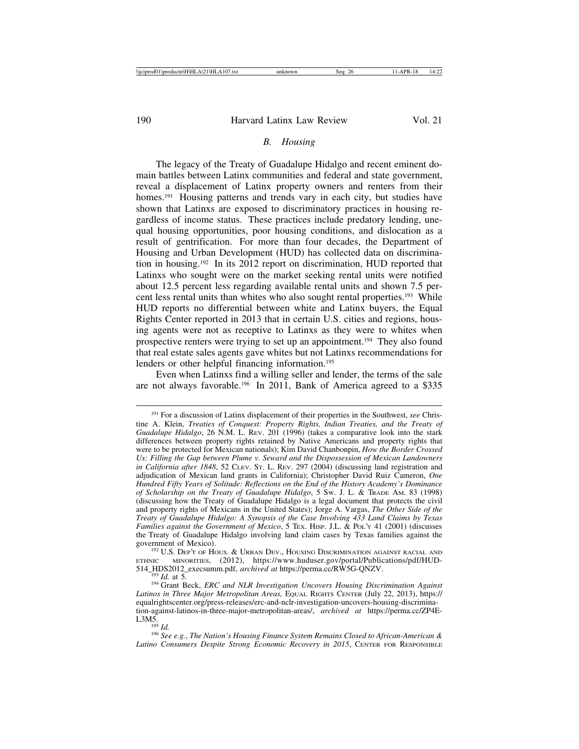#### *B. Housing*

The legacy of the Treaty of Guadalupe Hidalgo and recent eminent domain battles between Latinx communities and federal and state government, reveal a displacement of Latinx property owners and renters from their homes.<sup>191</sup> Housing patterns and trends vary in each city, but studies have shown that Latinxs are exposed to discriminatory practices in housing regardless of income status. These practices include predatory lending, unequal housing opportunities, poor housing conditions, and dislocation as a result of gentrification. For more than four decades, the Department of Housing and Urban Development (HUD) has collected data on discrimination in housing.192 In its 2012 report on discrimination, HUD reported that Latinxs who sought were on the market seeking rental units were notified about 12.5 percent less regarding available rental units and shown 7.5 percent less rental units than whites who also sought rental properties.193 While HUD reports no differential between white and Latinx buyers, the Equal Rights Center reported in 2013 that in certain U.S. cities and regions, housing agents were not as receptive to Latinxs as they were to whites when prospective renters were trying to set up an appointment.194 They also found that real estate sales agents gave whites but not Latinxs recommendations for lenders or other helpful financing information.<sup>195</sup>

Even when Latinxs find a willing seller and lender, the terms of the sale are not always favorable.196 In 2011, Bank of America agreed to a \$335

<sup>192</sup> U.S. DEP'T OF HOUS. & URBAN DEV., HOUSING DISCRIMINATION AGAINST RACIAL AND ETHNIC MINORITIES, (2012), https://www.huduser.gov/portal/Publications/pdf/HUD-514\_HDS2012\_execsumm.pdf, *archived at* https://perma.cc/RW5G-QNZV.

<sup>193</sup> Id. at 5.<br><sup>194</sup> Grant Beck, *ERC and NLR Investigation Uncovers Housing Discrimination Against Latinos in Three Major Metropolitan Areas,* EQUAL RIGHTS CENTER (July 22, 2013), https:// equalrightscenter.org/press-releases/erc-and-nclr-investigation-uncovers-housing-discrimination-against-latinos-in-three-major-metropolitan-areas/, *archived at* https://perma.cc/ZP4E-L3M5.

<sup>196</sup> See e.g., The Nation's Housing Finance System Remains Closed to African-American & *Latino Consumers Despite Strong Economic Recovery in 2015*, CENTER FOR RESPONSIBLE

<sup>191</sup> For a discussion of Latinx displacement of their properties in the Southwest, *see* Christine A. Klein, *Treaties of Conquest: Property Rights, Indian Treaties, and the Treaty of Guadalupe Hidalgo*, 26 N.M. L. REV. 201 (1996) (takes a comparative look into the stark differences between property rights retained by Native Americans and property rights that were to be protected for Mexican nationals); Kim David Chanbonpin, *How the Border Crossed Us: Filling the Gap between Plume v. Seward and the Dispossession of Mexican Landowners in California after 1848*, 52 CLEV. ST. L. REV. 297 (2004) (discussing land registration and adjudication of Mexican land grants in California); Christopher David Ruiz Cameron, *One Hundred Fifty Years of Solitude: Reflections on the End of the History Academy's Dominance of Scholarship on the Treaty of Guadalupe Hidalgo*, 5 SW. J. L. & TRADE AM. 83 (1998) (discussing how the Treaty of Guadalupe Hidalgo is a legal document that protects the civil and property rights of Mexicans in the United States); Jorge A. Vargas, *The Other Side of the Treaty of Guadalupe Hidalgo: A Synopsis of the Case Involving 433 Land Claims by Texas Families against the Government of Mexico*, 5 TEX. HISP. J.L. & POL'Y 41 (2001) (discusses the Treaty of Guadalupe Hidalgo involving land claim cases by Texas families against the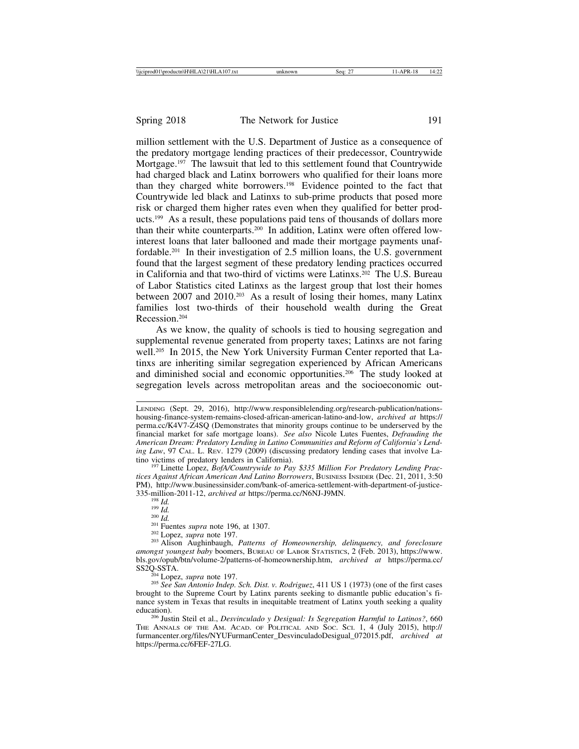million settlement with the U.S. Department of Justice as a consequence of the predatory mortgage lending practices of their predecessor, Countrywide Mortgage.<sup>197</sup> The lawsuit that led to this settlement found that Countrywide had charged black and Latinx borrowers who qualified for their loans more than they charged white borrowers.198 Evidence pointed to the fact that Countrywide led black and Latinxs to sub-prime products that posed more risk or charged them higher rates even when they qualified for better products.199 As a result, these populations paid tens of thousands of dollars more than their white counterparts.200 In addition, Latinx were often offered lowinterest loans that later ballooned and made their mortgage payments unaffordable.201 In their investigation of 2.5 million loans, the U.S. government found that the largest segment of these predatory lending practices occurred in California and that two-third of victims were Latinxs.202 The U.S. Bureau of Labor Statistics cited Latinxs as the largest group that lost their homes between 2007 and 2010.203 As a result of losing their homes, many Latinx families lost two-thirds of their household wealth during the Great Recession.204

As we know, the quality of schools is tied to housing segregation and supplemental revenue generated from property taxes; Latinxs are not faring well.<sup>205</sup> In 2015, the New York University Furman Center reported that Latinxs are inheriting similar segregation experienced by African Americans and diminished social and economic opportunities.206 The study looked at segregation levels across metropolitan areas and the socioeconomic out-

<sup>197</sup> Linette Lopez, *BofA/Countrywide to Pay \$335 Million For Predatory Lending Practices Against African American And Latino Borrowers*, BUSINESS INSIDER (Dec. 21, 2011, 3:50 PM), http://www.businessinsider.com/bank-of-america-settlement-with-department-of-justice-<br>335-million-2011-12, *archived at* https://perma.cc/N6NJ-J9MN.

<sup>204</sup> Lopez, *supra* note 197.<br><sup>205</sup> *See San Antonio Indep. Sch. Dist. v. Rodriguez*, 411 US 1 (1973) (one of the first cases brought to the Supreme Court by Latinx parents seeking to dismantle public education's finance system in Texas that results in inequitable treatment of Latinx youth seeking a quality

<sup>206</sup> Justin Steil et al., *Desvinculado y Desigual: Is Segregation Harmful to Latinos?*, 660 THE ANNALS OF THE AM. ACAD. OF POLITICAL AND SOC. SCI. 1, 4 (July 2015), http:// furmancenter.org/files/NYUFurmanCenter\_DesvinculadoDesigual\_072015.pdf, *archived at* https://perma.cc/6FEF-27LG.

LENDING (Sept. 29, 2016), http://www.responsiblelending.org/research-publication/nationshousing-finance-system-remains-closed-african-american-latino-and-low, *archived at* https:// perma.cc/K4V7-Z4SQ (Demonstrates that minority groups continue to be underserved by the financial market for safe mortgage loans). *See also* Nicole Lutes Fuentes, *Defrauding the American Dream: Predatory Lending in Latino Communities and Reform of California's Lending Law*, 97 CAL. L. REV. 1279 (2009) (discussing predatory lending cases that involve Latino victims of predatory lenders in California).

<sup>&</sup>lt;sup>198</sup> Id.<br><sup>199</sup> Id.<br><sup>200</sup> Id.<br><sup>201</sup> Fuentes *supra* note 196, at 1307.<br><sup>202</sup> Lopez, *supra* note 197.<br><sup>202</sup> Alison Aughinbaugh, *Patterns of Homeownership, delinquency, and foreclosure amongst youngest baby* boomers, BUREAU OF LABOR STATISTICS, 2 (Feb. 2013), https://www. bls.gov/opub/btn/volume-2/patterns-of-homeownership.htm, *archived at* https://perma.cc/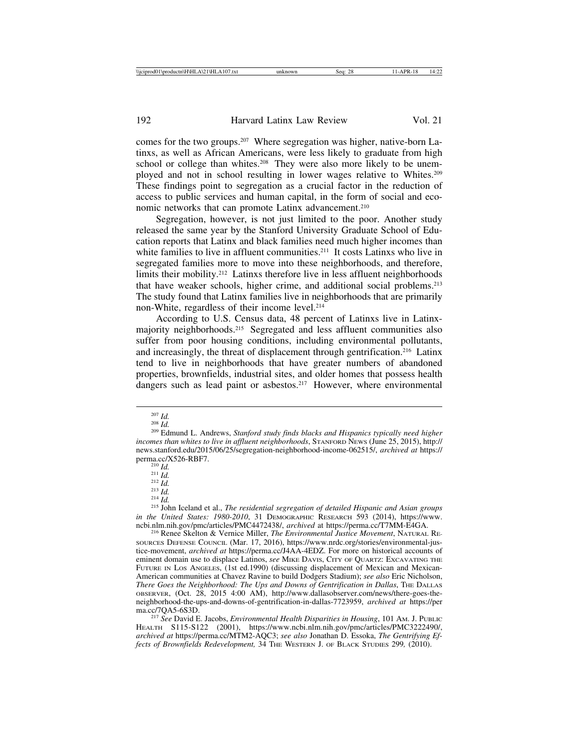comes for the two groups.207 Where segregation was higher, native-born Latinxs, as well as African Americans, were less likely to graduate from high school or college than whites.<sup>208</sup> They were also more likely to be unemployed and not in school resulting in lower wages relative to Whites.209 These findings point to segregation as a crucial factor in the reduction of access to public services and human capital, in the form of social and economic networks that can promote Latinx advancement.210

Segregation, however, is not just limited to the poor. Another study released the same year by the Stanford University Graduate School of Education reports that Latinx and black families need much higher incomes than white families to live in affluent communities.<sup>211</sup> It costs Latinxs who live in segregated families more to move into these neighborhoods, and therefore, limits their mobility.<sup>212</sup> Latinxs therefore live in less affluent neighborhoods that have weaker schools, higher crime, and additional social problems.213 The study found that Latinx families live in neighborhoods that are primarily non-White, regardless of their income level.214

According to U.S. Census data, 48 percent of Latinxs live in Latinxmajority neighborhoods.215 Segregated and less affluent communities also suffer from poor housing conditions, including environmental pollutants, and increasingly, the threat of displacement through gentrification.<sup>216</sup> Latinx tend to live in neighborhoods that have greater numbers of abandoned properties, brownfields, industrial sites, and older homes that possess health dangers such as lead paint or asbestos.<sup>217</sup> However, where environmental

perma.cc/X526-RBF7. 210<br>
210 *Id.* 211 *Id.* 212 *Id.* 213 *Id.* 214 *Id.* 214 *Id.* 215 **John Iceland et al.,** *The residential segregation of detailed Hispanic and Asian groups in the United States: 1980-2010*, 31 DEMOGRAPHIC RESEARCH 593 (2014), https://www.<br>ncbi.nlm.nih.gov/pmc/articles/PMC4472438/, *archived* at https://perma.cc/T7MM-E4GA.

<sup>216</sup> Renee Skelton & Vernice Miller, *The Environmental Justice Movement*, NATURAL RE-SOURCES DEFENSE COUNCIL (Mar. 17, 2016), https://www.nrdc.org/stories/environmental-justice-movement, *archived at* https://perma.cc/J4AA-4EDZ. For more on historical accounts of eminent domain use to displace Latinos, *see* MIKE DAVIS, CITY OF QUARTZ: EXCAVATING THE FUTURE IN LOS ANGELES, (1st ed.1990) (discussing displacement of Mexican and Mexican-American communities at Chavez Ravine to build Dodgers Stadium); *see also* Eric Nicholson, *There Goes the Neighborhood: The Ups and Downs of Gentrification in Dallas*, THE DALLAS OBSERVER, (Oct. 28, 2015 4:00 AM), http://www.dallasobserver.com/news/there-goes-theneighborhood-the-ups-and-downs-of-gentrification-in-dallas-7723959, *archived at* https://per

<sup>217</sup> See David E. Jacobs, *Environmental Health Disparities in Housing*, 101 AM. J. PUBLIC HEALTH S115-S122 (2001), https://www.ncbi.nlm.nih.gov/pmc/articles/PMC3222490/, *archived at* https://perma.cc/MTM2-AQC3; *see also* Jonathan D. Essoka, *The Gentrifying Effects of Brownfields Redevelopment,* 34 THE WESTERN J. OF BLACK STUDIES 299*,* (2010).

<sup>207</sup> *Id.* <sup>208</sup> *Id.* <sup>209</sup> Edmund L. Andrews, *Stanford study finds blacks and Hispanics typically need higher incomes than whites to live in affluent neighborhoods*, STANFORD NEWS (June 25, 2015), http:// news.stanford.edu/2015/06/25/segregation-neighborhood-income-062515/, *archived at* https://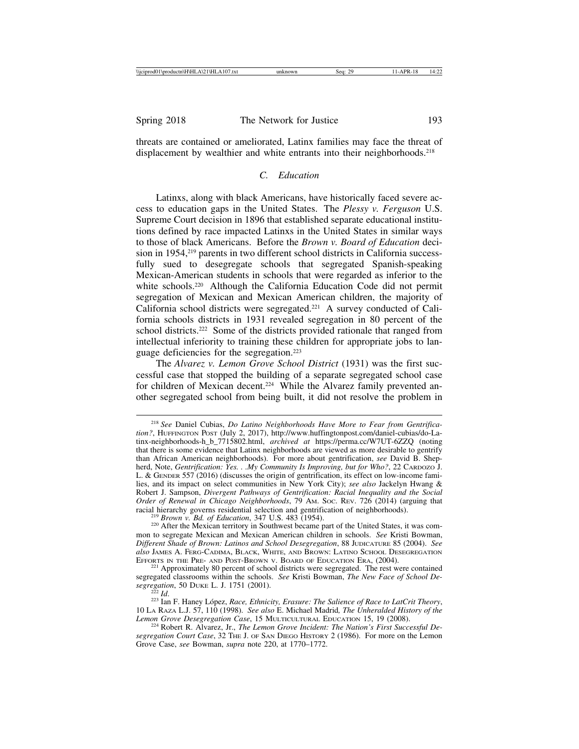threats are contained or ameliorated, Latinx families may face the threat of displacement by wealthier and white entrants into their neighborhoods.<sup>218</sup>

## *C. Education*

Latinxs, along with black Americans, have historically faced severe access to education gaps in the United States. The *Plessy v. Ferguson* U.S. Supreme Court decision in 1896 that established separate educational institutions defined by race impacted Latinxs in the United States in similar ways to those of black Americans. Before the *Brown v. Board of Education* decision in 1954,<sup>219</sup> parents in two different school districts in California successfully sued to desegregate schools that segregated Spanish-speaking Mexican-American students in schools that were regarded as inferior to the white schools.<sup>220</sup> Although the California Education Code did not permit segregation of Mexican and Mexican American children, the majority of California school districts were segregated.221 A survey conducted of California schools districts in 1931 revealed segregation in 80 percent of the school districts.<sup>222</sup> Some of the districts provided rationale that ranged from intellectual inferiority to training these children for appropriate jobs to language deficiencies for the segregation.223

The *Alvarez v. Lemon Grove School District* (1931) was the first successful case that stopped the building of a separate segregated school case for children of Mexican decent.<sup>224</sup> While the Alvarez family prevented another segregated school from being built, it did not resolve the problem in

<sup>218</sup> *See* Daniel Cubias, *Do Latino Neighborhoods Have More to Fear from Gentrification?*, HUFFINGTON POST (July 2, 2017), http://www.huffingtonpost.com/daniel-cubias/do-Latinx-neighborhoods-h\_b\_7715802.html, *archived at* https://perma.cc/W7UT-6ZZQ (noting that there is some evidence that Latinx neighborhoods are viewed as more desirable to gentrify than African American neighborhoods). For more about gentrification, *see* David B. Shepherd, Note, *Gentrification: Yes. . .My Community Is Improving, but for Who?*, 22 CARDOZO J. L. & GENDER 557 (2016) (discusses the origin of gentrification, its effect on low-income families, and its impact on select communities in New York City); *see also* Jackelyn Hwang & Robert J. Sampson, *Divergent Pathways of Gentrification: Racial Inequality and the Social Order of Renewal in Chicago Neighborhoods*, 79 Am. Soc. REV. 726 (2014) (arguing that racial hierarchy governs residential selection and gentrification of neighborhoods).

<sup>&</sup>lt;sup>219</sup> Brown v. Bd. of Education, 347 U.S. 483 (1954).<br><sup>220</sup> After the Mexican territory in Southwest became part of the United States, it was common to segregate Mexican and Mexican American children in schools. *See* Kristi Bowman, *Different Shade of Brown: Latinos and School Desegregation*, 88 JUDICATURE 85 (2004). *See also* JAMES A. FERG-CADIMA, BLACK, WHITE, AND BROWN: LATINO SCHOOL DESEGREGATION EFFORTS IN THE PRE- AND POST-BROWN V. BOARD OF EDUCATION ERA, (2004).<br><sup>221</sup> Approximately 80 percent of school districts were segregated. The rest were contained

segregated classrooms within the schools. *See* Kristi Bowman, *The New Face of School Desegregation*, 50 DUKE L. J. 1751 (2001). <sup>222</sup> *Id*. <sup>223</sup> Ian F. Haney L´opez, *Race, Ethnicity, Erasure: The Salience of Race to LatCrit Theory*,

<sup>10</sup> LA RAZA L.J. 57, 110 (1998). *See also* E. Michael Madrid*, The Unheralded History of the Lemon Grove Desegregation Case*, 15 MULTICULTURAL EDUCATION 15, 19 (2008).<br><sup>224</sup> Robert R. Alvarez, Jr., *The Lemon Grove Incident: The Nation's First Successful De-*

*segregation Court Case*, 32 THE J. OF SAN DIEGO HISTORY 2 (1986). For more on the Lemon Grove Case, *see* Bowman, *supra* note 220, at 1770–1772.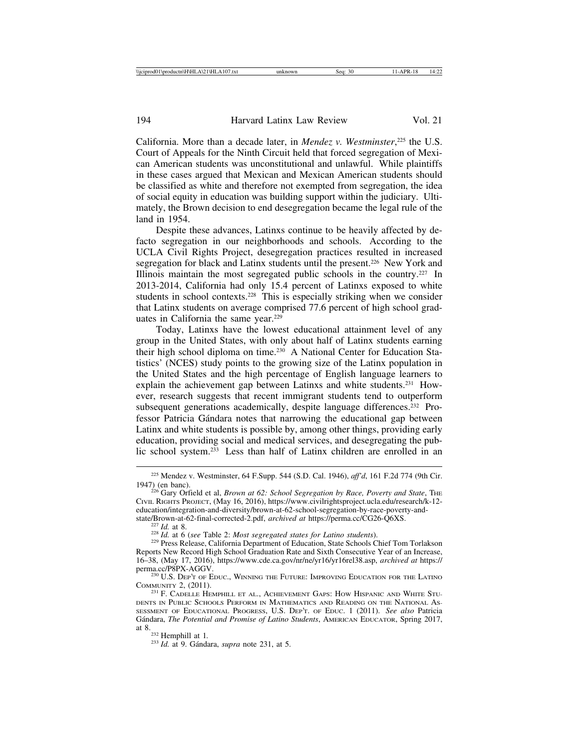California. More than a decade later, in *Mendez v. Westminster*, 225 the U.S. Court of Appeals for the Ninth Circuit held that forced segregation of Mexican American students was unconstitutional and unlawful. While plaintiffs in these cases argued that Mexican and Mexican American students should be classified as white and therefore not exempted from segregation, the idea of social equity in education was building support within the judiciary. Ultimately, the Brown decision to end desegregation became the legal rule of the land in 1954.

Despite these advances, Latinxs continue to be heavily affected by defacto segregation in our neighborhoods and schools. According to the UCLA Civil Rights Project, desegregation practices resulted in increased segregation for black and Latinx students until the present.<sup>226</sup> New York and Illinois maintain the most segregated public schools in the country.<sup>227</sup> In 2013-2014, California had only 15.4 percent of Latinxs exposed to white students in school contexts.228 This is especially striking when we consider that Latinx students on average comprised 77.6 percent of high school graduates in California the same year.<sup>229</sup>

Today, Latinxs have the lowest educational attainment level of any group in the United States, with only about half of Latinx students earning their high school diploma on time.<sup>230</sup> A National Center for Education Statistics' (NCES) study points to the growing size of the Latinx population in the United States and the high percentage of English language learners to explain the achievement gap between Latinxs and white students.231 However, research suggests that recent immigrant students tend to outperform subsequent generations academically, despite language differences.<sup>232</sup> Professor Patricia Gándara notes that narrowing the educational gap between Latinx and white students is possible by, among other things, providing early education, providing social and medical services, and desegregating the public school system.233 Less than half of Latinx children are enrolled in an

<sup>225</sup> Mendez v. Westminster, 64 F.Supp. 544 (S.D. Cal. 1946), *aff'd*, 161 F.2d 774 (9th Cir.

<sup>&</sup>lt;sup>226</sup> Gary Orfield et al, *Brown at 62: School Segregation by Race, Poverty and State*, THE CIVIL RIGHTS PROJECT, (May 16, 2016), https://www.civilrightsproject.ucla.edu/research/k-12 education/integration-and-diversity/brown-at-62-school-segregation-by-race-poverty-and-<br>state/Brown-at-62-final-corrected-2.pdf, archived at https://perma.cc/CG26-Q6XS.

<sup>&</sup>lt;sup>227</sup> *Id.* at 8.<br><sup>228</sup> *Id.* at 6 (*see* Table 2: *Most segregated states for Latino students*).<br><sup>229</sup> Press Release, California Department of Education, State Schools Chief Tom Torlakson Reports New Record High School Graduation Rate and Sixth Consecutive Year of an Increase, 16–38, (May 17, 2016), https://www.cde.ca.gov/nr/ne/yr16/yr16rel38.asp, *archived at* https://

 $^{230}$  U.S. Dep't of Educ., WINNING THE FUTURE: IMPROVING EDUCATION FOR THE LATINO COMMUNITY 2, (2011).<br><sup>231</sup> F. CADELLE HEMPHILL ET AL., ACHIEVEMENT GAPS: HOW HISPANIC AND WHITE STU-

DENTS IN PUBLIC SCHOOLS PERFORM IN MATHEMATICS AND READING ON THE NATIONAL AS-SESSMENT OF EDUCATIONAL PROGRESS, U.S. DEP'T. OF EDUC. 1 (2011). *See also* Patricia G´andara, *The Potential and Promise of Latino Students*, AMERICAN EDUCATOR, Spring 2017, at 8.232 Hemphill at 1*.* <sup>233</sup> *Id.* at 9. G´andara, *supra* note 231, at 5.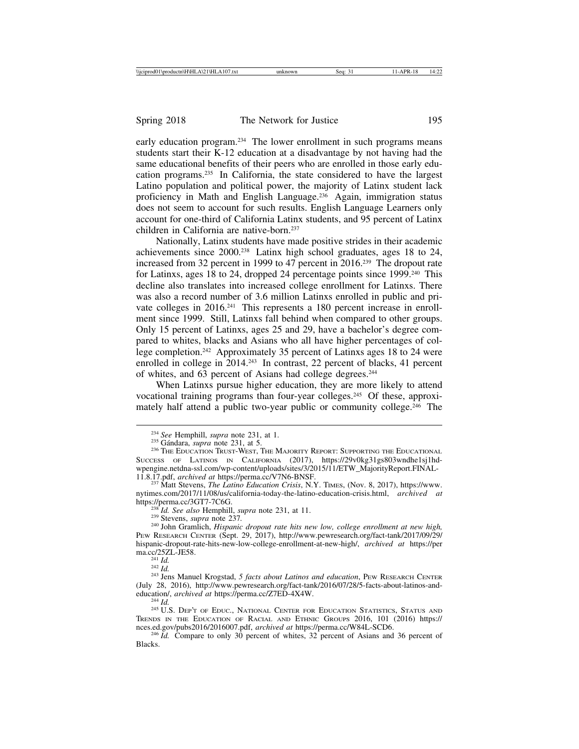early education program.234 The lower enrollment in such programs means students start their K-12 education at a disadvantage by not having had the same educational benefits of their peers who are enrolled in those early education programs.235 In California, the state considered to have the largest Latino population and political power, the majority of Latinx student lack proficiency in Math and English Language.236 Again, immigration status does not seem to account for such results. English Language Learners only account for one-third of California Latinx students, and 95 percent of Latinx children in California are native-born.237

Nationally, Latinx students have made positive strides in their academic achievements since 2000.238 Latinx high school graduates, ages 18 to 24, increased from 32 percent in 1999 to 47 percent in 2016.239 The dropout rate for Latinxs, ages 18 to 24, dropped 24 percentage points since 1999.240 This decline also translates into increased college enrollment for Latinxs. There was also a record number of 3.6 million Latinxs enrolled in public and private colleges in 2016.<sup>241</sup> This represents a 180 percent increase in enrollment since 1999. Still, Latinxs fall behind when compared to other groups. Only 15 percent of Latinxs, ages 25 and 29, have a bachelor's degree compared to whites, blacks and Asians who all have higher percentages of college completion.<sup>242</sup> Approximately 35 percent of Latinxs ages 18 to 24 were enrolled in college in 2014.<sup>243</sup> In contrast, 22 percent of blacks, 41 percent of whites, and 63 percent of Asians had college degrees.<sup>244</sup>

When Latinxs pursue higher education, they are more likely to attend vocational training programs than four-year colleges.245 Of these, approximately half attend a public two-year public or community college.<sup>246</sup> The

<sup>&</sup>lt;sup>234</sup> *See* Hemphill, *supra* note 231, at 1.<br><sup>235</sup> Gándara, *supra* note 231, at 5.<br><sup>236</sup> THE EDUCATION TRUST-WEST, THE MAJORITY REPORT: SUPPORTING THE EDUCATIONAL SUCCESS OF LATINOS IN CALIFORNIA (2017), https://29v0kg31gs803wndhe1sj1hdwpengine.netdna-ssl.com/wp-content/uploads/sites/3/2015/11/ETW\_MajorityReport.FINAL-<br>11.8.17.pdf, archived at https://perma.cc/V7N6-BNSF.

<sup>&</sup>lt;sup>237</sup> Matt Stevens, *The Latino Education Crisis*, N.Y. TIMES, (Nov. 8, 2017), https://www. nytimes.com/2017/11/08/us/california-today-the-latino-education-crisis.html, *archived at* https://perma.cc/3GT7-7C6G.<br><sup>238</sup>*Id. See also* Hemphill, *supra* note 231, at 11.

<sup>239</sup> Stevens, *supra* note 237.<br><sup>239</sup> Stevens, *supra* note 237.<br><sup>240</sup> John Gramlich, *Hispanic dropout rate hits new low, college enrollment at new high,* PEW RESEARCH CENTER (Sept. 29, 2017), http://www.pewresearch.org/fact-tank/2017/09/29/ hispanic-dropout-rate-hits-new-low-college-enrollment-at-new-high/, *archived at* https://per

<sup>&</sup>lt;sup>241</sup> *Id.* 242 *Id.* 242 *Id.* 242 *Id.* 242 *Id.* 242 *Id.* 243 *Iens Manuel Krogstad, 5 facts about Latinos and education*, PEW RESEARCH CENTER (July 28, 2016), http://www.pewresearch.org/fact-tank/2016/07/28/5-facts-about-latinos-and-education/, *archived at* https://perma.cc/Z7ED-4X4W.

<sup>&</sup>lt;sup>244</sup> *Id. a*<sup>245</sup> *Id.* **Deptor** of Education Center For Education Statistics, Status and TRENDS IN THE EDUCATION OF RACIAL AND ETHNIC GROUPS 2016, 101 (2016) https://<br>nces.ed.gov/pubs2016/2016007.pdf, archived at https://perma.cc/W84L-SCD6.

<sup>&</sup>lt;sup>246</sup>  $\tilde{Id}$ . Compare to only 30 percent of whites, 32 percent of Asians and 36 percent of Blacks.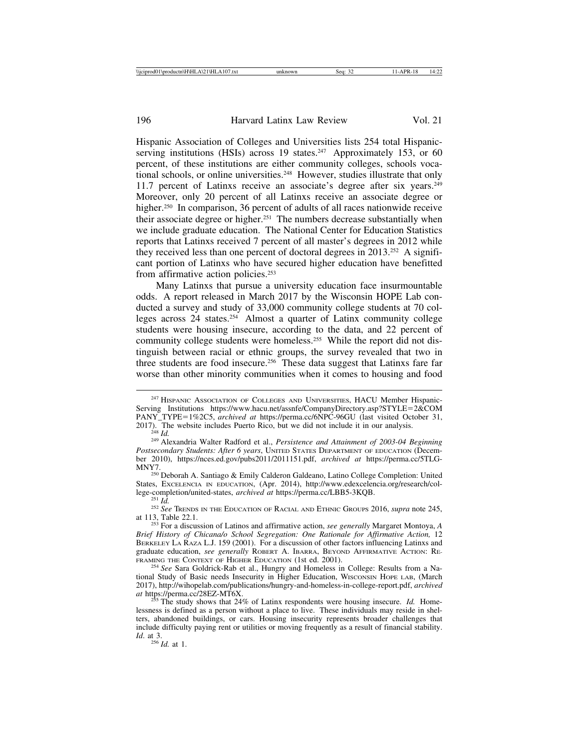Hispanic Association of Colleges and Universities lists 254 total Hispanicserving institutions (HSIs) across 19 states.<sup>247</sup> Approximately 153, or 60 percent, of these institutions are either community colleges, schools vocational schools, or online universities.<sup>248</sup> However, studies illustrate that only 11.7 percent of Latinxs receive an associate's degree after six years.<sup>249</sup> Moreover, only 20 percent of all Latinxs receive an associate degree or higher.<sup>250</sup> In comparison, 36 percent of adults of all races nationwide receive their associate degree or higher.251 The numbers decrease substantially when we include graduate education. The National Center for Education Statistics reports that Latinxs received 7 percent of all master's degrees in 2012 while they received less than one percent of doctoral degrees in 2013.252 A significant portion of Latinxs who have secured higher education have benefitted from affirmative action policies.<sup>253</sup>

Many Latinxs that pursue a university education face insurmountable odds. A report released in March 2017 by the Wisconsin HOPE Lab conducted a survey and study of 33,000 community college students at 70 colleges across 24 states.254 Almost a quarter of Latinx community college students were housing insecure, according to the data, and 22 percent of community college students were homeless.255 While the report did not distinguish between racial or ethnic groups, the survey revealed that two in three students are food insecure.256 These data suggest that Latinxs fare far worse than other minority communities when it comes to housing and food

MNY7. <sup>250</sup> Deborah A. Santiago & Emily Calderon Galdeano, Latino College Completion: United States, Excelencia IN EDUCATION, (Apr. 2014), http://www.edexcelencia.org/research/col-<br>lege-completion/united-states, *archived at* https://perma.cc/LBB5-3KOB.

 $\frac{256}{4}$ *Id.* at 1.

<sup>&</sup>lt;sup>247</sup> HISPANIC ASSOCIATION OF COLLEGES AND UNIVERSITIES, HACU Member Hispanic-Serving Institutions https://www.hacu.net/assnfe/CompanyDirectory.asp?STYLE=2&COM PANY\_TYPE=1%2C5, *archived at* https://perma.cc/6NPC-96GU (last visited October 31, 2017). The website includes Puerto Rico, but we did not include it in our analysis.<br><sup>248</sup> *Id.* <sup>249</sup> Alexandria Walter Radford et al., *Persistence and Attainment of 2003-04 Beginning* 

*Postsecondary Students: After 6 years*, UNITED STATES DEPARTMENT OF EDUCATION (December 2010), https://nces.ed.gov/pubs2011/2011151.pdf, *archived at* https://perma.cc/5TLG-

<sup>&</sup>lt;sup>251</sup> *Id.* <sup>252</sup> *See* TRENDS IN THE EDUCATION OF RACIAL AND ETHNIC GROUPS 2016, *supra* note 245, at 113, Table 22.1.

<sup>&</sup>lt;sup>253</sup> For a discussion of Latinos and affirmative action, *see generally* Margaret Montoya, *A Brief History of Chicana/o School Segregation: One Rationale for Affirmative Action,* 12 BERKELEY LA RAZA L.J. 159 (2001). For a discussion of other factors influencing Latinxs and graduate education, *see generally* ROBERT A. IBARRA, BEYOND AFFIRMATIVE ACTION: RE-FRAMING THE CONTEXT OF HIGHER EDUCATION (1st ed. 2001).

<sup>&</sup>lt;sup>254</sup> See Sara Goldrick-Rab et al., Hungry and Homeless in College: Results from a National Study of Basic needs Insecurity in Higher Education, WISCONSIN HOPE LAB, (March 2017), http://wihopelab.com/publications/hungry-and-homeless-in-college-report.pdf, *archived*

 $\sigma$ <sup>5</sup>The study shows that 24% of Latinx respondents were housing insecure. *Id.* Homelessness is defined as a person without a place to live. These individuals may reside in shelters, abandoned buildings, or cars. Housing insecurity represents broader challenges that include difficulty paying rent or utilities or moving frequently as a result of financial stability. *Id.* at 3.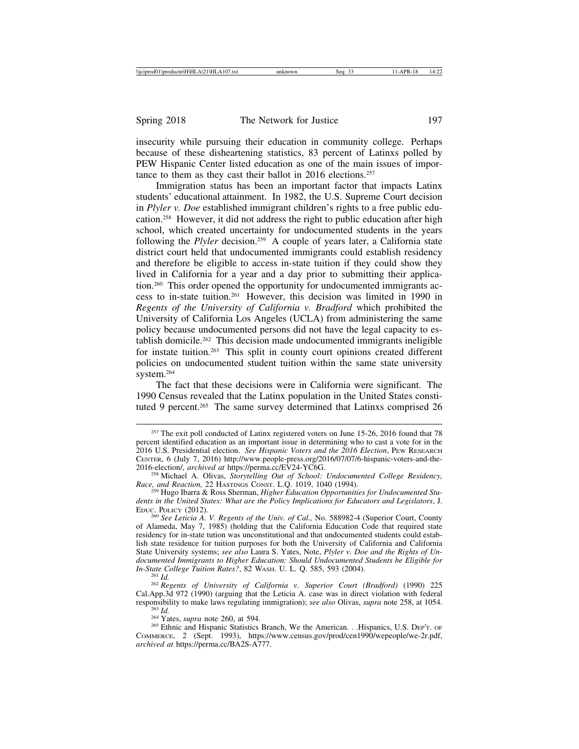insecurity while pursuing their education in community college. Perhaps because of these disheartening statistics, 83 percent of Latinxs polled by PEW Hispanic Center listed education as one of the main issues of importance to them as they cast their ballot in 2016 elections.<sup>257</sup>

Immigration status has been an important factor that impacts Latinx students' educational attainment. In 1982, the U.S. Supreme Court decision in *Plyler v. Doe* established immigrant children's rights to a free public education.258 However, it did not address the right to public education after high school, which created uncertainty for undocumented students in the years following the *Plyler* decision.<sup>259</sup> A couple of years later, a California state district court held that undocumented immigrants could establish residency and therefore be eligible to access in-state tuition if they could show they lived in California for a year and a day prior to submitting their application.260 This order opened the opportunity for undocumented immigrants access to in-state tuition.261 However, this decision was limited in 1990 in *Regents of the University of California v. Bradford* which prohibited the University of California Los Angeles (UCLA) from administering the same policy because undocumented persons did not have the legal capacity to establish domicile.262 This decision made undocumented immigrants ineligible for instate tuition.<sup>263</sup> This split in county court opinions created different policies on undocumented student tuition within the same state university system.264

The fact that these decisions were in California were significant. The 1990 Census revealed that the Latinx population in the United States constituted 9 percent.<sup>265</sup> The same survey determined that Latinxs comprised 26

*In-State College Tuition Rates?*, 82 WASH. U. L. Q. 585, 593 (2004). <sup>261</sup> *Id.* <sup>262</sup> *Regents of University of California v. Superior Court (Bradford)* (1990) 225 Cal.App.3d 972 (1990) (arguing that the Leticia A. case was in direct violation with federal responsibility to make laws regulating immigration); see also Olivas, supra note 258, at 1054.<br><sup>263</sup> Id.<br><sup>264</sup> Yates, supra note 260, at 594.<br><sup>264</sup> Yates, supra note 260, at 594.<br><sup>265</sup> Ethnic and Hispanic Statistics Branch

COMMERCE, 2 (Sept. 1993), https://www.census.gov/prod/cen1990/wepeople/we-2r.pdf, *archived at* https://perma.cc/BA2S-A777.

<sup>&</sup>lt;sup>257</sup> The exit poll conducted of Latinx registered voters on June 15-26, 2016 found that 78 percent identified education as an important issue in determining who to cast a vote for in the 2016 U.S. Presidential election. *See Hispanic Voters and the 2016 Election*, PEW RESEARCH CENTER, 6 (July 7, 2016) http://www.people-press.org/2016/07/07/6-hispanic-voters-and-the-

<sup>&</sup>lt;sup>258</sup> Michael A. Olivas, *Storytelling Out of School: Undocumented College Residency*, *Race, and Reaction,* 22 HASTINGS CONST. L.Q. 1019, 1040 (1994). <sup>259</sup> Hugo Ibarra & Ross Sherman, *Higher Education Opportunities for Undocumented Stu-*

*dents in the United States: What are the Policy Implications for Educators and Legislators*, J.

<sup>&</sup>lt;sup>260</sup> See Leticia A. V. Regents of the Univ. of Cal., No. 588982-4 (Superior Court, County of Alameda, May 7, 1985) (holding that the California Education Code that required state residency for in-state tution was unconstitutional and that undocumented students could establish state residence for tuition purposes for both the University of California and California State University systems; *see also* Laura S. Yates, Note, *Plyler v. Doe and the Rights of Undocumented Immigrants to Higher Education: Should Undocumented Students be Eligible for*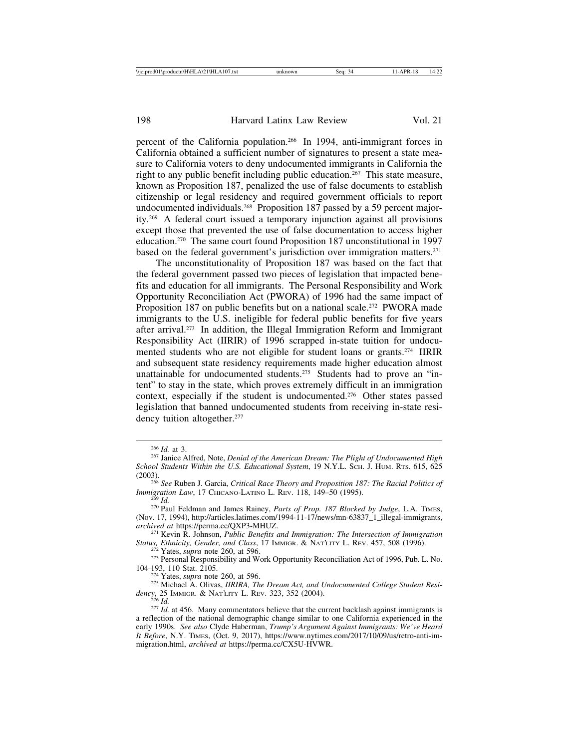percent of the California population.266 In 1994, anti-immigrant forces in California obtained a sufficient number of signatures to present a state measure to California voters to deny undocumented immigrants in California the right to any public benefit including public education.267 This state measure, known as Proposition 187, penalized the use of false documents to establish citizenship or legal residency and required government officials to report undocumented individuals.<sup>268</sup> Proposition 187 passed by a 59 percent majority.269 A federal court issued a temporary injunction against all provisions except those that prevented the use of false documentation to access higher education.270 The same court found Proposition 187 unconstitutional in 1997 based on the federal government's jurisdiction over immigration matters.<sup>271</sup>

The unconstitutionality of Proposition 187 was based on the fact that the federal government passed two pieces of legislation that impacted benefits and education for all immigrants. The Personal Responsibility and Work Opportunity Reconciliation Act (PWORA) of 1996 had the same impact of Proposition 187 on public benefits but on a national scale.<sup>272</sup> PWORA made immigrants to the U.S. ineligible for federal public benefits for five years after arrival.273 In addition, the Illegal Immigration Reform and Immigrant Responsibility Act (IIRIR) of 1996 scrapped in-state tuition for undocumented students who are not eligible for student loans or grants.<sup>274</sup> IIRIR and subsequent state residency requirements made higher education almost unattainable for undocumented students.275 Students had to prove an "intent" to stay in the state, which proves extremely difficult in an immigration context, especially if the student is undocumented.276 Other states passed legislation that banned undocumented students from receiving in-state residency tuition altogether.<sup>277</sup>

<sup>271</sup> Kevin R. Johnson, *Public Benefits and Immigration: The Intersection of Immigration*<br>*Status, Ethnicity, Gender, and Class, 17 Immigration: & NATLITY L. REV. 457, 508 (1996).* 

<sup>274</sup> Yates, *supra* note 260, at 596.<br><sup>275</sup> Michael A. Olivas, *IIRIRA*, *The Dream Act, and Undocumented College Student Resi-*<br>dency, 25 IMMIGR. & NATLITY L. REV. 323, 352 (2004).

<sup>266</sup> *Id.* at 3. <sup>267</sup> Janice Alfred, Note, *Denial of the American Dream: The Plight of Undocumented High School Students Within the U.S. Educational System*, 19 N.Y.L. SCH. J. HUM. RTS. 615, 625

<sup>(2003).</sup> <sup>268</sup> *See* Ruben J. Garcia, *Critical Race Theory and Proposition 187: The Racial Politics of*

*Immigration Law*, 17 CHICANO-LATINO L. REV. 118, 149–50 (1995). <sup>269</sup> *Id.* <sup>270</sup> Paul Feldman and James Rainey, *Parts of Prop. 187 Blocked by Judge*, L.A. TIMES, (Nov. 17, 1994), http://articles.latimes.com/1994-11-17/news/mn-63837\_1\_illegal-immigrants, archived at https://perma.cc/QXP3-MHUZ.

<sup>&</sup>lt;sup>272</sup> Yates, *supra* note 260, at 596.<br><sup>273</sup> Personal Responsibility and Work Opportunity Reconciliation Act of 1996, Pub. L. No.<br>104-193, 110 Stat. 2105.

*dency*, 255 *Id.* 275 *Id.* 275 *Id.* 275 *Id.* 275 *Id.* 277 *Id.* at 456. Many commentators believe that the current backlash against immigrants is a reflection of the national demographic change similar to one California experienced in the early 1990s. *See also* Clyde Haberman, *Trump's Argument Against Immigrants: We've Heard It Before*, N.Y. TIMES, (Oct. 9, 2017), https://www.nytimes.com/2017/10/09/us/retro-anti-immigration.html, *archived at* https://perma.cc/CX5U-HVWR.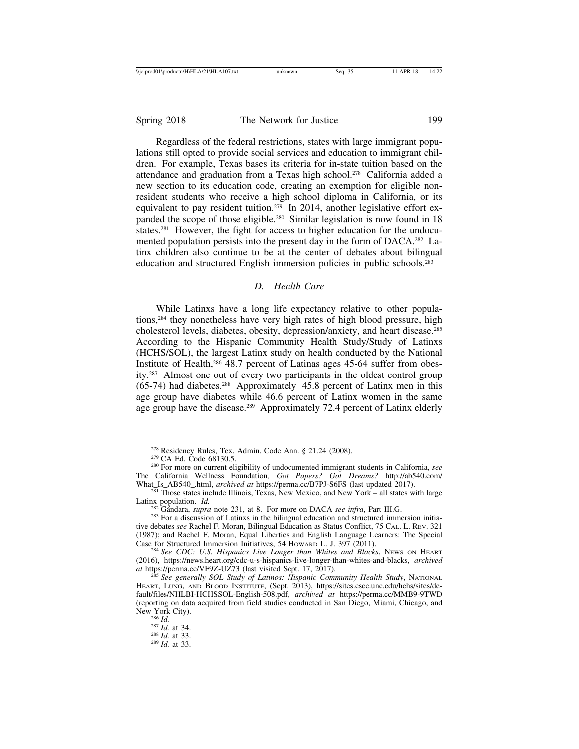Regardless of the federal restrictions, states with large immigrant populations still opted to provide social services and education to immigrant children. For example, Texas bases its criteria for in-state tuition based on the attendance and graduation from a Texas high school.278 California added a new section to its education code, creating an exemption for eligible nonresident students who receive a high school diploma in California, or its equivalent to pay resident tuition.<sup>279</sup> In 2014, another legislative effort expanded the scope of those eligible.280 Similar legislation is now found in 18 states.281 However, the fight for access to higher education for the undocumented population persists into the present day in the form of DACA.282 Latinx children also continue to be at the center of debates about bilingual education and structured English immersion policies in public schools.283

## *D. Health Care*

While Latinxs have a long life expectancy relative to other populations,284 they nonetheless have very high rates of high blood pressure, high cholesterol levels, diabetes, obesity, depression/anxiety, and heart disease.285 According to the Hispanic Community Health Study/Study of Latinxs (HCHS/SOL), the largest Latinx study on health conducted by the National Institute of Health,286 48.7 percent of Latinas ages 45-64 suffer from obesity.287 Almost one out of every two participants in the oldest control group  $(65-74)$  had diabetes.<sup>288</sup> Approximately 45.8 percent of Latinx men in this age group have diabetes while 46.6 percent of Latinx women in the same age group have the disease.<sup>289</sup> Approximately 72.4 percent of Latinx elderly

New York City).<br><sup>286</sup> *Id.* at 34.<br><sup>287</sup> *Id.* at 33.<br><sup>289</sup> *Id.* at 33.

<sup>278</sup> Residency Rules, Tex. Admin. Code Ann. § 21.24 (2008). <sup>279</sup> CA Ed. Code 68130.5. <sup>280</sup> For more on current eligibility of undocumented immigrant students in California, *see* The California Wellness Foundation*, Got Papers? Got Dreams?* http://ab540.com/

<sup>&</sup>lt;sup>281</sup> Those states include Illinois, Texas, New Mexico, and New York – all states with large Latinx population. *Id.* 

 $\frac{282}{282}$  Gándara, *supra* note 231, at 8. For more on DACA *see infra*, Part III.G. 283 For a discussion of Latinxs in the bilingual education and structured immersion initiative debates *see* Rachel F. Moran, Bilingual Education as Status Conflict, 75 CAL. L. REV. 321 (1987); and Rachel F. Moran, Equal Liberties and English Language Learners: The Special

<sup>&</sup>lt;sup>284</sup> See CDC: U.S. Hispanics Live Longer than Whites and Blacks, NEWS ON HEART (2016), https://news.heart.org/cdc-u-s-hispanics-live-longer-than-whites-and-blacks, *archived*

<sup>&</sup>lt;sup>285</sup> See generally SOL Study of Latinos: Hispanic Community Health Study, NATIONAL HEART, LUNG, AND BLOOD INSTITUTE, (Sept. 2013), https://sites.cscc.unc.edu/hchs/sites/default/files/NHLBI-HCHSSOL-English-508.pdf, *archived at* https://perma.cc/MMB9-9TWD (reporting on data acquired from field studies conducted in San Diego, Miami, Chicago, and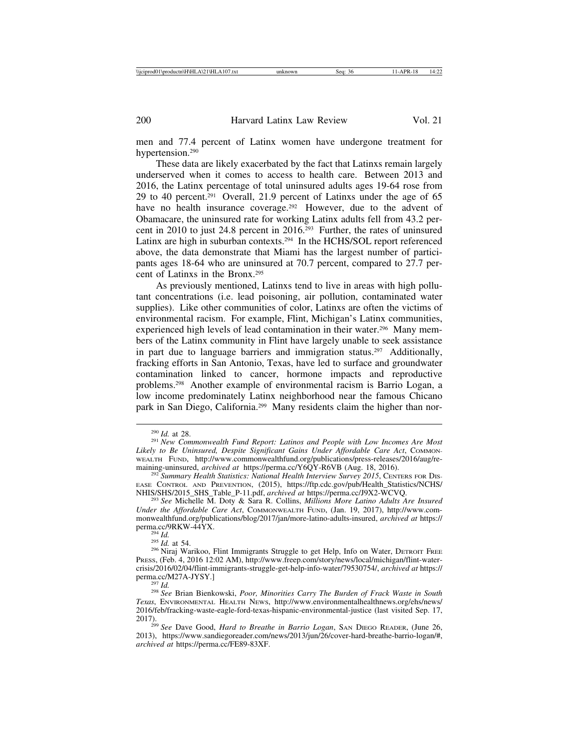men and 77.4 percent of Latinx women have undergone treatment for hypertension.290

These data are likely exacerbated by the fact that Latinxs remain largely underserved when it comes to access to health care. Between 2013 and 2016, the Latinx percentage of total uninsured adults ages 19-64 rose from 29 to 40 percent.291 Overall, 21.9 percent of Latinxs under the age of 65 have no health insurance coverage.<sup>292</sup> However, due to the advent of Obamacare, the uninsured rate for working Latinx adults fell from 43.2 percent in 2010 to just 24.8 percent in 2016.293 Further, the rates of uninsured Latinx are high in suburban contexts.<sup>294</sup> In the HCHS/SOL report referenced above, the data demonstrate that Miami has the largest number of participants ages 18-64 who are uninsured at 70.7 percent, compared to 27.7 percent of Latinxs in the Bronx.295

As previously mentioned, Latinxs tend to live in areas with high pollutant concentrations (i.e. lead poisoning, air pollution, contaminated water supplies). Like other communities of color, Latinxs are often the victims of environmental racism. For example, Flint, Michigan's Latinx communities, experienced high levels of lead contamination in their water.<sup>296</sup> Many members of the Latinx community in Flint have largely unable to seek assistance in part due to language barriers and immigration status.<sup>297</sup> Additionally, fracking efforts in San Antonio, Texas, have led to surface and groundwater contamination linked to cancer, hormone impacts and reproductive problems.298 Another example of environmental racism is Barrio Logan, a low income predominately Latinx neighborhood near the famous Chicano park in San Diego, California.299 Many residents claim the higher than nor-

<sup>290</sup> *Id.* at 28. <sup>291</sup> *New Commonwealth Fund Report: Latinos and People with Low Incomes Are Most Likely to Be Uninsured, Despite Significant Gains Under Affordable Care Act*, COMMON-WEALTH FUND, http://www.commonwealthfund.org/publications/press-releases/2016/aug/re-maining-uninsured, archived at https://perma.cc/Y6QY-R6VB (Aug. 18, 2016).

<sup>&</sup>lt;sup>292</sup> Summary Health Statistics: National Health Interview Survey 2015, CENTERS FOR DIS-EASE CONTROL AND PREVENTION, (2015), https://ftp.cdc.gov/pub/Health\_Statistics/NCHS/ NHIS/SHS/2015\_SHS\_Table\_P-11.pdf, *archived at* https://perma.cc/J9X2-WCVQ. <sup>293</sup> *See* Michelle M. Doty & Sara R. Collins, *Millions More Latino Adults Are Insured*

*Under the Affordable Care Act*, COMMONWEALTH FUND, (Jan. 19, 2017), http://www.commonwealthfund.org/publications/blog/2017/jan/more-latino-adults-insured, *archived at* https://

<sup>&</sup>lt;sup>294</sup> *Id.*<br><sup>295</sup> *Id.* at 54.<br><sup>296</sup> Niraj Warikoo, Flint Immigrants Struggle to get Help, Info on Water, DETROIT FREE PRESS, (Feb. 4, 2016 12:02 AM), http://www.freep.com/story/news/local/michigan/flint-watercrisis/2016/02/04/flint-immigrants-struggle-get-help-info-water/79530754/, *archived at* https:// perma.cc/M27A-JYSY.] <sup>297</sup> *Id.* <sup>298</sup> *See* Brian Bienkowski, *Poor, Minorities Carry The Burden of Frack Waste in South*

*Texas*, ENVIRONMENTAL HEALTH NEWS, http://www.environmentalhealthnews.org/ehs/news/ 2016/feb/fracking-waste-eagle-ford-texas-hispanic-environmental-justice (last visited Sep. 17,

<sup>&</sup>lt;sup>299</sup> See Dave Good, *Hard to Breathe in Barrio Logan*, SAN DIEGO READER, (June 26, 2013), https://www.sandiegoreader.com/news/2013/jun/26/cover-hard-breathe-barrio-logan/#, *archived at* https://perma.cc/FE89-83XF.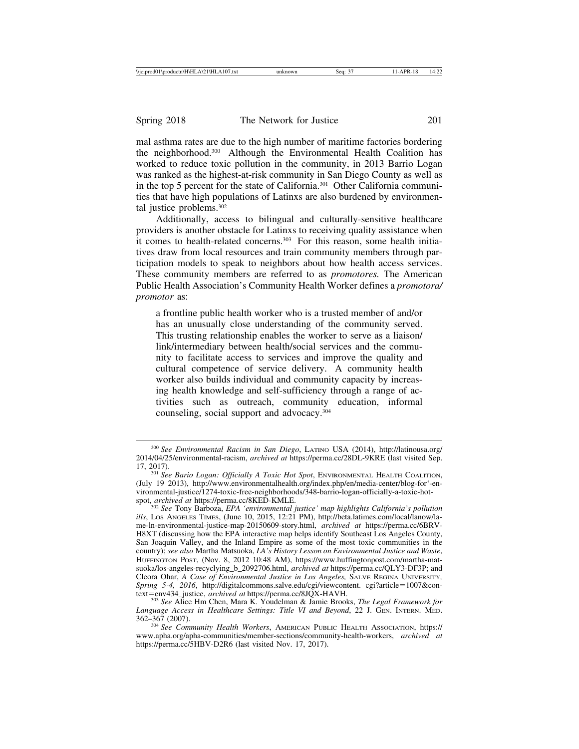mal asthma rates are due to the high number of maritime factories bordering the neighborhood.300 Although the Environmental Health Coalition has worked to reduce toxic pollution in the community, in 2013 Barrio Logan was ranked as the highest-at-risk community in San Diego County as well as in the top 5 percent for the state of California.301 Other California communities that have high populations of Latinxs are also burdened by environmental justice problems.302

Additionally, access to bilingual and culturally-sensitive healthcare providers is another obstacle for Latinxs to receiving quality assistance when it comes to health-related concerns.<sup>303</sup> For this reason, some health initiatives draw from local resources and train community members through participation models to speak to neighbors about how health access services. These community members are referred to as *promotores.* The American Public Health Association's Community Health Worker defines a *promotora/ promotor* as:

a frontline public health worker who is a trusted member of and/or has an unusually close understanding of the community served. This trusting relationship enables the worker to serve as a liaison/ link/intermediary between health/social services and the community to facilitate access to services and improve the quality and cultural competence of service delivery. A community health worker also builds individual and community capacity by increasing health knowledge and self-sufficiency through a range of activities such as outreach, community education, informal counseling, social support and advocacy.304

<sup>300</sup> *See Environmental Racism in San Diego*, LATINO USA (2014), http://latinousa.org/ 2014/04/25/environmental-racism, *archived at* https://perma.cc/28DL-9KRE (last visited Sep.

<sup>17, 2017).</sup> <sup>301</sup> *See Bario Logan: Officially A Toxic Hot Spot*, ENVIRONMENTAL HEALTH COALITION, (July 19 2013), http://www.environmentalhealth.org/index.php/en/media-center/blog-for'-environmental-justice/1274-toxic-free-neighborhoods/348-barrio-logan-officially-a-toxic-hot-<br>spot, archived at https://perma.cc/8KED-KMLE.

<sup>&</sup>lt;sup>302</sup> See Tony Barboza, *EPA 'environmental justice' map highlights California's pollution ills*, LOS ANGELES TIMES, (June 10, 2015, 12:21 PM), http://beta.latimes.com/local/lanow/lame-ln-environmental-justice-map-20150609-story.html, *archived at* https://perma.cc/6BRV-H8XT (discussing how the EPA interactive map helps identify Southeast Los Angeles County, San Joaquin Valley, and the Inland Empire as some of the most toxic communities in the country); *see also* Martha Matsuoka, *LA's History Lesson on Environmental Justice and Waste*, HUFFINGTON POST, (Nov. 8, 2012 10:48 AM), https://www.huffingtonpost.com/martha-matsuoka/los-angeles-recyclying\_b\_2092706.html, *archived at* https://perma.cc/QLY3-DF3P; and Cleora Ohar, *A Case of Environmental Justice in Los Angeles,* SALVE REGINA UNIVERSITY*, Spring 5-4, 2016,* http://digitalcommons.salve.edu/cgi/viewcontent. cgi?article=1007&context=env434\_justice, *archived at* https://perma.cc/8JQX-HAVH.

<sup>&</sup>lt;sup>303</sup> See Alice Hm Chen, Mara K. Youdelman & Jamie Brooks, *The Legal Framework for Language Access in Healthcare Settings: Title VI and Beyond*, 22 J. GEN. INTERN. MED. 362–367 (2007).

<sup>304</sup> *See Community Health Workers*, AMERICAN PUBLIC HEALTH ASSOCIATION, https:// www.apha.org/apha-communities/member-sections/community-health-workers, *archived at* https://perma.cc/5HBV-D2R6 (last visited Nov. 17, 2017).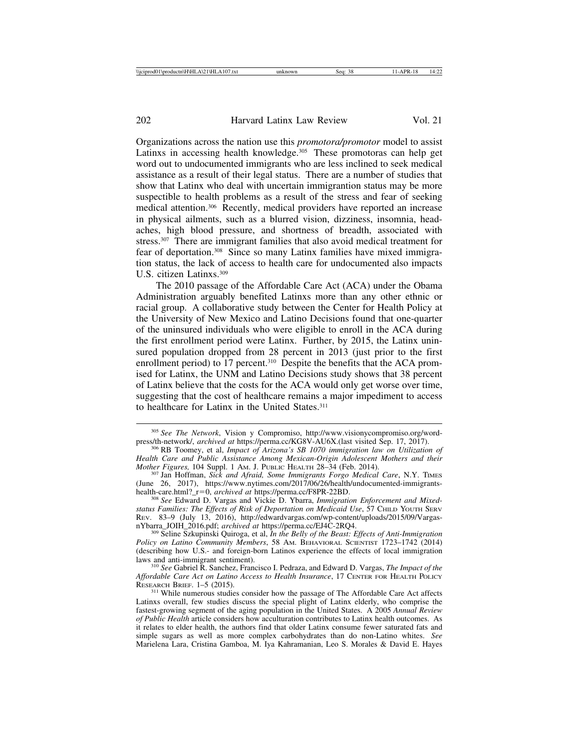Organizations across the nation use this *promotora/promotor* model to assist Latinxs in accessing health knowledge.<sup>305</sup> These promotoras can help get word out to undocumented immigrants who are less inclined to seek medical assistance as a result of their legal status. There are a number of studies that show that Latinx who deal with uncertain immigrantion status may be more suspectible to health problems as a result of the stress and fear of seeking medical attention.306 Recently, medical providers have reported an increase in physical ailments, such as a blurred vision, dizziness, insomnia, headaches, high blood pressure, and shortness of breadth, associated with stress.307 There are immigrant families that also avoid medical treatment for fear of deportation.308 Since so many Latinx families have mixed immigration status, the lack of access to health care for undocumented also impacts U.S. citizen Latinxs.309

The 2010 passage of the Affordable Care Act (ACA) under the Obama Administration arguably benefited Latinxs more than any other ethnic or racial group. A collaborative study between the Center for Health Policy at the University of New Mexico and Latino Decisions found that one-quarter of the uninsured individuals who were eligible to enroll in the ACA during the first enrollment period were Latinx. Further, by 2015, the Latinx uninsured population dropped from 28 percent in 2013 (just prior to the first enrollment period) to 17 percent.<sup>310</sup> Despite the benefits that the ACA promised for Latinx, the UNM and Latino Decisions study shows that 38 percent of Latinx believe that the costs for the ACA would only get worse over time, suggesting that the cost of healthcare remains a major impediment to access to healthcare for Latinx in the United States.311

<sup>310</sup> See Gabriel R. Sanchez, Francisco I. Pedraza, and Edward D. Vargas, *The Impact of the Affordable Care Act on Latino Access to Health Insurance*, 17 CENTER FOR HEALTH POLICY RESEARCH BRIEF. 1–5 (2015).

<sup>&</sup>lt;sup>305</sup> See The Network, Vision y Compromiso, http://www.visionycompromiso.org/word-<br>press/th-network/, archived at https://perma.cc/KG8V-AU6X.(last visited Sep. 17, 2017).

<sup>&</sup>lt;sup>306</sup> RB Toomey, et al, *Impact of Arizona's SB 1070 immigration law on Utilization of Health Care and Public Assistance Among Mexican-Origin Adolescent Mothers and their*

<sup>&</sup>lt;sup>307</sup> Jan Hoffman, *Sick and Afraid, Some Immigrants Forgo Medical Care*, N.Y. TIMES (June 26, 2017), https://www.nytimes.com/2017/06/26/health/undocumented-immigrants-health-care.html?\_r=0, *archived at* https://perma.cc/F8PR-22BD.

<sup>&</sup>lt;sup>308</sup> See Edward D. Vargas and Vickie D. Ybarra, *Immigration Enforcement and Mixedstatus Families: The Effects of Risk of Deportation on Medicaid Use*, 57 CHILD YOUTH SERV REV. 83-9 (July 13, 2016), http://edwardvargas.com/wp-content/uploads/2015/09/Vargas-<br>nYbarra\_JOIH\_2016.pdf; *archived at* https://perma.cc/EJ4C-2RQ4.

<sup>&</sup>lt;sup>309</sup> Seline Szkupinski Quiroga, et al, *In the Belly of the Beast: Effects of Anti-Immigration Policy on Latino Community Members*, 58 AM. BEHAVIORAL SCIENTIST 1723–1742 (2014) (describing how U.S.- and foreign-born Latinos experience the effects of local immigration

<sup>&</sup>lt;sup>311</sup> While numerous studies consider how the passage of The Affordable Care Act affects Latinxs overall, few studies discuss the special plight of Latinx elderly, who comprise the fastest-growing segment of the aging population in the United States. A 2005 *Annual Review of Public Health* article considers how acculturation contributes to Latinx health outcomes. As it relates to elder health, the authors find that older Latinx consume fewer saturated fats and simple sugars as well as more complex carbohydrates than do non-Latino whites. *See* Marielena Lara, Cristina Gamboa, M. Iya Kahramanian, Leo S. Morales & David E. Hayes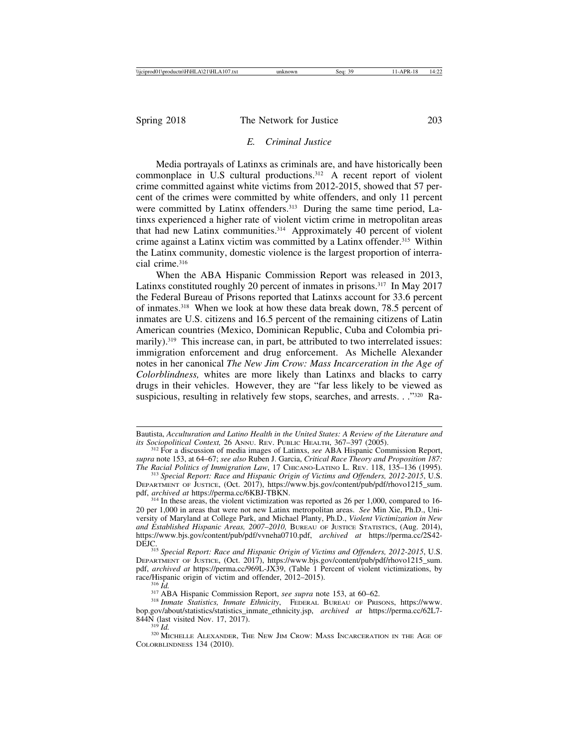## *E. Criminal Justice*

Media portrayals of Latinxs as criminals are, and have historically been commonplace in U.S cultural productions.312 A recent report of violent crime committed against white victims from 2012-2015, showed that 57 percent of the crimes were committed by white offenders, and only 11 percent were committed by Latinx offenders.<sup>313</sup> During the same time period, Latinxs experienced a higher rate of violent victim crime in metropolitan areas that had new Latinx communities.314 Approximately 40 percent of violent crime against a Latinx victim was committed by a Latinx offender.315 Within the Latinx community, domestic violence is the largest proportion of interracial crime.<sup>316</sup>

When the ABA Hispanic Commission Report was released in 2013, Latinxs constituted roughly 20 percent of inmates in prisons.317 In May 2017 the Federal Bureau of Prisons reported that Latinxs account for 33.6 percent of inmates.318 When we look at how these data break down, 78.5 percent of inmates are U.S. citizens and 16.5 percent of the remaining citizens of Latin American countries (Mexico, Dominican Republic, Cuba and Colombia primarily).<sup>319</sup> This increase can, in part, be attributed to two interrelated issues: immigration enforcement and drug enforcement. As Michelle Alexander notes in her canonical *The New Jim Crow: Mass Incarceration in the Age of Colorblindness,* whites are more likely than Latinxs and blacks to carry drugs in their vehicles. However, they are "far less likely to be viewed as suspicious, resulting in relatively few stops, searches, and arrests. . . "320 Ra-

Bautista, *Acculturation and Latino Health in the United States: A Review of the Literature and its Sociopolitical Context, 26 ANNU. REV. PUBLIC HEALTH, 367–397 (2005).* 

<sup>&</sup>lt;sup>312</sup> For a discussion of media images of Latinxs, *see* ABA Hispanic Commission Report, *supra* note 153, at 64–67; *see also* Ruben J. Garcia, *Critical Race Theory and Proposition 187: The Racial Politics of Immigration Law*, 17 CHICANO-LATINO L. REV. 118, 135–136 (1995). <sup>313</sup> *Special Report: Race and Hispanic Origin of Victims and Offenders, 2012-2015*, U.S.

DEPARTMENT OF JUSTICE, (Oct. 2017), https://www.bjs.gov/content/pub/pdf/rhovo1215\_sum.<br>pdf, archived at https://perma.cc/6KBJ-TBKN.

<sup>&</sup>lt;sup>314</sup> In these areas, the violent victimization was reported as 26 per 1,000, compared to 16-20 per 1,000 in areas that were not new Latinx metropolitan areas. *See* Min Xie, Ph.D., University of Maryland at College Park, and Michael Planty, Ph.D., *Violent Victimization in New and Established Hispanic Areas, 2007*–*2010,* BUREAU OF JUSTICE STATISTICS, (Aug. 2014), https://www.bjs.gov/content/pub/pdf/vvneha0710.pdf, *archived at* https://perma.cc/2S42-

<sup>&</sup>lt;sup>315</sup> Special Report: Race and Hispanic Origin of Victims and Offenders, 2012-2015, U.S. DEPARTMENT OF JUSTICE, (Oct. 2017), https://www.bjs.gov/content/pub/pdf/rhovo1215\_sum. pdf, *archived at* https://perma.cc/969L-JX39, (Table 1 Percent of violent victimizations, by

<sup>&</sup>lt;sup>316</sup> Id.<br><sup>317</sup> ABA Hispanic Commission Report, *see supra* note 153, at 60–62.<br><sup>318</sup> Inmate Statistics, Inmate Ethnicity, FEDERAL BUREAU OF PRISONS, https://www. bop.gov/about/statistics/statistics\_inmate\_ethnicity.jsp, *archived at* https://perma.cc/62L7-

<sup>&</sup>lt;sup>319</sup> Id.<br><sup>320</sup> Michelle Alexander, The New Jim Crow: Mass Incarceration in the Age of COLORBLINDNESS 134 (2010).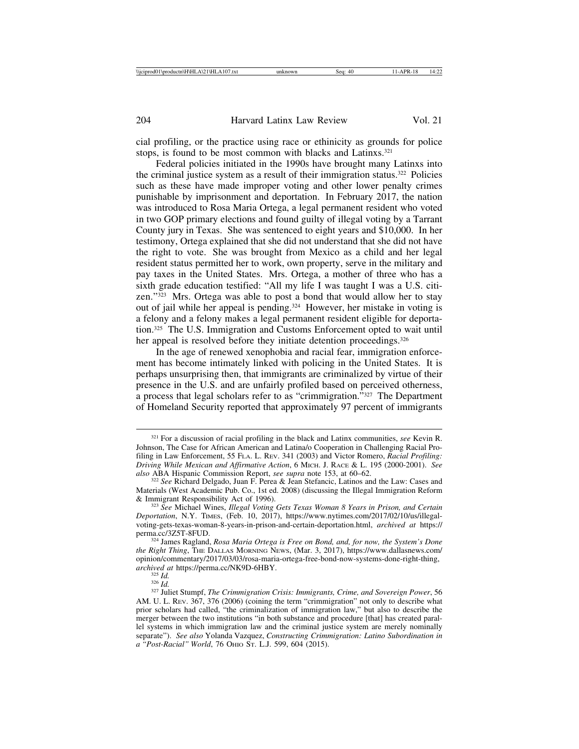cial profiling, or the practice using race or ethinicity as grounds for police stops, is found to be most common with blacks and Latinxs.<sup>321</sup>

Federal policies initiated in the 1990s have brought many Latinxs into the criminal justice system as a result of their immigration status.322 Policies such as these have made improper voting and other lower penalty crimes punishable by imprisonment and deportation. In February 2017, the nation was introduced to Rosa Maria Ortega, a legal permanent resident who voted in two GOP primary elections and found guilty of illegal voting by a Tarrant County jury in Texas. She was sentenced to eight years and \$10,000. In her testimony, Ortega explained that she did not understand that she did not have the right to vote. She was brought from Mexico as a child and her legal resident status permitted her to work, own property, serve in the military and pay taxes in the United States. Mrs. Ortega, a mother of three who has a sixth grade education testified: "All my life I was taught I was a U.S. citizen."323 Mrs. Ortega was able to post a bond that would allow her to stay out of jail while her appeal is pending.324 However, her mistake in voting is a felony and a felony makes a legal permanent resident eligible for deportation.325 The U.S. Immigration and Customs Enforcement opted to wait until her appeal is resolved before they initiate detention proceedings.<sup>326</sup>

In the age of renewed xenophobia and racial fear, immigration enforcement has become intimately linked with policing in the United States. It is perhaps unsurprising then, that immigrants are criminalized by virtue of their presence in the U.S. and are unfairly profiled based on perceived otherness, a process that legal scholars refer to as "crimmigration."327 The Department of Homeland Security reported that approximately 97 percent of immigrants

<sup>321</sup> For a discussion of racial profiling in the black and Latinx communities, *see* Kevin R. Johnson, The Case for African American and Latina/o Cooperation in Challenging Racial Profiling in Law Enforcement, 55 FLA. L. REV. 341 (2003) and Victor Romero, *Racial Profiling: Driving While Mexican and Affirmative Action*, 6 MICH. J. RACE & L. 195 (2000-2001). *See* also ABA Hispanic Commission Report, *see supra* note 153, at 60–62.

<sup>&</sup>lt;sup>322</sup> See Richard Delgado, Juan F. Perea & Jean Stefancic, Latinos and the Law: Cases and Materials (West Academic Pub. Co., 1st ed. 2008) (discussing the Illegal Immigration Reform & Immigrant Responsibility Act of 1996).

<sup>&</sup>lt;sup>323</sup> See Michael Wines, *Illegal Voting Gets Texas Woman 8 Years in Prison, and Certain Deportation*, N.Y. TIMES, (Feb. 10, 2017), https://www.nytimes.com/2017/02/10/us/illegalvoting-gets-texas-woman-8-years-in-prison-and-certain-deportation.html, *archived at* https://

<sup>&</sup>lt;sup>324</sup> James Ragland, *Rosa Maria Ortega is Free on Bond, and, for now, the System's Done the Right Thing*, THE DALLAS MORNING NEWS, (Mar. 3, 2017), https://www.dallasnews.com/ opinion/commentary/2017/03/03/rosa-maria-ortega-free-bond-now-systems-done-right-thing, *archived at https://perma.cc/NK9D-6HBY.*<br><sup>325</sup> *Id.* <sup>326</sup> *Id.* 326 *Id.* 327 Juliet Stumpf, *The Crimmigration Crisis: Immigrants, Crime, and Sovereign Power, 56* 

AM. U. L. REV. 367, 376 (2006) (coining the term "crimmigration" not only to describe what prior scholars had called, "the criminalization of immigration law," but also to describe the merger between the two institutions "in both substance and procedure [that] has created parallel systems in which immigration law and the criminal justice system are merely nominally separate"). *See also* Yolanda Vazquez, *Constructing Crimmigration: Latino Subordination in a "Post-Racial" World*, 76 OHIO ST. L.J. 599, 604 (2015).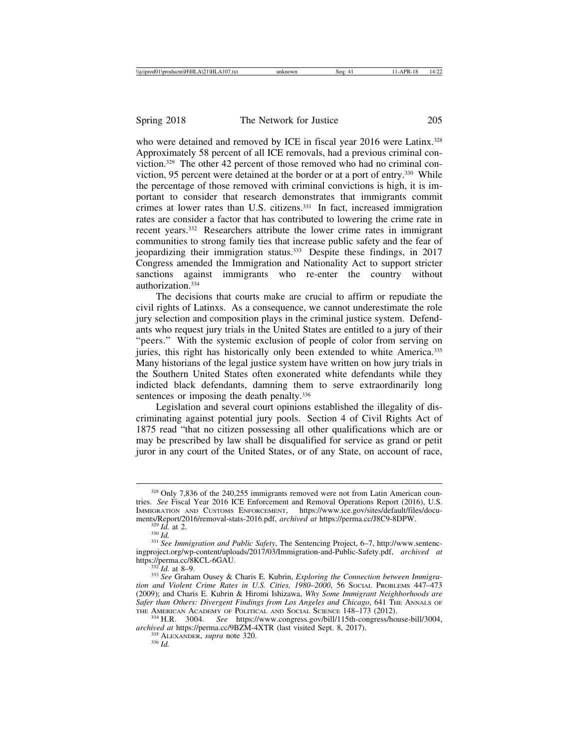who were detained and removed by ICE in fiscal year 2016 were Latinx.<sup>328</sup> Approximately 58 percent of all ICE removals, had a previous criminal conviction.329 The other 42 percent of those removed who had no criminal conviction, 95 percent were detained at the border or at a port of entry.330 While the percentage of those removed with criminal convictions is high, it is important to consider that research demonstrates that immigrants commit crimes at lower rates than U.S. citizens.<sup>331</sup> In fact, increased immigration rates are consider a factor that has contributed to lowering the crime rate in recent years.332 Researchers attribute the lower crime rates in immigrant communities to strong family ties that increase public safety and the fear of jeopardizing their immigration status.333 Despite these findings, in 2017 Congress amended the Immigration and Nationality Act to support stricter sanctions against immigrants who re-enter the country without authorization.334

The decisions that courts make are crucial to affirm or repudiate the civil rights of Latinxs. As a consequence, we cannot underestimate the role jury selection and composition plays in the criminal justice system. Defendants who request jury trials in the United States are entitled to a jury of their "peers." With the systemic exclusion of people of color from serving on juries, this right has historically only been extended to white America.<sup>335</sup> Many historians of the legal justice system have written on how jury trials in the Southern United States often exonerated white defendants while they indicted black defendants, damning them to serve extraordinarily long sentences or imposing the death penalty.<sup>336</sup>

Legislation and several court opinions established the illegality of discriminating against potential jury pools. Section 4 of Civil Rights Act of 1875 read "that no citizen possessing all other qualifications which are or may be prescribed by law shall be disqualified for service as grand or petit juror in any court of the United States, or of any State, on account of race,

<sup>328</sup> Only 7,836 of the 240,255 immigrants removed were not from Latin American countries. *See* Fiscal Year 2016 ICE Enforcement and Removal Operations Report (2016), U.S. IMMIGRATION AND CUSTOMS ENFORCEMENT, https://www.ice.gov/sites/default/files/docu-<br>ments/Report/2016/removal-stats-2016.pdf, *archived at* https://perma.cc/J8C9-8DPW.

<sup>&</sup>lt;sup>329</sup> *Id.* at 2.<br><sup>330</sup> *Id.* <sup>331</sup> *See Immigration and Public Safety*, The Sentencing Project, 6–7, http://www.sentenc-<br><sup>331</sup> *See Immigration and Public Safety*, The Sentencing Project, 6–7, http://www.sentencingproject.org/wp-content/uploads/2017/03/Immigration-and-Public-Safety.pdf, *archived at* https://perma.cc/8KCL-6GAU.<br><sup>332</sup> *Id.* at 8–9.<br><sup>333</sup> *See* Graham Ousey & Charis E. Kubrin, *Exploring the Connection between Immigra-*

*tion and Violent Crime Rates in U.S. Cities, 1980–2000*, 56 Social Problems 447–473 (2009); and Charis E. Kubrin & Hiromi Ishizawa, *Why Some Immigrant Neighborhoods are Safer than Others: Divergent Findings from Los Angeles and Chicago*, 641 THE ANNALS OF THE AMERICAN ACADEMY OF POLITICAL AND SOCIAL SCIENCE 148–173 (2012).

<sup>&</sup>lt;sup>334</sup> H.R. 3004. *See* https://www.congress.gov/bill/115th-congress/house-bill/3004, *archived at* https://perma.cc/9BZM-4XTR (last visited Sept. 8, 2017). <sup>335</sup> ALEXANDER, *supra* note 320. <sup>336</sup> *Id.*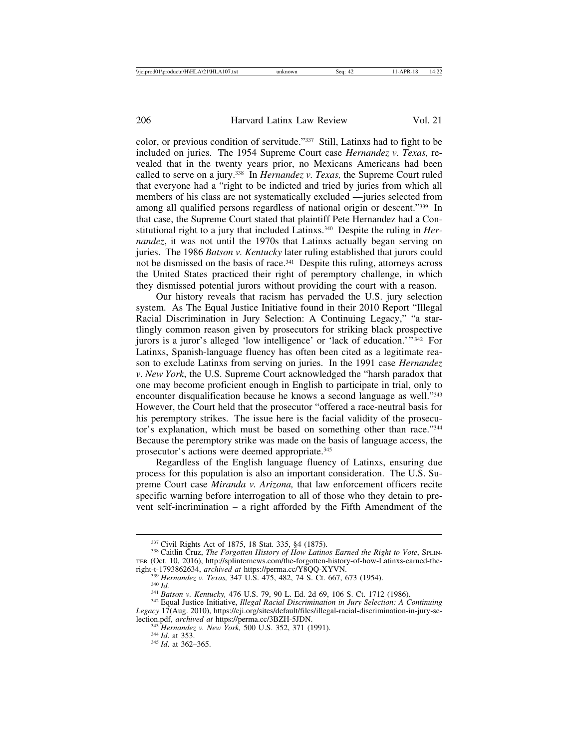color, or previous condition of servitude."337 Still, Latinxs had to fight to be included on juries. The 1954 Supreme Court case *Hernandez v. Texas,* revealed that in the twenty years prior, no Mexicans Americans had been called to serve on a jury.338 In *Hernandez v. Texas,* the Supreme Court ruled that everyone had a "right to be indicted and tried by juries from which all members of his class are not systematically excluded — juries selected from among all qualified persons regardless of national origin or descent."339 In that case, the Supreme Court stated that plaintiff Pete Hernandez had a Constitutional right to a jury that included Latinxs.340 Despite the ruling in *Hernandez*, it was not until the 1970s that Latinxs actually began serving on juries. The 1986 *Batson v. Kentucky* later ruling established that jurors could not be dismissed on the basis of race.<sup>341</sup> Despite this ruling, attorneys across the United States practiced their right of peremptory challenge, in which they dismissed potential jurors without providing the court with a reason.

Our history reveals that racism has pervaded the U.S. jury selection system. As The Equal Justice Initiative found in their 2010 Report "Illegal Racial Discrimination in Jury Selection: A Continuing Legacy," "a startlingly common reason given by prosecutors for striking black prospective jurors is a juror's alleged 'low intelligence' or 'lack of education.'" 342 For Latinxs, Spanish-language fluency has often been cited as a legitimate reason to exclude Latinxs from serving on juries. In the 1991 case *Hernandez v. New York*, the U.S. Supreme Court acknowledged the "harsh paradox that one may become proficient enough in English to participate in trial, only to encounter disqualification because he knows a second language as well."343 However, the Court held that the prosecutor "offered a race-neutral basis for his peremptory strikes. The issue here is the facial validity of the prosecutor's explanation, which must be based on something other than race."344 Because the peremptory strike was made on the basis of language access, the prosecutor's actions were deemed appropriate.345

Regardless of the English language fluency of Latinxs, ensuring due process for this population is also an important consideration. The U.S. Supreme Court case *Miranda v. Arizona,* that law enforcement officers recite specific warning before interrogation to all of those who they detain to prevent self-incrimination – a right afforded by the Fifth Amendment of the

right-t-1793862634, archived at https://perma.cc/Y8QQ-XYVN.<br>  $^{339}$  Hernandez v. Texas, 347 U.S. 475, 482, 74 S. Ct. 667, 673 (1954).<br>  $^{340}$  Id.<br>  $^{341}$  Batson v. Kentucky, 476 U.S. 79, 90 L. Ed. 2d 69, 106 S. Ct. 171

<sup>&</sup>lt;sup>337</sup> Civil Rights Act of 1875, 18 Stat. 335, §4 (1875).<br><sup>338</sup> Caitlin Cruz, *The Forgotten History of How Latinos Earned the Right to Vote*, SPLIN-TER (Oct. 10, 2016), http://splinternews.com/the-forgotten-history-of-how-Latinxs-earned-the-

*Legacy* 17(Aug. 2010), https://eji.org/sites/default/files/illegal-racial-discrimination-in-jury-se-

<sup>&</sup>lt;sup>343</sup> Hernandez v. New York, 500 U.S. 352, 371 (1991).<br><sup>344</sup> *Id.* at 353. <sup>345</sup> *Id.* at 362–365.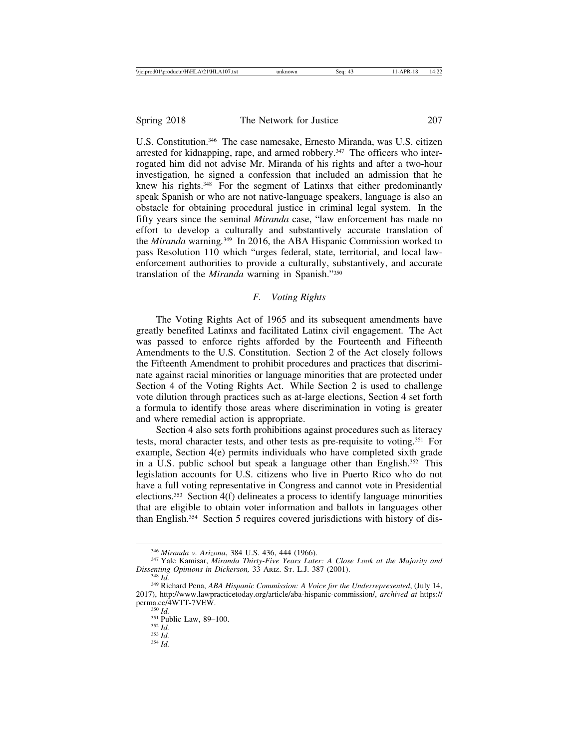U.S. Constitution.<sup>346</sup> The case namesake, Ernesto Miranda, was U.S. citizen arrested for kidnapping, rape, and armed robbery.<sup>347</sup> The officers who interrogated him did not advise Mr. Miranda of his rights and after a two-hour investigation, he signed a confession that included an admission that he knew his rights.348 For the segment of Latinxs that either predominantly speak Spanish or who are not native-language speakers, language is also an obstacle for obtaining procedural justice in criminal legal system. In the fifty years since the seminal *Miranda* case, "law enforcement has made no effort to develop a culturally and substantively accurate translation of the *Miranda* warning*.* 349 In 2016, the ABA Hispanic Commission worked to pass Resolution 110 which "urges federal, state, territorial, and local lawenforcement authorities to provide a culturally, substantively, and accurate translation of the *Miranda* warning in Spanish."350

## *F. Voting Rights*

The Voting Rights Act of 1965 and its subsequent amendments have greatly benefited Latinxs and facilitated Latinx civil engagement. The Act was passed to enforce rights afforded by the Fourteenth and Fifteenth Amendments to the U.S. Constitution. Section 2 of the Act closely follows the Fifteenth Amendment to prohibit procedures and practices that discriminate against racial minorities or language minorities that are protected under Section 4 of the Voting Rights Act. While Section 2 is used to challenge vote dilution through practices such as at-large elections, Section 4 set forth a formula to identify those areas where discrimination in voting is greater and where remedial action is appropriate.

Section 4 also sets forth prohibitions against procedures such as literacy tests, moral character tests, and other tests as pre-requisite to voting.351 For example, Section 4(e) permits individuals who have completed sixth grade in a U.S. public school but speak a language other than English.352 This legislation accounts for U.S. citizens who live in Puerto Rico who do not have a full voting representative in Congress and cannot vote in Presidential elections.<sup>353</sup> Section  $4(f)$  delineates a process to identify language minorities that are eligible to obtain voter information and ballots in languages other than English.354 Section 5 requires covered jurisdictions with history of dis-

<sup>&</sup>lt;sup>346</sup> *Miranda v. Arizona*, 384 U.S. 436, 444 (1966).<br><sup>347</sup> Yale Kamisar, *Miranda Thirty-Five Years Later: A Close Look at the Majority and Dissenting Opinions in Dickerson, 33 Ariz. St. L.J. 387 (2001).* 

<sup>&</sup>lt;sup>348</sup> Id.<br><sup>349</sup> Richard Pena, *ABA Hispanic Commission: A Voice for the Underrepresented*, (July 14, 2017), http://www.lawpracticetoday.org/article/aba-hispanic-commission/, *archived at* https://

permant 350 *Id.* 350 *Id.* 351 Public Law, 89–100. 352 *Id.* 354 *Id.* 354 *Id.*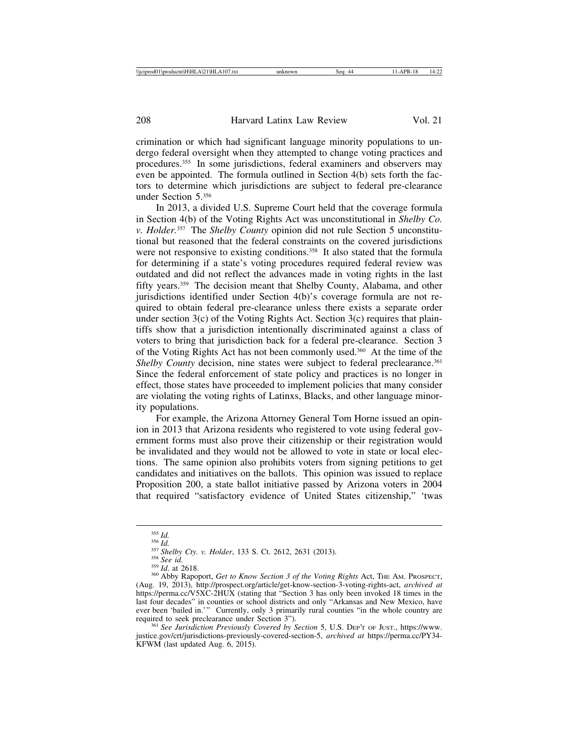crimination or which had significant language minority populations to undergo federal oversight when they attempted to change voting practices and procedures.355 In some jurisdictions, federal examiners and observers may even be appointed. The formula outlined in Section 4(b) sets forth the factors to determine which jurisdictions are subject to federal pre-clearance under Section 5.356

In 2013, a divided U.S. Supreme Court held that the coverage formula in Section 4(b) of the Voting Rights Act was unconstitutional in *Shelby Co. v. Holder.*357 The *Shelby County* opinion did not rule Section 5 unconstitutional but reasoned that the federal constraints on the covered jurisdictions were not responsive to existing conditions.<sup>358</sup> It also stated that the formula for determining if a state's voting procedures required federal review was outdated and did not reflect the advances made in voting rights in the last fifty years.359 The decision meant that Shelby County, Alabama, and other jurisdictions identified under Section 4(b)'s coverage formula are not required to obtain federal pre-clearance unless there exists a separate order under section  $3(c)$  of the Voting Rights Act. Section  $3(c)$  requires that plaintiffs show that a jurisdiction intentionally discriminated against a class of voters to bring that jurisdiction back for a federal pre-clearance. Section 3 of the Voting Rights Act has not been commonly used.360 At the time of the *Shelby County* decision, nine states were subject to federal preclearance.<sup>361</sup> Since the federal enforcement of state policy and practices is no longer in effect, those states have proceeded to implement policies that many consider are violating the voting rights of Latinxs, Blacks, and other language minority populations.

For example, the Arizona Attorney General Tom Horne issued an opinion in 2013 that Arizona residents who registered to vote using federal government forms must also prove their citizenship or their registration would be invalidated and they would not be allowed to vote in state or local elections. The same opinion also prohibits voters from signing petitions to get candidates and initiatives on the ballots. This opinion was issued to replace Proposition 200, a state ballot initiative passed by Arizona voters in 2004 that required "satisfactory evidence of United States citizenship," 'twas

<sup>&</sup>lt;sup>355</sup> Id.<br><sup>356</sup> Id.<br><sup>357</sup> Shelby Cty. v. Holder, 133 S. Ct. 2612, 2631 (2013).<br><sup>358</sup> See id.<br><sup>359</sup> Id. at 2618.<br><sup>359</sup> Id. at 2618. (Aug. 19, 2013), http://prospect.org/article/get-know-section-3-voting-rights-act, *archived at* https://perma.cc/V5XC-2HUX (stating that "Section 3 has only been invoked 18 times in the last four decades" in counties or school districts and only "Arkansas and New Mexico, have ever been 'bailed in.'" Currently, only 3 primarily rural counties "in the whole country are required to seek preclearance under Section 3").

<sup>&</sup>lt;sup>361</sup> See Jurisdiction Previously Covered by Section 5, U.S. DEP'T OF JUST., https://www. justice.gov/crt/jurisdictions-previously-covered-section-5, *archived at* https://perma.cc/PY34- KFWM (last updated Aug. 6, 2015).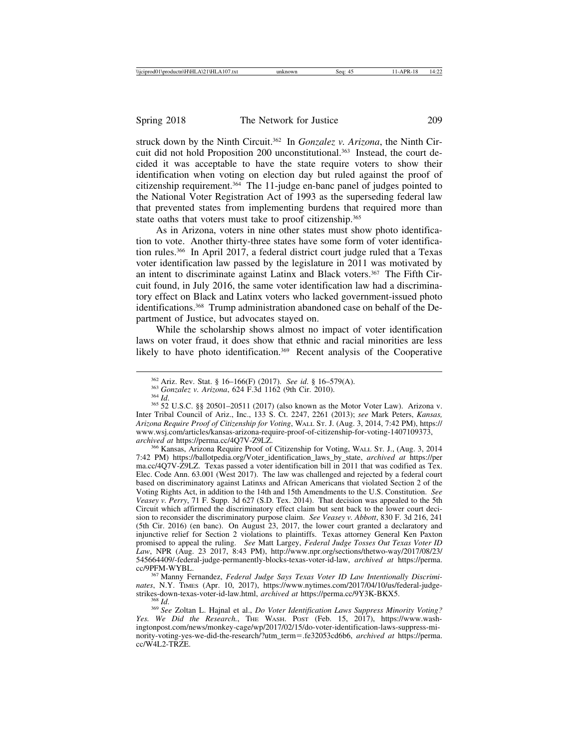struck down by the Ninth Circuit.362 In *Gonzalez v. Arizona*, the Ninth Circuit did not hold Proposition 200 unconstitutional.<sup>363</sup> Instead, the court decided it was acceptable to have the state require voters to show their identification when voting on election day but ruled against the proof of citizenship requirement.364 The 11-judge en-banc panel of judges pointed to the National Voter Registration Act of 1993 as the superseding federal law that prevented states from implementing burdens that required more than state oaths that voters must take to proof citizenship.<sup>365</sup>

As in Arizona, voters in nine other states must show photo identification to vote. Another thirty-three states have some form of voter identification rules.366 In April 2017, a federal district court judge ruled that a Texas voter identification law passed by the legislature in 2011 was motivated by an intent to discriminate against Latinx and Black voters.<sup>367</sup> The Fifth Circuit found, in July 2016, the same voter identification law had a discriminatory effect on Black and Latinx voters who lacked government-issued photo identifications.368 Trump administration abandoned case on behalf of the Department of Justice, but advocates stayed on.

While the scholarship shows almost no impact of voter identification laws on voter fraud, it does show that ethnic and racial minorities are less likely to have photo identification.<sup>369</sup> Recent analysis of the Cooperative

*archived at* https://perma.cc/4Q7V-Z9LZ. <sup>366</sup> Kansas, Arizona Require Proof of Citizenship for Voting, WALL ST. J., (Aug. 3, 2014 7:42 PM) https://ballotpedia.org/Voter\_identification\_laws\_by\_state, *archived at* https://per ma.cc/4Q7V-Z9LZ. Texas passed a voter identification bill in 2011 that was codified as Tex. Elec. Code Ann. 63.001 (West 2017). The law was challenged and rejected by a federal court based on discriminatory against Latinxs and African Americans that violated Section 2 of the Voting Rights Act, in addition to the 14th and 15th Amendments to the U.S. Constitution. *See Veasey v. Perry*, 71 F. Supp. 3d 627 (S.D. Tex. 2014). That decision was appealed to the 5th Circuit which affirmed the discriminatory effect claim but sent back to the lower court decision to reconsider the discriminatory purpose claim. *See Veasey v. Abbott*, 830 F. 3d 216, 241 (5th Cir. 2016) (en banc). On August 23, 2017, the lower court granted a declaratory and injunctive relief for Section 2 violations to plaintiffs. Texas attorney General Ken Paxton promised to appeal the ruling. *See* Matt Largey, *Federal Judge Tosses Out Texas Voter ID Law*, NPR (Aug. 23 2017, 8:43 PM), http://www.npr.org/sections/thetwo-way/2017/08/23/ 545664409/-federal-judge-permanently-blocks-texas-voter-id-law, *archived at* https://perma.

<sup>367</sup> Manny Fernandez, *Federal Judge Says Texas Voter ID Law Intentionally Discrimi*nates, N.Y. TIMES (Apr. 10, 2017), https://www.nytimes.com/2017/04/10/us/federal-judge-<br>strikes-down-texas-voter-id-law.html, *archived at* https://perma.cc/9Y3K-BKX5.

<sup>368</sup> Id.<br><sup>369</sup> See Zoltan L. Hajnal et al., *Do Voter Identification Laws Suppress Minority Voting? Yes. We Did the Research.*, THE WASH. POST (Feb. 15, 2017), https://www.washingtonpost.com/news/monkey-cage/wp/2017/02/15/do-voter-identification-laws-suppress-minority-voting-yes-we-did-the-research/?utm\_term=.fe32053cd6b6, *archived at* https://perma. cc/W4L2-TRZE.

<sup>&</sup>lt;sup>362</sup> Ariz. Rev. Stat. § 16–166(F) (2017). *See id.* § 16–579(A).<br><sup>363</sup> Gonzalez v. Arizona, 624 F.3d 1162 (9th Cir. 2010).<br><sup>364</sup> Id.<br><sup>365</sup> 52 U.S.C. §§ 20501–20511 (2017) (also known as the Motor Voter Law). Arizona v. Inter Tribal Council of Ariz., Inc., 133 S. Ct. 2247, 2261 (2013); *see* Mark Peters, *Kansas, Arizona Require Proof of Citizenship for Voting*, WALL ST. J. (Aug. 3, 2014, 7:42 PM), https:// www.wsj.com/articles/kansas-arizona-require-proof-of-citizenship-for-voting-1407109373,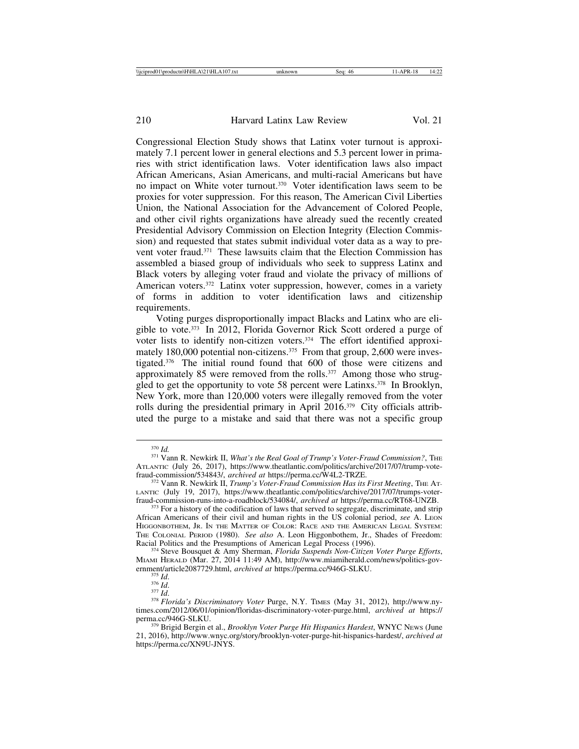Congressional Election Study shows that Latinx voter turnout is approximately 7.1 percent lower in general elections and 5.3 percent lower in primaries with strict identification laws. Voter identification laws also impact African Americans, Asian Americans, and multi-racial Americans but have no impact on White voter turnout.370 Voter identification laws seem to be proxies for voter suppression. For this reason, The American Civil Liberties Union, the National Association for the Advancement of Colored People, and other civil rights organizations have already sued the recently created Presidential Advisory Commission on Election Integrity (Election Commission) and requested that states submit individual voter data as a way to prevent voter fraud.371 These lawsuits claim that the Election Commission has assembled a biased group of individuals who seek to suppress Latinx and Black voters by alleging voter fraud and violate the privacy of millions of American voters.<sup>372</sup> Latinx voter suppression, however, comes in a variety of forms in addition to voter identification laws and citizenship requirements.

Voting purges disproportionally impact Blacks and Latinx who are eligible to vote.373 In 2012, Florida Governor Rick Scott ordered a purge of voter lists to identify non-citizen voters.374 The effort identified approximately 180,000 potential non-citizens.<sup>375</sup> From that group, 2,600 were investigated.376 The initial round found that 600 of those were citizens and approximately 85 were removed from the rolls.<sup>377</sup> Among those who struggled to get the opportunity to vote 58 percent were Latinxs.<sup>378</sup> In Brooklyn, New York, more than 120,000 voters were illegally removed from the voter rolls during the presidential primary in April 2016.379 City officials attributed the purge to a mistake and said that there was not a specific group

<sup>370</sup> *Id.* <sup>371</sup> Vann R. Newkirk II, *What's the Real Goal of Trump's Voter-Fraud Commission?*, THE ATLANTIC (July 26, 2017), https://www.theatlantic.com/politics/archive/2017/07/trump-vote-<br>fraud-commission/534843/, archived at https://perma.cc/W4L2-TRZE.

<sup>&</sup>lt;sup>372</sup> Vann R. Newkirk II, *Trump's Voter-Fraud Commission Has its First Meeting*, THE AT-LANTIC (July 19, 2017), https://www.theatlantic.com/politics/archive/2017/07/trumps-voter-<br>fraud-commission-runs-into-a-roadblock/534084/, archived at https://perma.cc/RT68-UNZB.

<sup>&</sup>lt;sup>373</sup> For a history of the codification of laws that served to segregate, discriminate, and strip African Americans of their civil and human rights in the US colonial period, *see* A. LEON HIGGONBOTHEM, JR. IN THE MATTER OF COLOR: RACE AND THE AMERICAN LEGAL SYSTEM: THE COLONIAL PERIOD (1980). *See also* A. Leon Higgonbothem, Jr., Shades of Freedom:

<sup>&</sup>lt;sup>374</sup> Steve Bousquet & Amy Sherman, *Florida Suspends Non-Citizen Voter Purge Efforts*, MIAMI HERALD (Mar. 27, 2014 11:49 AM), http://www.miamiherald.com/news/politics-gov-ernment/article2087729.html, *archived at https://perma.cc/946G-SLKU*.

ernment/articleans-state<br>
<sup>376</sup> *Id.* <sup>376</sup> *Id.* 376 *Id.* 376 *Id.* 376 *Id. 378 Florida's Discriminatory Voter Purge, N.Y. TIMES (May 31, 2012), http://www.ny*times.com/2012/06/01/opinion/floridas-discriminatory-voter-purge.html, *archived at* https://

<sup>&</sup>lt;sup>379</sup> Brigid Bergin et al., *Brooklyn Voter Purge Hit Hispanics Hardest*, WNYC News (June 21, 2016), http://www.wnyc.org/story/brooklyn-voter-purge-hit-hispanics-hardest/, *archived at* https://perma.cc/XN9U-JNYS.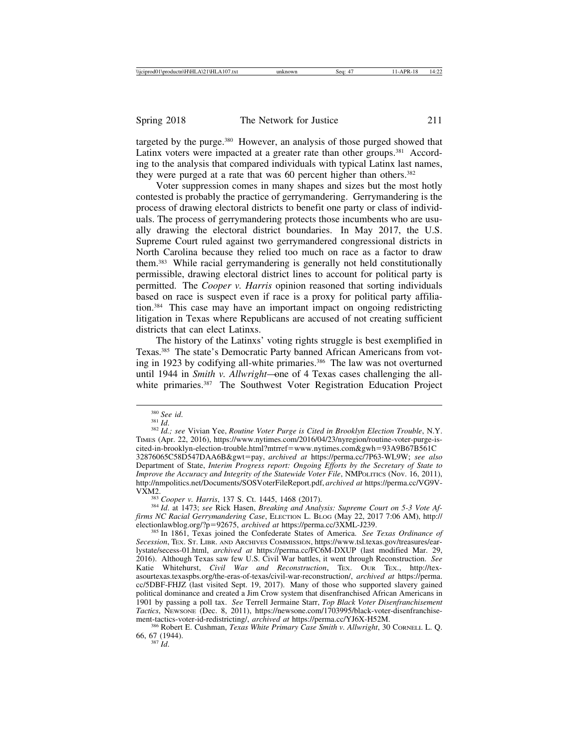targeted by the purge.<sup>380</sup> However, an analysis of those purged showed that Latinx voters were impacted at a greater rate than other groups.<sup>381</sup> According to the analysis that compared individuals with typical Latinx last names, they were purged at a rate that was 60 percent higher than others.<sup>382</sup>

Voter suppression comes in many shapes and sizes but the most hotly contested is probably the practice of gerrymandering. Gerrymandering is the process of drawing electoral districts to benefit one party or class of individuals. The process of gerrymandering protects those incumbents who are usually drawing the electoral district boundaries. In May 2017, the U.S. Supreme Court ruled against two gerrymandered congressional districts in North Carolina because they relied too much on race as a factor to draw them.383 While racial gerrymandering is generally not held constitutionally permissible, drawing electoral district lines to account for political party is permitted. The *Cooper v. Harris* opinion reasoned that sorting individuals based on race is suspect even if race is a proxy for political party affiliation.384 This case may have an important impact on ongoing redistricting litigation in Texas where Republicans are accused of not creating sufficient districts that can elect Latinxs.

The history of the Latinxs' voting rights struggle is best exemplified in Texas.<sup>385</sup> The state's Democratic Party banned African Americans from voting in 1923 by codifying all-white primaries.<sup>386</sup> The law was not overturned until 1944 in *Smith v. Allwright*—one of 4 Texas cases challenging the allwhite primaries.<sup>387</sup> The Southwest Voter Registration Education Project

<sup>383</sup> *Cooper v. Harris*, 137 S. Ct. 1445, 1468 (2017).<br><sup>384</sup> Id. at 1473; *see* Rick Hasen, *Breaking and Analysis: Supreme Court on 5-3 Vote Affirms NC Racial Gerrymandering Case*, ELECTION L. BLOG (May 22, 2017 7:06 AM), http://<br>electionlawblog.org/?p=92675, *archived at* https://perma.cc/3XML-J239.

<sup>385</sup> In 1861, Texas joined the Confederate States of America. *See Texas Ordinance of Secession*, TEX. ST. LIBR. AND ARCHIVES COMMISSION, https://www.tsl.texas.gov/treasures/earlystate/secess-01.html, *archived at* https://perma.cc/FC6M-DXUP (last modified Mar. 29, 2016). Although Texas saw few U.S. Civil War battles, it went through Reconstruction. *See* Katie Whitehurst, *Civil War and Reconstruction*, TEX. OUR TEX., http://texasourtexas.texaspbs.org/the-eras-of-texas/civil-war-reconstruction/, *archived at* https://perma. cc/5DBF-FHJZ (last visited Sept. 19, 2017). Many of those who supported slavery gained political dominance and created a Jim Crow system that disenfranchised African Americans in 1901 by passing a poll tax. *See* Terrell Jermaine Starr, *Top Black Voter Disenfranchisement Tactics*, NEWSONE (Dec. 8, 2011), https://newsone.com/1703995/black-voter-disenfranchise-<br>ment-tactics-voter-id-redistricting/, *archived at https://perma.cc/YJ6X-H52M.* 

<sup>386</sup> Robert E. Cushman, *Texas White Primary Case Smith v. Allwright*, 30 CORNELL L. Q. 66, 67 (1944).

 $387$  *Id.* 

<sup>&</sup>lt;sup>380</sup> *See id.*<br><sup>381</sup> *Id.*<br><sup>382</sup> *Id.; see* Vivian Yee, *Routine Voter Purge is Cited in Brooklyn Election Trouble*, N.Y. TIMES (Apr. 22, 2016), https://www.nytimes.com/2016/04/23/nyregion/routine-voter-purge-iscited-in-brooklyn-election-trouble.html?mtrref=www.nytimes.com&gwh=93A9B67B561C 32876065C58D547DAA6B&gwt=pay, *archived at* https://perma.cc/7P63-WL9W; *see also* Department of State, *Interim Progress report: Ongoing Efforts by the Secretary of State to Improve the Accuracy and Integrity of the Statewide Voter File*, NMPOLITICS (Nov. 16, 2011), http://nmpolitics.net/Documents/SOSVoterFileReport.pdf, *archived at* https://perma.cc/VG9V-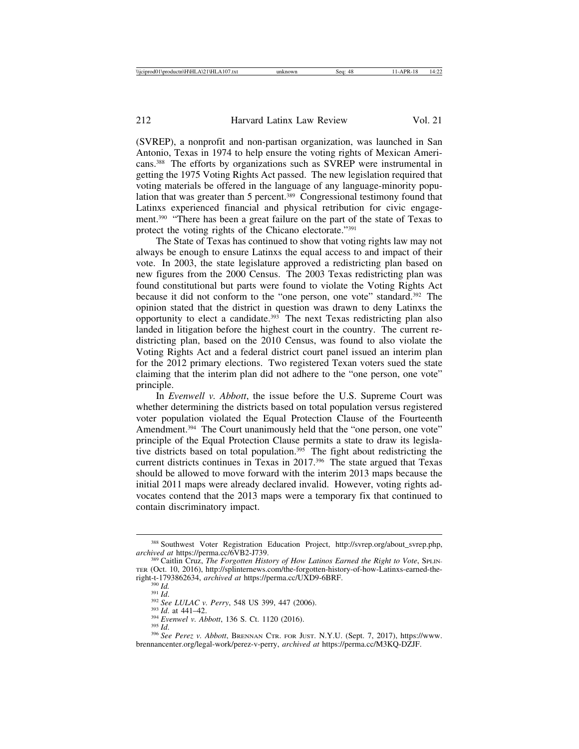(SVREP), a nonprofit and non-partisan organization, was launched in San Antonio, Texas in 1974 to help ensure the voting rights of Mexican Americans.388 The efforts by organizations such as SVREP were instrumental in getting the 1975 Voting Rights Act passed. The new legislation required that voting materials be offered in the language of any language-minority population that was greater than 5 percent.<sup>389</sup> Congressional testimony found that Latinxs experienced financial and physical retribution for civic engagement.390 "There has been a great failure on the part of the state of Texas to protect the voting rights of the Chicano electorate."391

The State of Texas has continued to show that voting rights law may not always be enough to ensure Latinxs the equal access to and impact of their vote. In 2003, the state legislature approved a redistricting plan based on new figures from the 2000 Census. The 2003 Texas redistricting plan was found constitutional but parts were found to violate the Voting Rights Act because it did not conform to the "one person, one vote" standard.392 The opinion stated that the district in question was drawn to deny Latinxs the opportunity to elect a candidate. $393$  The next Texas redistricting plan also landed in litigation before the highest court in the country. The current redistricting plan, based on the 2010 Census, was found to also violate the Voting Rights Act and a federal district court panel issued an interim plan for the 2012 primary elections. Two registered Texan voters sued the state claiming that the interim plan did not adhere to the "one person, one vote" principle.

In *Evenwell v. Abbott*, the issue before the U.S. Supreme Court was whether determining the districts based on total population versus registered voter population violated the Equal Protection Clause of the Fourteenth Amendment.<sup>394</sup> The Court unanimously held that the "one person, one vote" principle of the Equal Protection Clause permits a state to draw its legislative districts based on total population.395 The fight about redistricting the current districts continues in Texas in 2017.396 The state argued that Texas should be allowed to move forward with the interim 2013 maps because the initial 2011 maps were already declared invalid. However, voting rights advocates contend that the 2013 maps were a temporary fix that continued to contain discriminatory impact.

<sup>388</sup> Southwest Voter Registration Education Project, http://svrep.org/about\_svrep.php, *archived at https://perma.cc/6VB2-J739.*<br><sup>389</sup> Caitlin Cruz, *The Forgotten History of How Latinos Earned the Right to Vote*, SPLIN-

TER (Oct. 10, 2016), http://splinternews.com/the-forgotten-history-of-how-Latinxs-earned-the-<br>right-t-1793862634, archived at https://perma.cc/UXD9-6BRF.

<sup>&</sup>lt;sup>390</sup> Id.<br><sup>391</sup> Id.<br><sup>393</sup> See LULAC v. Perry, 548 US 399, 447 (2006).<br><sup>393</sup> Id. at 441–42.<br><sup>394</sup> Evenwel v. Abbott, 136 S. Ct. 1120 (2016).<br><sup>395</sup> See Perez v. Abbott, BRENNAN CTR. FOR JUST. N.Y.U. (Sept. 7, 2017), https:/ brennancenter.org/legal-work/perez-v-perry, *archived at* https://perma.cc/M3KQ-DZJF.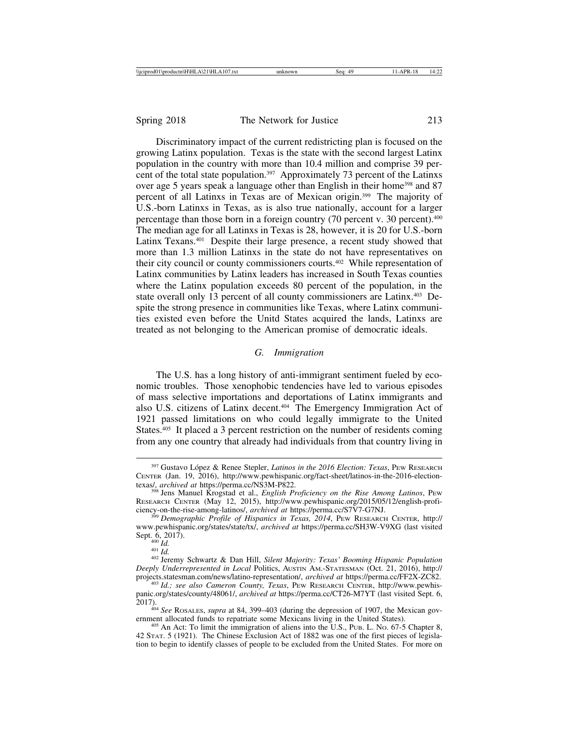Discriminatory impact of the current redistricting plan is focused on the growing Latinx population. Texas is the state with the second largest Latinx population in the country with more than 10.4 million and comprise 39 percent of the total state population.<sup>397</sup> Approximately 73 percent of the Latinxs over age 5 years speak a language other than English in their home<sup>398</sup> and 87 percent of all Latinxs in Texas are of Mexican origin.399 The majority of U.S.-born Latinxs in Texas, as is also true nationally, account for a larger percentage than those born in a foreign country (70 percent v. 30 percent).<sup>400</sup> The median age for all Latinxs in Texas is 28, however, it is 20 for U.S.-born Latinx Texans.401 Despite their large presence, a recent study showed that more than 1.3 million Latinxs in the state do not have representatives on their city council or county commissioners courts.402 While representation of Latinx communities by Latinx leaders has increased in South Texas counties where the Latinx population exceeds 80 percent of the population, in the state overall only 13 percent of all county commissioners are Latinx.403 Despite the strong presence in communities like Texas, where Latinx communities existed even before the Unitd States acquired the lands, Latinxs are treated as not belonging to the American promise of democratic ideals.

#### *G. Immigration*

The U.S. has a long history of anti-immigrant sentiment fueled by economic troubles. Those xenophobic tendencies have led to various episodes of mass selective importations and deportations of Latinx immigrants and also U.S. citizens of Latinx decent.404 The Emergency Immigration Act of 1921 passed limitations on who could legally immigrate to the United States.<sup>405</sup> It placed a 3 percent restriction on the number of residents coming from any one country that already had individuals from that country living in

<sup>&</sup>lt;sup>397</sup> Gustavo López & Renee Stepler, *Latinos in the 2016 Election: Texas*, PEW RESEARCH CENTER (Jan. 19, 2016), http://www.pewhispanic.org/fact-sheet/latinos-in-the-2016-election-<br>texas/, archived at https://perma.cc/NS3M-P822.

<sup>&</sup>lt;sup>398</sup> Jens Manuel Krogstad et al., *English Proficiency on the Rise Among Latinos*, PEW RESEARCH CENTER (May 12, 2015), http://www.pewhispanic.org/2015/05/12/english-profi-<br>ciency-on-the-rise-among-latinos/, *archived at https://perma.cc/S7V7-G7NJ.* 

ciency-on-the-rise-among-latinos/, *archived at* https://perma.cc/S7V7-G7NJ. <sup>399</sup> *Demographic Profile of Hispanics in Texas, 2014*, PEW RESEARCH CENTER, http:// www.pewhispanic.org/states/state/tx/, *archived at* https://perma.cc/SH3W-V9XG (last visited

<sup>&</sup>lt;sup>400 *Id.* <sup>401</sup> *Id. Id.* 401 *Id.* 401 *Id.* 401 *Id.* 402 *Ieremy Schwartz & Dan Hill, Silent Majority: Texas' Booming Hispanic Population*</sup> *Deeply Underrepresented in Local* Politics, AUSTIN AM.-STATESMAN (Oct. 21, 2016), http://

<sup>&</sup>lt;sup>403</sup> Id.; see also Cameron County, Texas, PEW RESEARCH CENTER, http://www.pewhispanic.org/states/county/48061/, *archived at* https://perma.cc/CT26-M7YT (last visited Sept. 6,

<sup>2017).</sup> <sup>404</sup> *See* ROSALES, *supra* at 84, 399–403 (during the depression of 1907, the Mexican gov-

 $405$  An Act: To limit the immigration of aliens into the U.S., PUB. L. No. 67-5 Chapter 8, 42 STAT. 5 (1921). The Chinese Exclusion Act of 1882 was one of the first pieces of legislation to begin to identify classes of people to be excluded from the United States. For more on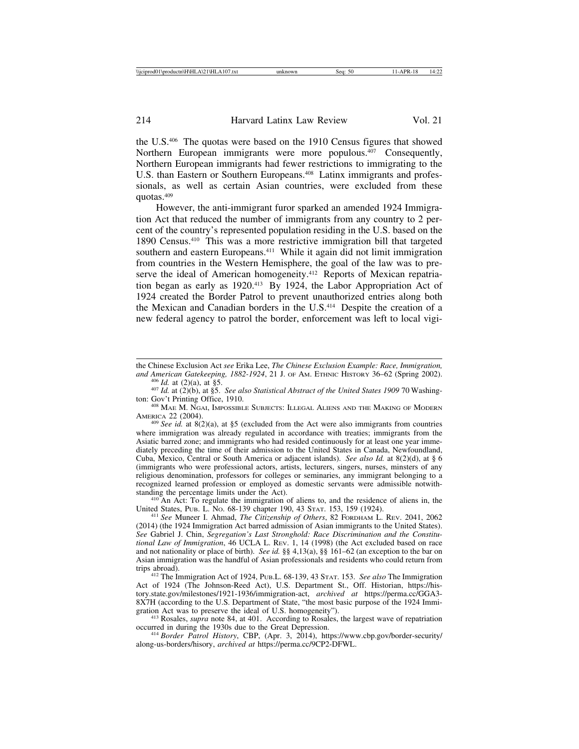the U.S.406 The quotas were based on the 1910 Census figures that showed Northern European immigrants were more populous.<sup>407</sup> Consequently, Northern European immigrants had fewer restrictions to immigrating to the U.S. than Eastern or Southern Europeans.<sup>408</sup> Latinx immigrants and professionals, as well as certain Asian countries, were excluded from these quotas.409

However, the anti-immigrant furor sparked an amended 1924 Immigration Act that reduced the number of immigrants from any country to 2 percent of the country's represented population residing in the U.S. based on the 1890 Census.410 This was a more restrictive immigration bill that targeted southern and eastern Europeans.<sup>411</sup> While it again did not limit immigration from countries in the Western Hemisphere, the goal of the law was to preserve the ideal of American homogeneity.<sup>412</sup> Reports of Mexican repatriation began as early as 1920.413 By 1924, the Labor Appropriation Act of 1924 created the Border Patrol to prevent unauthorized entries along both the Mexican and Canadian borders in the U.S.<sup>414</sup> Despite the creation of a new federal agency to patrol the border, enforcement was left to local vigi-

 $\frac{410}{\text{An}}$  Act: To regulate the immigration of aliens to, and the residence of aliens in, the United States, PUB. L. No. 68-139 chapter 190, 43 STAT. 153, 159 (1924).

<sup>411</sup> See Muneer I. Ahmad, *The Citizenship of Others*, 82 FORDHAM L. REV. 2041, 2062 (2014) (the 1924 Immigration Act barred admission of Asian immigrants to the United States). *See* Gabriel J. Chin, *Segregation's Last Stronghold: Race Discrimination and the Constitutional Law of Immigration*, 46 UCLA L. REV. 1, 14 (1998) (the Act excluded based on race and not nationality or place of birth). *See id.* §§ 4,13(a), §§ 161–62 (an exception to the bar on Asian immigration was the handful of Asian professionals and residents who could return from

<sup>412</sup> The Immigration Act of 1924, PUB.L. 68-139, 43 STAT. 153. *See also* The Immigration Act of 1924 (The Johnson-Reed Act), U.S. Department St., Off. Historian, https://history.state.gov/milestones/1921-1936/immigration-act, *archived at* https://perma.cc/GGA3- 8X7H (according to the U.S. Department of State, "the most basic purpose of the 1924 Immigration Act was to preserve the ideal of U.S. homogeneity").

<sup>413</sup> Rosales, *supra* note 84, at 401. According to Rosales, the largest wave of repatriation occurred in during the 1930s due to the Great Depression.

<sup>414</sup> Border Patrol History, CBP, (Apr. 3, 2014), https://www.cbp.gov/border-security/ along-us-borders/hisory, *archived at* https://perma.cc/9CP2-DFWL.

the Chinese Exclusion Act *see* Erika Lee, *The Chinese Exclusion Example: Race, Immigration,* and American Gatekeeping, 1882-1924, 21 J. OF AM. ETHNIC HISTORY 36–62 (Spring 2002).<br><sup>406</sup> Id. at (2)(a), at §5.<br><sup>407</sup> Id. at (2)(b), at §5. *See also Statistical Abstract of the United States 1909* 70 Washing-

ton: Gov't Printing Office, 1910.<br><sup>408</sup> MAE M. NGAI, IMPOSSIBLE SUBJECTS: ILLEGAL ALIENS AND THE MAKING OF MODERN

AMERICA 22 (2004).<br><sup>409</sup> *See id.* at 8(2)(a), at §5 (excluded from the Act were also immigrants from countries

where immigration was already regulated in accordance with treaties; immigrants from the Asiatic barred zone; and immigrants who had resided continuously for at least one year immediately preceding the time of their admission to the United States in Canada, Newfoundland, Cuba, Mexico, Central or South America or adjacent islands). *See also Id.* at 8(2)(d), at § 6 (immigrants who were professional actors, artists, lecturers, singers, nurses, minsters of any religious denomination, professors for colleges or seminaries, any immigrant belonging to a recognized learned profession or employed as domestic servants were admissible notwith-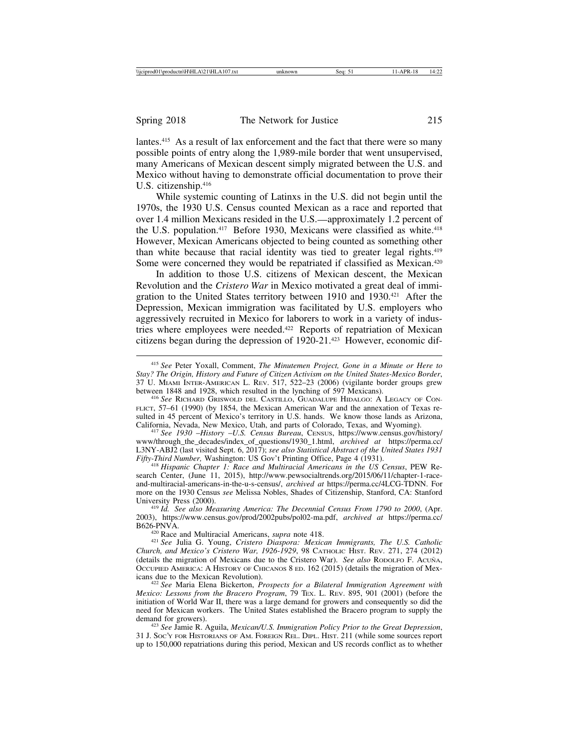lantes.415 As a result of lax enforcement and the fact that there were so many possible points of entry along the 1,989-mile border that went unsupervised, many Americans of Mexican descent simply migrated between the U.S. and Mexico without having to demonstrate official documentation to prove their U.S. citizenship.<sup>416</sup>

While systemic counting of Latinxs in the U.S. did not begin until the 1970s, the 1930 U.S. Census counted Mexican as a race and reported that over 1.4 million Mexicans resided in the U.S.—approximately 1.2 percent of the U.S. population.<sup>417</sup> Before 1930, Mexicans were classified as white.<sup>418</sup> However, Mexican Americans objected to being counted as something other than white because that racial identity was tied to greater legal rights.419 Some were concerned they would be repatriated if classified as Mexican.<sup>420</sup>

In addition to those U.S. citizens of Mexican descent, the Mexican Revolution and the *Cristero War* in Mexico motivated a great deal of immigration to the United States territory between 1910 and 1930.421 After the Depression, Mexican immigration was facilitated by U.S. employers who aggressively recruited in Mexico for laborers to work in a variety of industries where employees were needed.<sup>422</sup> Reports of repatriation of Mexican citizens began during the depression of 1920-21.423 However, economic dif-

<sup>415</sup> *See* Peter Yoxall, Comment, *The Minutemen Project, Gone in a Minute or Here to Stay? The Origin, History and Future of Citizen Activism on the United States-Mexico Border*, 37 U. MIAMI INTER-AMERICAN L. REV. 517, 522–23 (2006) (vigilante border groups grew

<sup>416</sup> See RICHARD GRISWOLD DEL CASTILLO, GUADALUPE HIDALGO: A LEGACY OF CON-FLICT, 57–61 (1990) (by 1854, the Mexican American War and the annexation of Texas resulted in 45 percent of Mexico's territory in U.S. hands. We know those lands as Arizona, California, Nevada, New Mexico, Utah, and parts of Colorado, Texas, and Wyoming).

<sup>417</sup> See 1930 -*History -U.S. Census Bureau*, CENSUS, https://www.census.gov/history/ www/through\_the\_decades/index\_of\_questions/1930\_1.html, *archived at* https://perma.cc/ L3NY-ABJ2 (last visited Sept. 6, 2017); *see also Statistical Abstract of the United States 1931*

<sup>418</sup> Hispanic Chapter 1: Race and Multiracial Americans in the US Census, PEW Research Center, (June 11, 2015), http://www.pewsocialtrends.org/2015/06/11/chapter-1-raceand-multiracial-americans-in-the-u-s-census/, *archived at* https://perma.cc/4LCG-TDNN. For more on the 1930 Census *see* Melissa Nobles, Shades of Citizenship, Stanford, CA: Stanford

<sup>419</sup> Id. See also Measuring America: The Decennial Census From 1790 to 2000, (Apr. 2003), https://www.census.gov/prod/2002pubs/pol02-ma.pdf, *archived at* https://perma.cc/

B626-PNVA. <sup>420</sup> Race and Multiracial Americans, *supra* note 418. <sup>421</sup> *See* Julia G. Young, *Cristero Diaspora: Mexican Immigrants, The U.S. Catholic Church, and Mexico's Cristero War, 1926-1929*, 98 CATHOLIC HIST. REV. 271, 274 (2012) (details the migration of Mexicans due to the Cristero War). *See also* RODOLFO F. ACUÑA, OCCUPIED AMERICA: A HISTORY OF CHICANOS 8 ED. 162 (2015) (details the migration of Mexicans due to the Mexican Revolution).

<sup>422</sup> See Maria Elena Bickerton, *Prospects for a Bilateral Immigration Agreement with Mexico: Lessons from the Bracero Program*, 79 TEX. L. REV. 895, 901 (2001) (before the initiation of World War II, there was a large demand for growers and consequently so did the need for Mexican workers. The United States established the Bracero program to supply the

<sup>423</sup> See Jamie R. Aguila, *Mexican/U.S. Immigration Policy Prior to the Great Depression*, 31 J. SOC'Y FOR HISTORIANS OF AM. FOREIGN REL. DIPL. HIST. 211 (while some sources report up to 150,000 repatriations during this period, Mexican and US records conflict as to whether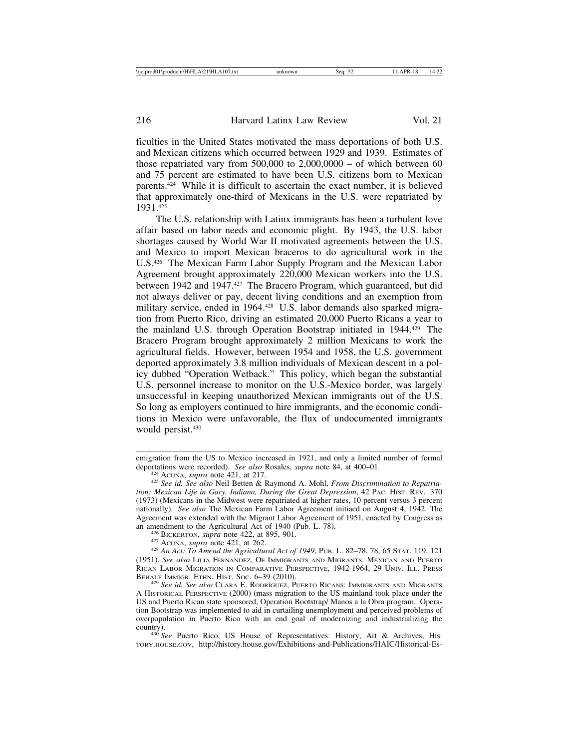ficulties in the United States motivated the mass deportations of both U.S. and Mexican citizens which occurred between 1929 and 1939. Estimates of those repatriated vary from  $500,000$  to  $2,000,0000 -$  of which between 60 and 75 percent are estimated to have been U.S. citizens born to Mexican parents.424 While it is difficult to ascertain the exact number, it is believed that approximately one-third of Mexicans in the U.S. were repatriated by 1931.425

The U.S. relationship with Latinx immigrants has been a turbulent love affair based on labor needs and economic plight. By 1943, the U.S. labor shortages caused by World War II motivated agreements between the U.S. and Mexico to import Mexican braceros to do agricultural work in the U.S.426 The Mexican Farm Labor Supply Program and the Mexican Labor Agreement brought approximately 220,000 Mexican workers into the U.S. between 1942 and 1947.427 The Bracero Program, which guaranteed, but did not always deliver or pay, decent living conditions and an exemption from military service, ended in 1964.428 U.S. labor demands also sparked migration from Puerto Rico, driving an estimated 20,000 Puerto Ricans a year to the mainland U.S. through Operation Bootstrap initiated in 1944.429 The Bracero Program brought approximately 2 million Mexicans to work the agricultural fields. However, between 1954 and 1958, the U.S. government deported approximately 3.8 million individuals of Mexican descent in a policy dubbed "Operation Wetback." This policy, which began the substantial U.S. personnel increase to monitor on the U.S.-Mexico border, was largely unsuccessful in keeping unauthorized Mexican immigrants out of the U.S. So long as employers continued to hire immigrants, and the economic conditions in Mexico were unfavorable, the flux of undocumented immigrants would persist.<sup>430</sup>

emigration from the US to Mexico increased in 1921, and only a limited number of formal deportations were recorded). See also Rosales, supra note 84, at  $400-01$ .

<sup>&</sup>lt;sup>424</sup> Acuña, *supra* note 421, at 217.<br><sup>425</sup> See id. See also Neil Betten & Raymond A. Mohl, *From Discrimination to Repatriation: Mexican Life in Gary, Indiana, During the Great Depression*, 42 PAC. HIST. REV. 370 (1973) (Mexicans in the Midwest were repatriated at higher rates, 10 percent versus 3 percent nationally). *See also* The Mexican Farm Labor Agreement initiaed on August 4, 1942. The Agreement was extended with the Migrant Labor Agreement of 1951, enacted by Congress as

<sup>&</sup>lt;sup>426</sup> BICKERTON, *supra* note 422, at 895, 901.<br><sup>427</sup> ACUÑA, *supra* note 421, at 262.<br><sup>428</sup> An Act: To Amend the Agricultural Act of 1949, PUB. L. 82–78, 78, 65 STAT. 119, 121 (1951). *See also* LILIA FERNANDEZ, OF IMMIGRANTS AND MIGRANTS: MEXICAN AND PUERTO RICAN LABOR MIGRATION IN COMPARATIVE PERSPECTIVE, 1942-1964, 29 UNIV. ILL. PRESS BEHALF IMMIGR. ETHN. HIST. Soc. 6–39 (2010).

<sup>&</sup>lt;sup>429</sup> See id. See also Clara E. Rodríguez, Puerto Ricans: Immigrants and Migrants A HISTORICAL PERSPECTIVE (2000) (mass migration to the US mainland took place under the US and Puerto Rican state sponsored, Operation Bootstrap/ Manos a la Obra program. Operation Bootstrap was implemented to aid in curtailing unemployment and perceived problems of overpopulation in Puerto Rico with an end goal of modernizing and industrializing the

<sup>&</sup>lt;sup>430</sup> See Puerto Rico, US House of Representatives: History, Art & Archives, His-TORY.HOUSE.GOV, http://history.house.gov/Exhibitions-and-Publications/HAIC/Historical-Es-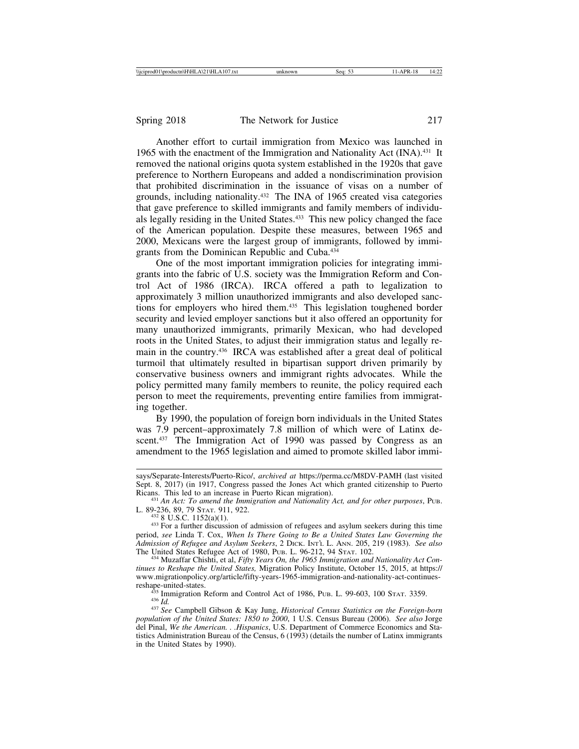Another effort to curtail immigration from Mexico was launched in 1965 with the enactment of the Immigration and Nationality Act (INA).431 It removed the national origins quota system established in the 1920s that gave preference to Northern Europeans and added a nondiscrimination provision that prohibited discrimination in the issuance of visas on a number of grounds, including nationality.432 The INA of 1965 created visa categories that gave preference to skilled immigrants and family members of individuals legally residing in the United States.433 This new policy changed the face of the American population. Despite these measures, between 1965 and 2000, Mexicans were the largest group of immigrants, followed by immigrants from the Dominican Republic and Cuba.434

One of the most important immigration policies for integrating immigrants into the fabric of U.S. society was the Immigration Reform and Control Act of 1986 (IRCA). IRCA offered a path to legalization to approximately 3 million unauthorized immigrants and also developed sanctions for employers who hired them.435 This legislation toughened border security and levied employer sanctions but it also offered an opportunity for many unauthorized immigrants, primarily Mexican, who had developed roots in the United States, to adjust their immigration status and legally remain in the country.436 IRCA was established after a great deal of political turmoil that ultimately resulted in bipartisan support driven primarily by conservative business owners and immigrant rights advocates. While the policy permitted many family members to reunite, the policy required each person to meet the requirements, preventing entire families from immigrating together.

By 1990, the population of foreign born individuals in the United States was 7.9 percent–approximately 7.8 million of which were of Latinx descent.<sup>437</sup> The Immigration Act of 1990 was passed by Congress as an amendment to the 1965 legislation and aimed to promote skilled labor immi-

<sup>434</sup> Muzaffar Chishti, et al, *Fifty Years On, the 1965 Immigration and Nationality Act Continues to Reshape the United States,* Migration Policy Institute, October 15, 2015, at https:// www.migrationpolicy.org/article/fifty-years-1965-immigration-and-nationality-act-continues-

reshape-united-states. <sup>435</sup> Immigration Reform and Control Act of 1986, PUB. L. 99-603, 100 STAT. 3359. <sup>436</sup> *Id.* <sup>437</sup> *See* Campbell Gibson & Kay Jung, *Historical Census Statistics on the Foreign-born*

*population of the United States: 1850 to 2000*, 1 U.S. Census Bureau (2006). *See also* Jorge del Pinal, *We the American. . .Hispanics*, U.S. Department of Commerce Economics and Statistics Administration Bureau of the Census, 6 (1993) (details the number of Latinx immigrants in the United States by 1990).

says/Separate-Interests/Puerto-Rico/, *archived at* https://perma.cc/M8DV-PAMH (last visited Sept. 8, 2017) (in 1917, Congress passed the Jones Act which granted citizenship to Puerto Ricans. This led to an increase in Puerto Rican migration).

<sup>&</sup>lt;sup>431</sup> *An Act: To amend the Immigration and Nationality Act, and for other purposes*, PUB. L. 89-236, 89, 79 STAT. 911, 922.

 $4328$  U.S.C. 1152(a)(1).  $433$  For a further discussion of admission of refugees and asylum seekers during this time period, *see* Linda T. Cox, *When Is There Going to Be a United States Law Governing the Admission of Refugee and Asylum Seekers*, 2 DICK. INT'L L. ANN. 205, 219 (1983). *See also*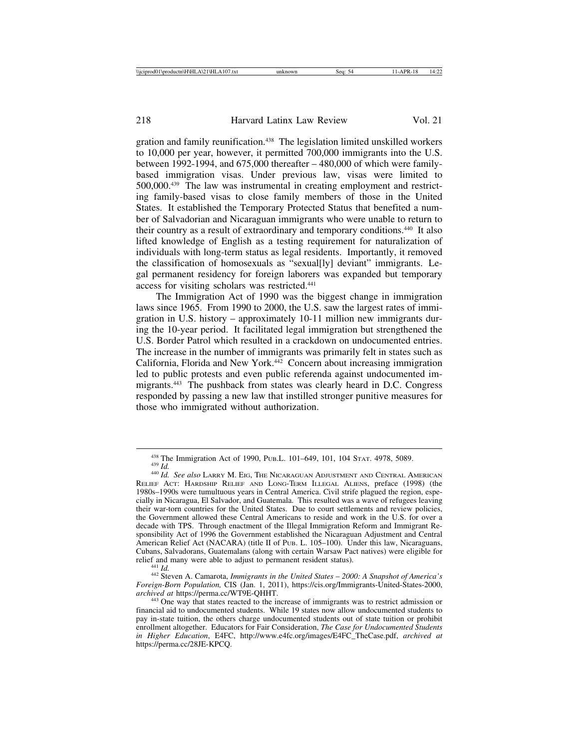gration and family reunification.438 The legislation limited unskilled workers to 10,000 per year, however, it permitted 700,000 immigrants into the U.S. between 1992-1994, and 675,000 thereafter – 480,000 of which were familybased immigration visas. Under previous law, visas were limited to 500,000.439 The law was instrumental in creating employment and restricting family-based visas to close family members of those in the United States. It established the Temporary Protected Status that benefited a number of Salvadorian and Nicaraguan immigrants who were unable to return to their country as a result of extraordinary and temporary conditions.440 It also lifted knowledge of English as a testing requirement for naturalization of individuals with long-term status as legal residents. Importantly, it removed the classification of homosexuals as "sexual[ly] deviant" immigrants. Legal permanent residency for foreign laborers was expanded but temporary access for visiting scholars was restricted.441

The Immigration Act of 1990 was the biggest change in immigration laws since 1965. From 1990 to 2000, the U.S. saw the largest rates of immigration in U.S. history – approximately 10-11 million new immigrants during the 10-year period. It facilitated legal immigration but strengthened the U.S. Border Patrol which resulted in a crackdown on undocumented entries. The increase in the number of immigrants was primarily felt in states such as California, Florida and New York.442 Concern about increasing immigration led to public protests and even public referenda against undocumented immigrants.443 The pushback from states was clearly heard in D.C. Congress responded by passing a new law that instilled stronger punitive measures for those who immigrated without authorization.

<sup>438</sup> The Immigration Act of 1990, PUB.L. 101–649, 101, 104 STAT. 4978, 5089. <sup>439</sup> *Id.* <sup>440</sup> *Id. See also* LARRY M. EIG, THE NICARAGUAN ADJUSTMENT AND CENTRAL AMERICAN

RELIEF ACT: HARDSHIP RELIEF AND LONG-TERM ILLEGAL ALIENS, preface (1998) (the 1980s–1990s were tumultuous years in Central America. Civil strife plagued the region, especially in Nicaragua, El Salvador, and Guatemala. This resulted was a wave of refugees leaving their war-torn countries for the United States. Due to court settlements and review policies, the Government allowed these Central Americans to reside and work in the U.S. for over a decade with TPS. Through enactment of the Illegal Immigration Reform and Immigrant Responsibility Act of 1996 the Government established the Nicaraguan Adjustment and Central American Relief Act (NACARA) (title II of PUB. L. 105-100). Under this law, Nicaraguans, Cubans, Salvadorans, Guatemalans (along with certain Warsaw Pact natives) were eligible for

relief and many were able to adjust to permanent resident status). <sup>441</sup> *Id.* <sup>442</sup> Steven A. Camarota, *Immigrants in the United States* – *2000: A Snapshot of America's Foreign-Born Population,* CIS (Jan. 1, 2011), https://cis.org/Immigrants-United-States-2000,

<sup>&</sup>lt;sup>443</sup> One way that states reacted to the increase of immigrants was to restrict admission or financial aid to undocumented students. While 19 states now allow undocumented students to pay in-state tuition, the others charge undocumented students out of state tuition or prohibit enrollment altogether. Educators for Fair Consideration, *The Case for Undocumented Students in Higher Education*, E4FC, http://www.e4fc.org/images/E4FC\_TheCase.pdf, *archived at* https://perma.cc/28JE-KPCQ.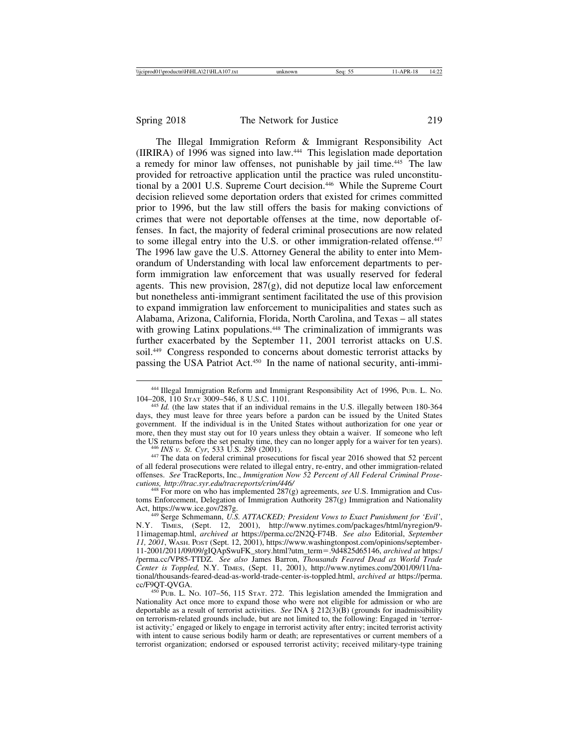The Illegal Immigration Reform & Immigrant Responsibility Act (IIRIRA) of 1996 was signed into law.444 This legislation made deportation a remedy for minor law offenses, not punishable by jail time.445 The law provided for retroactive application until the practice was ruled unconstitutional by a 2001 U.S. Supreme Court decision.446 While the Supreme Court decision relieved some deportation orders that existed for crimes committed prior to 1996, but the law still offers the basis for making convictions of crimes that were not deportable offenses at the time, now deportable offenses. In fact, the majority of federal criminal prosecutions are now related to some illegal entry into the U.S. or other immigration-related offense.<sup>447</sup> The 1996 law gave the U.S. Attorney General the ability to enter into Memorandum of Understanding with local law enforcement departments to perform immigration law enforcement that was usually reserved for federal agents. This new provision,  $287(g)$ , did not deputize local law enforcement but nonetheless anti-immigrant sentiment facilitated the use of this provision to expand immigration law enforcement to municipalities and states such as Alabama, Arizona, California, Florida, North Carolina, and Texas – all states with growing Latinx populations.<sup>448</sup> The criminalization of immigrants was further exacerbated by the September 11, 2001 terrorist attacks on U.S. soil.449 Congress responded to concerns about domestic terrorist attacks by passing the USA Patriot Act.450 In the name of national security, anti-immi-

<sup>446</sup> *INS v. St. Cyr*, 533 U.S. 289 (2001).<br><sup>447</sup> The data on federal criminal prosecutions for fiscal year 2016 showed that 52 percent of all federal prosecutions were related to illegal entry, re-entry, and other immigration-related offenses. *See* TracReports, Inc., *Immigration Now 52 Percent of All Federal Criminal Prosecutions, http://trac.syr.edu/tracreports/crim/446/* <sup>448</sup> For more on who has implemented 287(g) agreements, *see* U.S. Immigration and Cus-

toms Enforcement, Delegation of Immigration Authority 287(g) Immigration and Nationality Act, https://www.ice.gov/287g.<br><sup>449</sup> Serge Schmemann, *U.S. ATTACKED; President Vows to Exact Punishment for 'Evil'*,

<sup>&</sup>lt;sup>444</sup> Illegal Immigration Reform and Immigrant Responsibility Act of 1996, Pub. L. No.<br>104–208, 110 Stat 3009–546, 8 U.S.C. 1101.

<sup>&</sup>lt;sup>445</sup> *Id.* (the law states that if an individual remains in the U.S. illegally between 180-364 days, they must leave for three years before a pardon can be issued by the United States government. If the individual is in the United States without authorization for one year or more, then they must stay out for 10 years unless they obtain a waiver. If someone who left the US returns before the set penalty time, they can no longer apply for a waiver for ten years).

N.Y. TIMES, (Sept. 12, 2001), http://www.nytimes.com/packages/html/nyregion/9- 11imagemap.html, *archived at* https://perma.cc/2N2Q-F74B. *See also* Editorial, *September 11, 2001*, WASH. POST (Sept. 12, 2001), https://www.washingtonpost.com/opinions/september-11-2001/2011/09/09/gIQApSwuFK\_story.html?utm\_term=.9d4825d65146, *archived at* https:/ /perma.cc/VP85-TTDZ. *See also* James Barron, *Thousands Feared Dead as World Trade Center is Toppled,* N.Y. TIMES, (Sept. 11, 2001), http://www.nytimes.com/2001/09/11/national/thousands-feared-dead-as-world-trade-center-is-toppled.html, *archived at* https://perma.

 $^{450}$  Pub. L. No. 107–56, 115 Stat. 272. This legislation amended the Immigration and Nationality Act once more to expand those who were not eligible for admission or who are deportable as a result of terrorist activities. *See* INA § 212(3)(B) (grounds for inadmissibility on terrorism-related grounds include, but are not limited to, the following: Engaged in 'terrorist activity;' engaged or likely to engage in terrorist activity after entry; incited terrorist activity with intent to cause serious bodily harm or death; are representatives or current members of a terrorist organization; endorsed or espoused terrorist activity; received military-type training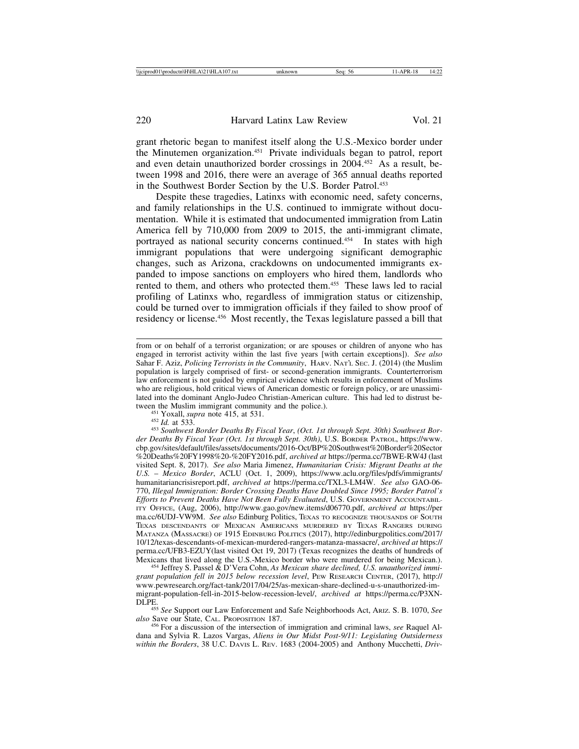grant rhetoric began to manifest itself along the U.S.-Mexico border under the Minutemen organization.451 Private individuals began to patrol, report and even detain unauthorized border crossings in 2004.452 As a result, between 1998 and 2016, there were an average of 365 annual deaths reported in the Southwest Border Section by the U.S. Border Patrol.<sup>453</sup>

Despite these tragedies, Latinxs with economic need, safety concerns, and family relationships in the U.S. continued to immigrate without documentation. While it is estimated that undocumented immigration from Latin America fell by 710,000 from 2009 to 2015, the anti-immigrant climate, portrayed as national security concerns continued.454 In states with high immigrant populations that were undergoing significant demographic changes, such as Arizona, crackdowns on undocumented immigrants expanded to impose sanctions on employers who hired them, landlords who rented to them, and others who protected them.455 These laws led to racial profiling of Latinxs who, regardless of immigration status or citizenship, could be turned over to immigration officials if they failed to show proof of residency or license.456 Most recently, the Texas legislature passed a bill that

<sup>454</sup> Jeffrey S. Passel & D'Vera Cohn, *As Mexican share declined*, U.S. unauthorized immi*grant population fell in 2015 below recession level*, PEW RESEARCH CENTER, (2017), http:// www.pewresearch.org/fact-tank/2017/04/25/as-mexican-share-declined-u-s-unauthorized-immigrant-population-fell-in-2015-below-recession-level/, *archived at* https://perma.cc/P3XN-

DLPE. <sup>455</sup> *See* Support our Law Enforcement and Safe Neighborhoods Act, ARIZ. S. B. 1070, *See also* Save our State, CAL. PROPOSITION 187. <sup>456</sup> For a discussion of the intersection of immigration and criminal laws, *see* Raquel Al-

dana and Sylvia R. Lazos Vargas, *Aliens in Our Midst Post-9/11: Legislating Outsiderness within the Borders*, 38 U.C. DAVIS L. REV. 1683 (2004-2005) and Anthony Mucchetti, *Driv-*

from or on behalf of a terrorist organization; or are spouses or children of anyone who has engaged in terrorist activity within the last five years [with certain exceptions]). *See also* Sahar F. Aziz, *Policing Terrorists in the Community*, HARV. NAT'L SEC. J. (2014) (the Muslim population is largely comprised of first- or second-generation immigrants. Counterterrorism law enforcement is not guided by empirical evidence which results in enforcement of Muslims who are religious, hold critical views of American domestic or foreign policy, or are unassimilated into the dominant Anglo-Judeo Christian-American culture. This had led to distrust be-

<sup>&</sup>lt;sup>451</sup> Yoxall, *supra* note 415, at 531.<br><sup>452</sup> Id. at 533. <br><sup>453</sup> Southwest Border Deaths By Fiscal Year, (Oct. 1st through Sept. 30th) Southwest Bor*der Deaths By Fiscal Year (Oct. 1st through Sept. 30th)*, U.S. BORDER PATROL, https://www. cbp.gov/sites/default/files/assets/documents/2016-Oct/BP%20Southwest%20Border%20Sector %20Deaths%20FY1998%20-%20FY2016.pdf, *archived at* https://perma.cc/7BWE-RW4J (last visited Sept. 8, 2017). *See also* Maria Jimenez, *Humanitarian Crisis: Migrant Deaths at the U.S.* – *Mexico Border*, ACLU (Oct. 1, 2009), https://www.aclu.org/files/pdfs/immigrants/ humanitariancrisisreport.pdf, *archived at* https://perma.cc/TXL3-LM4W. *See also* GAO-06- 770, *Illegal Immigration: Border Crossing Deaths Have Doubled Since 1995; Border Patrol's Efforts to Prevent Deaths Have Not Been Fully Evaluated*, U.S. GOVERNMENT ACCOUNTABIL-ITY OFFICE, (Aug, 2006), http://www.gao.gov/new.items/d06770.pdf, *archived at* https://per ma.cc/6UDJ-VW9M. *See also* Edinburg Politics, TEXAS TO RECOGNIZE THOUSANDS OF SOUTH TEXAS DESCENDANTS OF MEXICAN AMERICANS MURDERED BY TEXAS RANGERS DURING MATANZA (MASSACRE) OF 1915 EDINBURG POLITICS (2017), http://edinburgpolitics.com/2017/ 10/12/texas-descendants-of-mexican-murdered-rangers-matanza-massacre/, *archived at* https:// perma.cc/UFB3-EZUY(last visited Oct 19, 2017) (Texas recognizes the deaths of hundreds of Mexicans that lived along the U.S.-Mexico border who were murdered for being Mexican.).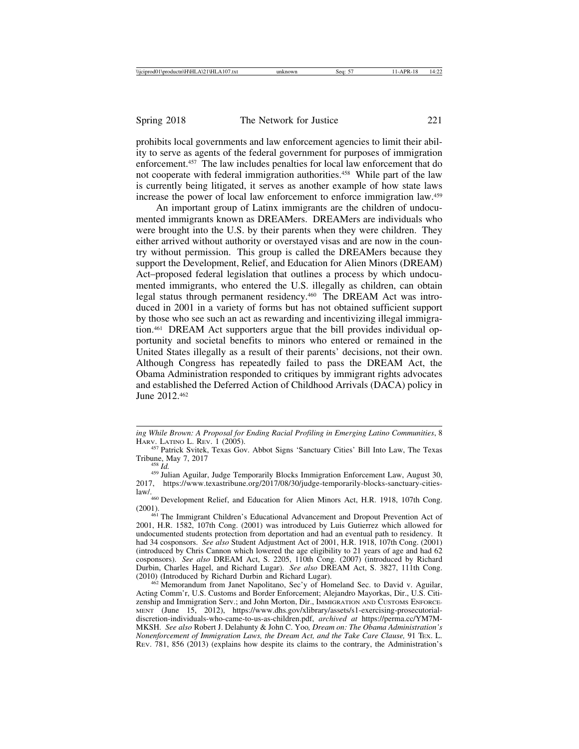prohibits local governments and law enforcement agencies to limit their ability to serve as agents of the federal government for purposes of immigration enforcement.457 The law includes penalties for local law enforcement that do not cooperate with federal immigration authorities.458 While part of the law is currently being litigated, it serves as another example of how state laws increase the power of local law enforcement to enforce immigration law.459

An important group of Latinx immigrants are the children of undocumented immigrants known as DREAMers. DREAMers are individuals who were brought into the U.S. by their parents when they were children. They either arrived without authority or overstayed visas and are now in the country without permission. This group is called the DREAMers because they support the Development, Relief, and Education for Alien Minors (DREAM) Act–proposed federal legislation that outlines a process by which undocumented immigrants, who entered the U.S. illegally as children, can obtain legal status through permanent residency.460 The DREAM Act was introduced in 2001 in a variety of forms but has not obtained sufficient support by those who see such an act as rewarding and incentivizing illegal immigration.461 DREAM Act supporters argue that the bill provides individual opportunity and societal benefits to minors who entered or remained in the United States illegally as a result of their parents' decisions, not their own. Although Congress has repeatedly failed to pass the DREAM Act, the Obama Administration responded to critiques by immigrant rights advocates and established the Deferred Action of Childhood Arrivals (DACA) policy in June 2012.462

law/.<br><sup>460</sup> Development Relief, and Education for Alien Minors Act, H.R. 1918, 107th Cong.

 $462$  Memorandum from Janet Napolitano, Sec'y of Homeland Sec. to David v. Aguilar, Acting Comm'r, U.S. Customs and Border Enforcement; Alejandro Mayorkas, Dir., U.S. Citizenship and Immigration Serv.; and John Morton, Dir., IMMIGRATION AND CUSTOMS ENFORCE-MENT (June 15, 2012), https://www.dhs.gov/xlibrary/assets/s1-exercising-prosecutorialdiscretion-individuals-who-came-to-us-as-children.pdf, *archived at* https://perma.cc/YM7M-MKSH. *See also* Robert J. Delahunty & John C. Yoo*, Dream on: The Obama Administration's Nonenforcement of Immigration Laws, the Dream Act, and the Take Care Clause,* 91 TEX. L. REV. 781, 856 (2013) (explains how despite its claims to the contrary, the Administration's

*ing While Brown: A Proposal for Ending Racial Profiling in Emerging Latino Communities*, 8

<sup>&</sup>lt;sup>457</sup> Patrick Svitek, Texas Gov. Abbot Signs 'Sanctuary Cities' Bill Into Law, The Texas Tribune, May 7, 2017<br><sup>458</sup> *Id.* <sup>459</sup> Julian Aguilar, Judge Temporarily Blocks Immigration Enforcement Law, August 30,

<sup>2017,</sup> https://www.texastribune.org/2017/08/30/judge-temporarily-blocks-sanctuary-cities-

<sup>(2001).</sup> <sup>461</sup> The Immigrant Children's Educational Advancement and Dropout Prevention Act of 2001, H.R. 1582, 107th Cong. (2001) was introduced by Luis Gutierrez which allowed for undocumented students protection from deportation and had an eventual path to residency. It had 34 cosponsors. *See also* Student Adjustment Act of 2001, H.R. 1918, 107th Cong. (2001) (introduced by Chris Cannon which lowered the age eligibility to 21 years of age and had 62 cosponsors). *See also* DREAM Act, S. 2205, 110th Cong. (2007) (introduced by Richard Durbin, Charles Hagel, and Richard Lugar). *See also* DREAM Act, S. 3827, 111th Cong.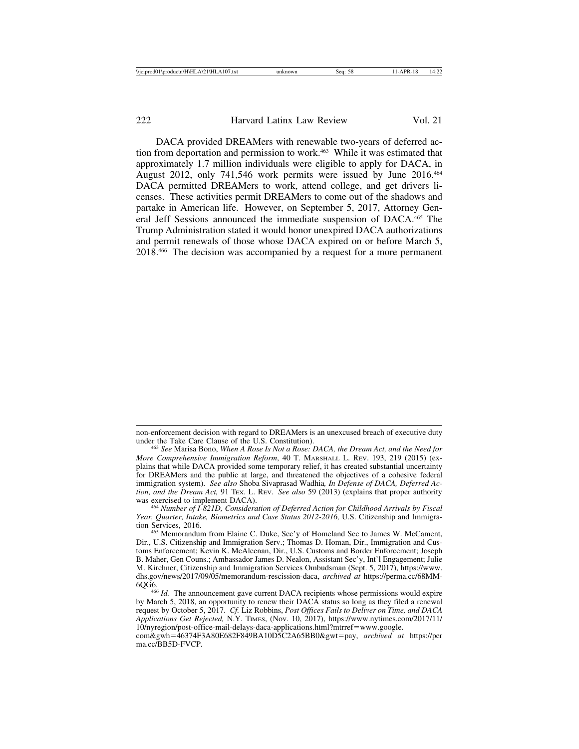DACA provided DREAMers with renewable two-years of deferred action from deportation and permission to work.<sup>463</sup> While it was estimated that approximately 1.7 million individuals were eligible to apply for DACA, in August 2012, only 741,546 work permits were issued by June 2016.464 DACA permitted DREAMers to work, attend college, and get drivers licenses. These activities permit DREAMers to come out of the shadows and partake in American life. However, on September 5, 2017, Attorney General Jeff Sessions announced the immediate suspension of DACA.465 The Trump Administration stated it would honor unexpired DACA authorizations and permit renewals of those whose DACA expired on or before March 5, 2018.466 The decision was accompanied by a request for a more permanent

*Year, Quarter, Intake, Biometrics and Case Status 2012-2016, U.S. Citizenship and Immigration Services, 2016.* 

non-enforcement decision with regard to DREAMers is an unexcused breach of executive duty under the Take Care Clause of the U.S. Constitution).

<sup>&</sup>lt;sup>463</sup> See Marisa Bono, When A Rose Is Not a Rose: DACA, the Dream Act, and the Need for *More Comprehensive Immigration Reform*, 40 T. MARSHALL L. REV. 193, 219 (2015) (explains that while DACA provided some temporary relief, it has created substantial uncertainty for DREAMers and the public at large, and threatened the objectives of a cohesive federal immigration system). *See also* Shoba Sivaprasad Wadhia*, In Defense of DACA, Deferred Action, and the Dream Act,* 91 TEX. L. REV. *See also* 59 (2013) (explains that proper authority was exercised to implement DACA). <sup>464</sup> *Number of I-821D, Consideration of Deferred Action for Childhood Arrivals by Fiscal*

<sup>&</sup>lt;sup>465</sup> Memorandum from Elaine C. Duke, Sec'y of Homeland Sec to James W. McCament, Dir., U.S. Citizenship and Immigration Serv.; Thomas D. Homan, Dir., Immigration and Customs Enforcement; Kevin K. McAleenan, Dir., U.S. Customs and Border Enforcement; Joseph B. Maher, Gen Couns.; Ambassador James D. Nealon, Assistant Sec'y, Int'l Engagement; Julie M. Kirchner, Citizenship and Immigration Services Ombudsman (Sept. 5, 2017), https://www. dhs.gov/news/2017/09/05/memorandum-rescission-daca, *archived at* https://perma.cc/68MM-

<sup>&</sup>lt;sup>466</sup> *Id.* The announcement gave current DACA recipients whose permissions would expire by March 5, 2018, an opportunity to renew their DACA status so long as they filed a renewal request by October 5, 2017. *Cf.* Liz Robbins, *Post Offices Fails to Deliver on Time, and DACA Applications Get Rejected,* N.Y. TIMES, (Nov. 10, 2017), https://www.nytimes.com/2017/11/ 10/nyregion/post-office-mail-delays-daca-applications.html?mtrref=www.google.

com&gwh=46374F3A80E682F849BA10D5C2A65BB0&gwt=pay, *archived at* https://per ma.cc/BB5D-FVCP.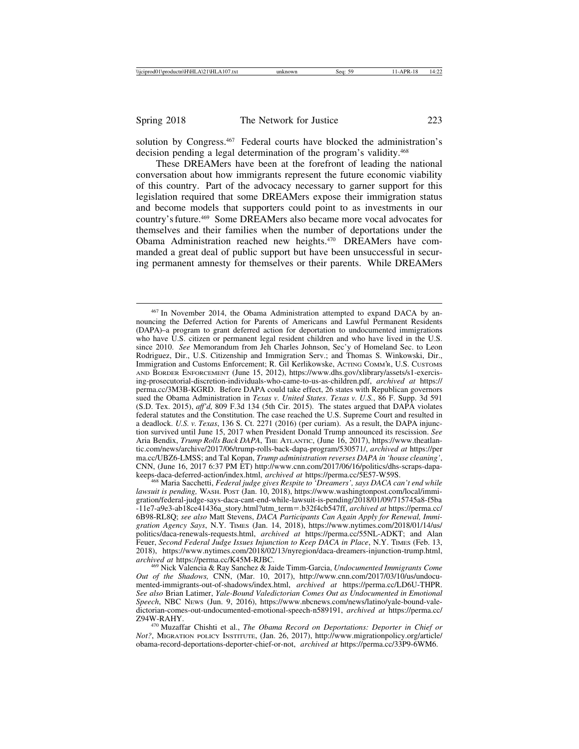solution by Congress.<sup>467</sup> Federal courts have blocked the administration's decision pending a legal determination of the program's validity.468

These DREAMers have been at the forefront of leading the national conversation about how immigrants represent the future economic viability of this country. Part of the advocacy necessary to garner support for this legislation required that some DREAMers expose their immigration status and become models that supporters could point to as investments in our country's future.469 Some DREAMers also became more vocal advocates for themselves and their families when the number of deportations under the Obama Administration reached new heights.470 DREAMers have commanded a great deal of public support but have been unsuccessful in securing permanent amnesty for themselves or their parents. While DREAMers

<sup>467</sup> In November 2014, the Obama Administration attempted to expand DACA by announcing the Deferred Action for Parents of Americans and Lawful Permanent Residents (DAPA)–a program to grant deferred action for deportation to undocumented immigrations who have U.S. citizen or permanent legal resident children and who have lived in the U.S. since 2010. *See* Memorandum from Jeh Charles Johnson, Sec'y of Homeland Sec. to Leon Rodriguez, Dir., U.S. Citizenship and Immigration Serv.; and Thomas S. Winkowski, Dir., Immigration and Customs Enforcement; R. Gil Kerlikowske, ACTING COMM'R, U.S. CUSTOMS AND BORDER ENFORCEMENT (June 15, 2012), https://www.dhs.gov/xlibrary/assets/s1-exercising-prosecutorial-discretion-individuals-who-came-to-us-as-children.pdf, *archived at* https:// perma.cc/3M3B-KGRD. Before DAPA could take effect, 26 states with Republican governors sued the Obama Administration in *Texas v. United States*. *Texas v. U.S.*, 86 F. Supp. 3d 591 (S.D. Tex. 2015), *aff'd*, 809 F.3d 134 (5th Cir. 2015). The states argued that DAPA violates federal statutes and the Constitution. The case reached the U.S. Supreme Court and resulted in a deadlock. *U.S. v. Texas*, 136 S. Ct. 2271 (2016) (per curiam). As a result, the DAPA injunction survived until June 15, 2017 when President Donald Trump announced its rescission. *See* Aria Bendix, *Trump Rolls Back DAPA*, THE ATLANTIC, (June 16, 2017), https://www.theatlantic.com/news/archive/2017/06/trump-rolls-back-dapa-program/530571/, *archived at* https://per ma.cc/UBZ6-LMSS; and Tal Kopan, *Trump administration reverses DAPA in 'house cleaning'*, CNN, (June 16, 2017 6:37 PM ET) http://www.cnn.com/2017/06/16/politics/dhs-scraps-dapakeeps-daca-deferred-action/index.html, *archived at* https://perma.cc/5E57-W59S. <sup>468</sup> Maria Sacchetti, *Federal judge gives Respite to 'Dreamers', says DACA can't end while*

*lawsuit is pending,* WASH. POST (Jan. 10, 2018), https://www.washingtonpost.com/local/immigration/federal-judge-says-daca-cant-end-while-lawsuit-is-pending/2018/01/09/715745a8-f5ba -11e7-a9e3-ab18ce41436a\_story.html?utm\_term=.b32f4cb547ff, *archived at* https://perma.cc/ 6B98-RL8Q; *see also* Matt Stevens, *DACA Participants Can Again Apply for Renewal, Immigration Agency Says*, N.Y. TIMES (Jan. 14, 2018), https://www.nytimes.com/2018/01/14/us/ politics/daca-renewals-requests.html, *archived at* https://perma.cc/55NL-ADKT; and Alan Feuer, *Second Federal Judge Issues Injunction to Keep DACA in Place*, N.Y. TIMES (Feb. 13, 2018), https://www.nytimes.com/2018/02/13/nyregion/daca-dreamers-injunction-trump.html, archived at https://perma.cc/K45M-RJBC.

<sup>469</sup> Nick Valencia & Ray Sanchez & Jaide Timm-Garcia, *Undocumented Immigrants Come Out of the Shadows,* CNN, (Mar. 10, 2017), http://www.cnn.com/2017/03/10/us/undocumented-immigrants-out-of-shadows/index.html, *archived at* https://perma.cc/LD6U-THPR. *See also* Brian Latimer, *Yale-Bound Valedictorian Comes Out as Undocumented in Emotional Speech*, NBC NEWS (Jun. 9, 2016), https://www.nbcnews.com/news/latino/yale-bound-valedictorian-comes-out-undocumented-emotional-speech-n589191, *archived at* https://perma.cc/

<sup>470</sup> Muzaffar Chishti et al., *The Obama Record on Deportations: Deporter in Chief or Not?*, MIGRATION POLICY INSTITUTE, (Jan. 26, 2017), http://www.migrationpolicy.org/article/ obama-record-deportations-deporter-chief-or-not, *archived at* https://perma.cc/33P9-6WM6.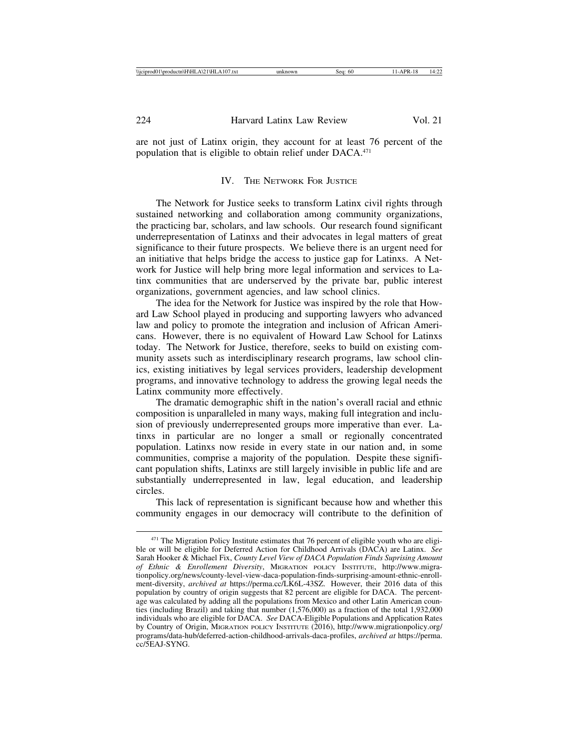are not just of Latinx origin, they account for at least 76 percent of the population that is eligible to obtain relief under DACA.471

#### IV. THE NETWORK FOR JUSTICE

The Network for Justice seeks to transform Latinx civil rights through sustained networking and collaboration among community organizations, the practicing bar, scholars, and law schools. Our research found significant underrepresentation of Latinxs and their advocates in legal matters of great significance to their future prospects. We believe there is an urgent need for an initiative that helps bridge the access to justice gap for Latinxs. A Network for Justice will help bring more legal information and services to Latinx communities that are underserved by the private bar, public interest organizations, government agencies, and law school clinics.

The idea for the Network for Justice was inspired by the role that Howard Law School played in producing and supporting lawyers who advanced law and policy to promote the integration and inclusion of African Americans. However, there is no equivalent of Howard Law School for Latinxs today. The Network for Justice, therefore, seeks to build on existing community assets such as interdisciplinary research programs, law school clinics, existing initiatives by legal services providers, leadership development programs, and innovative technology to address the growing legal needs the Latinx community more effectively.

The dramatic demographic shift in the nation's overall racial and ethnic composition is unparalleled in many ways, making full integration and inclusion of previously underrepresented groups more imperative than ever. Latinxs in particular are no longer a small or regionally concentrated population. Latinxs now reside in every state in our nation and, in some communities, comprise a majority of the population. Despite these significant population shifts, Latinxs are still largely invisible in public life and are substantially underrepresented in law, legal education, and leadership circles.

This lack of representation is significant because how and whether this community engages in our democracy will contribute to the definition of

<sup>&</sup>lt;sup>471</sup> The Migration Policy Institute estimates that 76 percent of eligible youth who are eligible or will be eligible for Deferred Action for Childhood Arrivals (DACA) are Latinx. *See* Sarah Hooker & Michael Fix, *County Level View of DACA Population Finds Suprising Amount of Ethnic & Enrollement Diversity*, MIGRATION POLICY INSTITUTE, http://www.migrationpolicy.org/news/county-level-view-daca-population-finds-surprising-amount-ethnic-enrollment-diversity, *archived at* https://perma.cc/LK6L-43SZ. However, their 2016 data of this population by country of origin suggests that 82 percent are eligible for DACA. The percentage was calculated by adding all the populations from Mexico and other Latin American counties (including Brazil) and taking that number (1,576,000) as a fraction of the total 1,932,000 individuals who are eligible for DACA. *See* DACA-Eligible Populations and Application Rates by Country of Origin, MIGRATION POLICY INSTITUTE (2016), http://www.migrationpolicy.org/ programs/data-hub/deferred-action-childhood-arrivals-daca-profiles, *archived at* https://perma. cc/5EAJ-SYNG.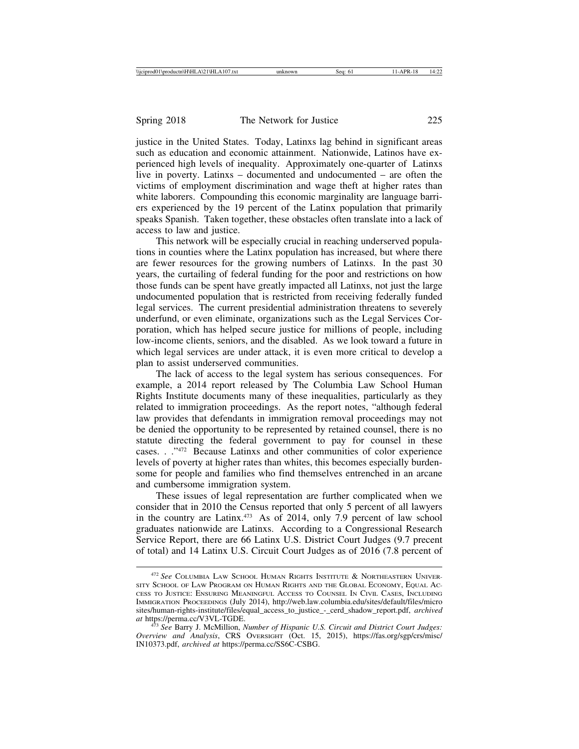justice in the United States. Today, Latinxs lag behind in significant areas such as education and economic attainment. Nationwide, Latinos have experienced high levels of inequality. Approximately one-quarter of Latinxs live in poverty. Latinxs – documented and undocumented – are often the victims of employment discrimination and wage theft at higher rates than white laborers. Compounding this economic marginality are language barriers experienced by the 19 percent of the Latinx population that primarily speaks Spanish. Taken together, these obstacles often translate into a lack of access to law and justice.

This network will be especially crucial in reaching underserved populations in counties where the Latinx population has increased, but where there are fewer resources for the growing numbers of Latinxs. In the past 30 years, the curtailing of federal funding for the poor and restrictions on how those funds can be spent have greatly impacted all Latinxs, not just the large undocumented population that is restricted from receiving federally funded legal services. The current presidential administration threatens to severely underfund, or even eliminate, organizations such as the Legal Services Corporation, which has helped secure justice for millions of people, including low-income clients, seniors, and the disabled. As we look toward a future in which legal services are under attack, it is even more critical to develop a plan to assist underserved communities.

The lack of access to the legal system has serious consequences. For example, a 2014 report released by The Columbia Law School Human Rights Institute documents many of these inequalities, particularly as they related to immigration proceedings. As the report notes, "although federal law provides that defendants in immigration removal proceedings may not be denied the opportunity to be represented by retained counsel, there is no statute directing the federal government to pay for counsel in these cases. . ."472 Because Latinxs and other communities of color experience levels of poverty at higher rates than whites, this becomes especially burdensome for people and families who find themselves entrenched in an arcane and cumbersome immigration system.

These issues of legal representation are further complicated when we consider that in 2010 the Census reported that only 5 percent of all lawyers in the country are Latinx.473 As of 2014, only 7.9 percent of law school graduates nationwide are Latinxs. According to a Congressional Research Service Report, there are 66 Latinx U.S. District Court Judges (9.7 precent of total) and 14 Latinx U.S. Circuit Court Judges as of 2016 (7.8 percent of

<sup>472</sup> *See* COLUMBIA LAW SCHOOL HUMAN RIGHTS INSTITUTE & NORTHEASTERN UNIVER-SITY SCHOOL OF LAW PROGRAM ON HUMAN RIGHTS AND THE GLOBAL ECONOMY, EQUAL AC-CESS TO JUSTICE: ENSURING MEANINGFUL ACCESS TO COUNSEL IN CIVIL CASES, INCLUDING IMMIGRATION PROCEEDINGS (July 2014), http://web.law.columbia.edu/sites/default/files/micro sites/human-rights-institute/files/equal\_access\_to\_justice\_-\_cerd\_shadow\_report.pdf, *archived*

<sup>&</sup>lt;sup>473</sup> See Barry J. McMillion, *Number of Hispanic U.S. Circuit and District Court Judges: Overview and Analysis*, CRS OVERSIGHT (Oct. 15, 2015), https://fas.org/sgp/crs/misc/ IN10373.pdf, *archived at* https://perma.cc/SS6C-CSBG.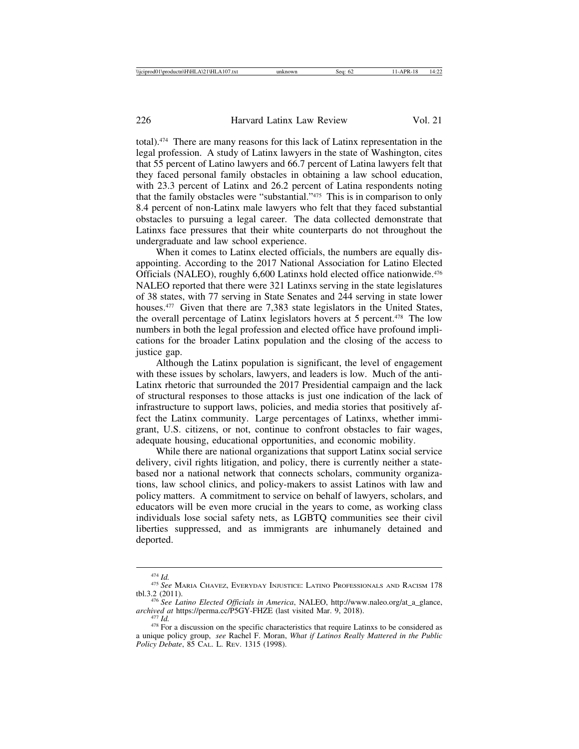total).474 There are many reasons for this lack of Latinx representation in the legal profession. A study of Latinx lawyers in the state of Washington, cites that 55 percent of Latino lawyers and 66.7 percent of Latina lawyers felt that they faced personal family obstacles in obtaining a law school education, with 23.3 percent of Latinx and 26.2 percent of Latina respondents noting that the family obstacles were "substantial."475 This is in comparison to only 8.4 percent of non-Latinx male lawyers who felt that they faced substantial obstacles to pursuing a legal career. The data collected demonstrate that Latinxs face pressures that their white counterparts do not throughout the undergraduate and law school experience.

When it comes to Latinx elected officials, the numbers are equally disappointing. According to the 2017 National Association for Latino Elected Officials (NALEO), roughly 6,600 Latinxs hold elected office nationwide.476 NALEO reported that there were 321 Latinxs serving in the state legislatures of 38 states, with 77 serving in State Senates and 244 serving in state lower houses.<sup>477</sup> Given that there are 7,383 state legislators in the United States, the overall percentage of Latinx legislators hovers at 5 percent.478 The low numbers in both the legal profession and elected office have profound implications for the broader Latinx population and the closing of the access to justice gap.

Although the Latinx population is significant, the level of engagement with these issues by scholars, lawyers, and leaders is low. Much of the anti-Latinx rhetoric that surrounded the 2017 Presidential campaign and the lack of structural responses to those attacks is just one indication of the lack of infrastructure to support laws, policies, and media stories that positively affect the Latinx community. Large percentages of Latinxs, whether immigrant, U.S. citizens, or not, continue to confront obstacles to fair wages, adequate housing, educational opportunities, and economic mobility.

While there are national organizations that support Latinx social service delivery, civil rights litigation, and policy, there is currently neither a statebased nor a national network that connects scholars, community organizations, law school clinics, and policy-makers to assist Latinos with law and policy matters. A commitment to service on behalf of lawyers, scholars, and educators will be even more crucial in the years to come, as working class individuals lose social safety nets, as LGBTQ communities see their civil liberties suppressed, and as immigrants are inhumanely detained and deported.

<sup>474</sup> *Id.* <sup>475</sup> *See* MARIA CHAVEZ, EVERYDAY INJUSTICE: LATINO PROFESSIONALS AND RACISM<sup>178</sup>

tbl.3.2 (2011).<br><sup>476</sup> *See Latino Elected Officials in America*, NALEO, http://www.naleo.org/at\_a\_glance,<br>archived at https://perma.cc/P5GY-FHZE (last visited Mar. 9, 2018).

<sup>&</sup>lt;sup>477</sup> *Id.* <sup>478</sup> For a discussion on the specific characteristics that require Latinxs to be considered as a unique policy group, *see* Rachel F. Moran, *What if Latinos Really Mattered in the Public Policy Debate*, 85 CAL. L. REV. 1315 (1998).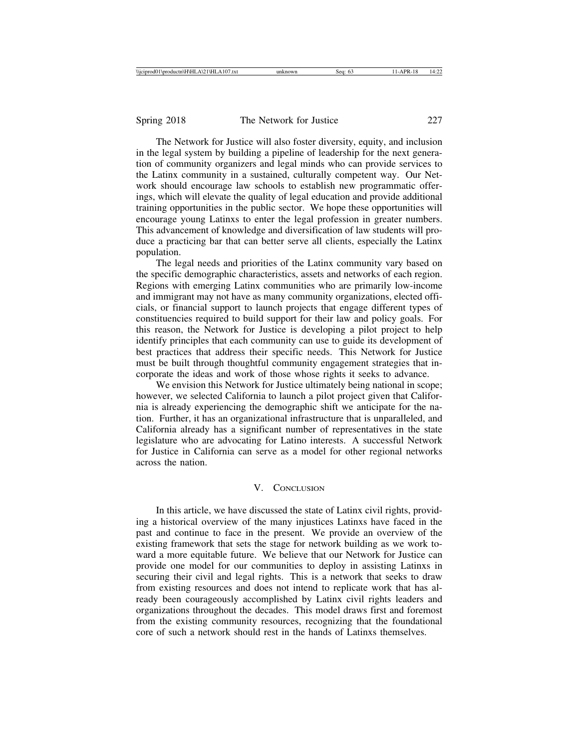The Network for Justice will also foster diversity, equity, and inclusion in the legal system by building a pipeline of leadership for the next generation of community organizers and legal minds who can provide services to the Latinx community in a sustained, culturally competent way. Our Network should encourage law schools to establish new programmatic offerings, which will elevate the quality of legal education and provide additional training opportunities in the public sector. We hope these opportunities will encourage young Latinxs to enter the legal profession in greater numbers. This advancement of knowledge and diversification of law students will produce a practicing bar that can better serve all clients, especially the Latinx population.

The legal needs and priorities of the Latinx community vary based on the specific demographic characteristics, assets and networks of each region. Regions with emerging Latinx communities who are primarily low-income and immigrant may not have as many community organizations, elected officials, or financial support to launch projects that engage different types of constituencies required to build support for their law and policy goals. For this reason, the Network for Justice is developing a pilot project to help identify principles that each community can use to guide its development of best practices that address their specific needs. This Network for Justice must be built through thoughtful community engagement strategies that incorporate the ideas and work of those whose rights it seeks to advance.

We envision this Network for Justice ultimately being national in scope; however, we selected California to launch a pilot project given that California is already experiencing the demographic shift we anticipate for the nation. Further, it has an organizational infrastructure that is unparalleled, and California already has a significant number of representatives in the state legislature who are advocating for Latino interests. A successful Network for Justice in California can serve as a model for other regional networks across the nation.

### V. CONCLUSION

In this article, we have discussed the state of Latinx civil rights, providing a historical overview of the many injustices Latinxs have faced in the past and continue to face in the present. We provide an overview of the existing framework that sets the stage for network building as we work toward a more equitable future. We believe that our Network for Justice can provide one model for our communities to deploy in assisting Latinxs in securing their civil and legal rights. This is a network that seeks to draw from existing resources and does not intend to replicate work that has already been courageously accomplished by Latinx civil rights leaders and organizations throughout the decades. This model draws first and foremost from the existing community resources, recognizing that the foundational core of such a network should rest in the hands of Latinxs themselves.